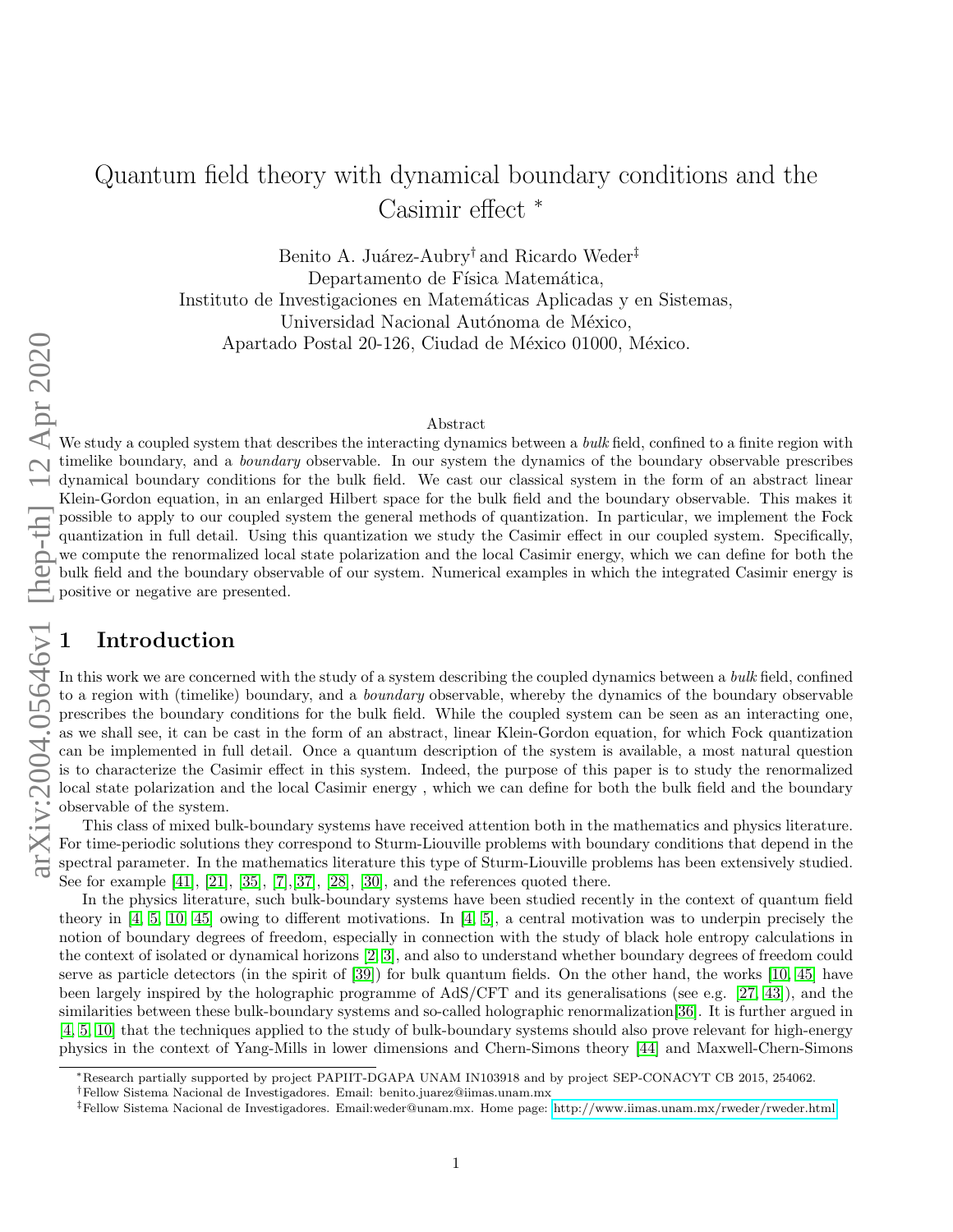# Quantum field theory with dynamical boundary conditions and the Casimir effect <sup>∗</sup>

Benito A. Juárez-Aubry<sup>†</sup> and Ricardo Weder<sup>‡</sup> Departamento de Física Matemática, Instituto de Investigaciones en Matemáticas Aplicadas y en Sistemas, Universidad Nacional Autónoma de México, Apartado Postal 20-126, Ciudad de México 01000, México.

#### Abstract

arXiv:2004.05646v1 [hep-th] 12 Apr 2020

We study a coupled system that describes the interacting dynamics between a *bulk* field, confined to a finite region with timelike boundary, and a *boundary* observable. In our system the dynamics of the boundary observable prescribes dynamical boundary conditions for the bulk field. We cast our classical system in the form of an abstract linear Klein-Gordon equation, in an enlarged Hilbert space for the bulk field and the boundary observable. This makes it possible to apply to our coupled system the general methods of quantization. In particular, we implement the Fock quantization in full detail. Using this quantization we study the Casimir effect in our coupled system. Specifically, we compute the renormalized local state polarization and the local Casimir energy, which we can define for both the bulk field and the boundary observable of our system. Numerical examples in which the integrated Casimir energy is positive or negative are presented.

# 1 Introduction

In this work we are concerned with the study of a system describing the coupled dynamics between a *bulk* field, confined to a region with (timelike) boundary, and a *boundary* observable, whereby the dynamics of the boundary observable prescribes the boundary conditions for the bulk field. While the coupled system can be seen as an interacting one, as we shall see, it can be cast in the form of an abstract, linear Klein-Gordon equation, for which Fock quantization can be implemented in full detail. Once a quantum description of the system is available, a most natural question is to characterize the Casimir effect in this system. Indeed, the purpose of this paper is to study the renormalized local state polarization and the local Casimir energy , which we can define for both the bulk field and the boundary observable of the system.

This class of mixed bulk-boundary systems have received attention both in the mathematics and physics literature. For time-periodic solutions they correspond to Sturm-Liouville problems with boundary conditions that depend in the spectral parameter. In the mathematics literature this type of Sturm-Liouville problems has been extensively studied. See for example [\[41\]](#page-27-0), [\[21\]](#page-26-0), [\[35\]](#page-27-1), [\[7\]](#page-26-1),[\[37\]](#page-27-2), [\[28\]](#page-27-3), [\[30\]](#page-27-4), and the references quoted there.

In the physics literature, such bulk-boundary systems have been studied recently in the context of quantum field theory in [\[4,](#page-26-2) [5,](#page-26-3) [10,](#page-26-4) [45\]](#page-27-5) owing to different motivations. In [\[4,](#page-26-2) [5\]](#page-26-3), a central motivation was to underpin precisely the notion of boundary degrees of freedom, especially in connection with the study of black hole entropy calculations in the context of isolated or dynamical horizons [\[2,](#page-26-5) [3\]](#page-26-6), and also to understand whether boundary degrees of freedom could serve as particle detectors (in the spirit of [\[39\]](#page-27-6)) for bulk quantum fields. On the other hand, the works [\[10,](#page-26-4) [45\]](#page-27-5) have been largely inspired by the holographic programme of AdS/CFT and its generalisations (see e.g. [\[27,](#page-27-7) [43\]](#page-27-8)), and the similarities between these bulk-boundary systems and so-called holographic renormalization[\[36\]](#page-27-9). It is further argued in [\[4,](#page-26-2) [5,](#page-26-3) [10\]](#page-26-4) that the techniques applied to the study of bulk-boundary systems should also prove relevant for high-energy physics in the context of Yang-Mills in lower dimensions and Chern-Simons theory [\[44\]](#page-27-10) and Maxwell-Chern-Simons

<sup>∗</sup>Research partially supported by project PAPIIT-DGAPA UNAM IN103918 and by project SEP-CONACYT CB 2015, 254062.

<sup>†</sup>Fellow Sistema Nacional de Investigadores. Email: benito.juarez@iimas.unam.mx

<sup>‡</sup>Fellow Sistema Nacional de Investigadores. Email:weder@unam.mx. Home page: [http://www.iimas.unam.mx/rweder/rweder.html.](http://www.iimas.unam.mx/rweder/rweder.html)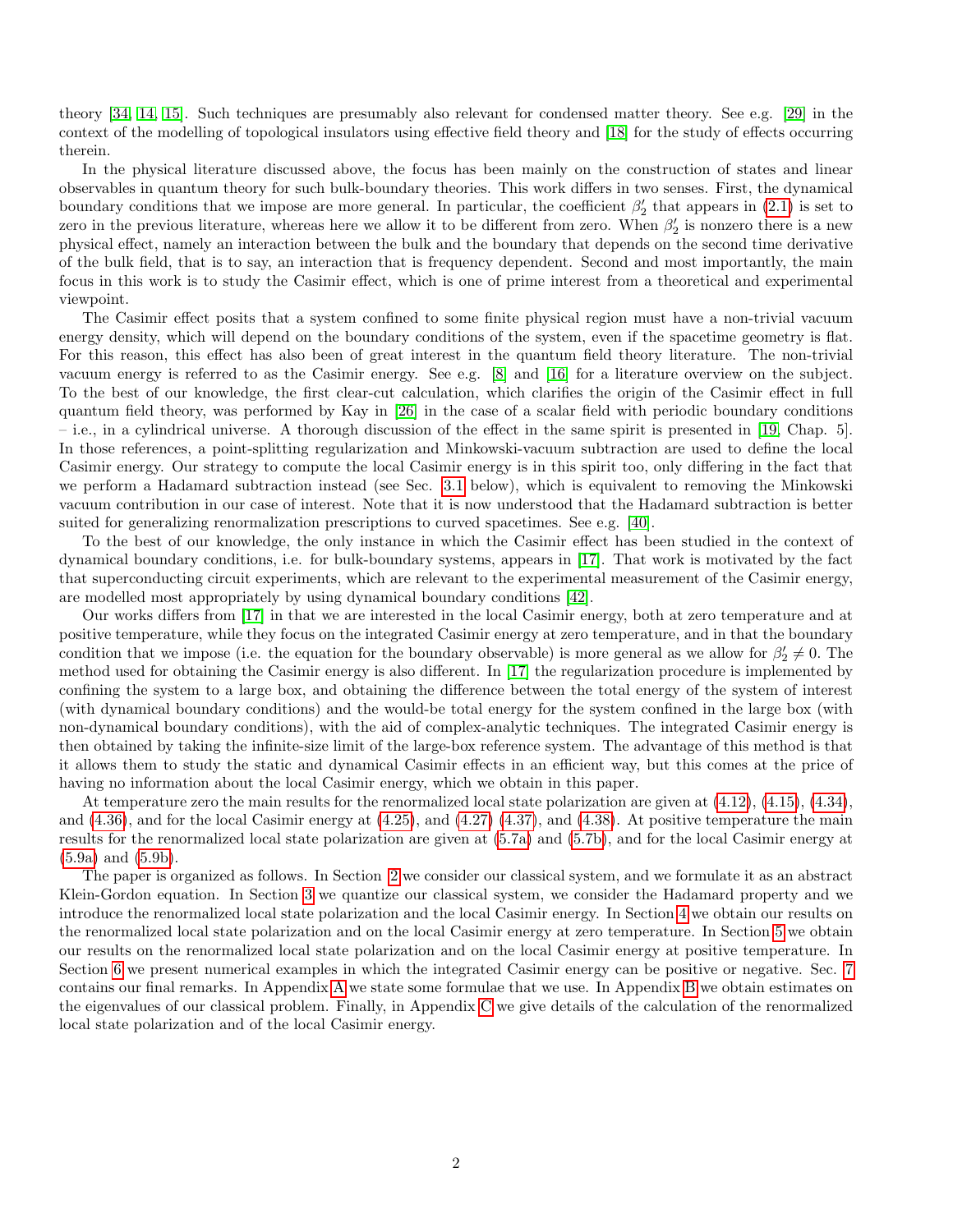theory [\[34,](#page-27-11) [14,](#page-26-7) [15\]](#page-26-8). Such techniques are presumably also relevant for condensed matter theory. See e.g. [\[29\]](#page-27-12) in the context of the modelling of topological insulators using effective field theory and [\[18\]](#page-26-9) for the study of effects occurring therein.

In the physical literature discussed above, the focus has been mainly on the construction of states and linear observables in quantum theory for such bulk-boundary theories. This work differs in two senses. First, the dynamical boundary conditions that we impose are more general. In particular, the coefficient  $\beta'_2$  that appears in [\(2.1\)](#page-2-0) is set to zero in the previous literature, whereas here we allow it to be different from zero. When  $\beta'_2$  is nonzero there is a new physical effect, namely an interaction between the bulk and the boundary that depends on the second time derivative of the bulk field, that is to say, an interaction that is frequency dependent. Second and most importantly, the main focus in this work is to study the Casimir effect, which is one of prime interest from a theoretical and experimental viewpoint.

The Casimir effect posits that a system confined to some finite physical region must have a non-trivial vacuum energy density, which will depend on the boundary conditions of the system, even if the spacetime geometry is flat. For this reason, this effect has also been of great interest in the quantum field theory literature. The non-trivial vacuum energy is referred to as the Casimir energy. See e.g. [\[8\]](#page-26-10) and [\[16\]](#page-26-11) for a literature overview on the subject. To the best of our knowledge, the first clear-cut calculation, which clarifies the origin of the Casimir effect in full quantum field theory, was performed by Kay in [\[26\]](#page-27-13) in the case of a scalar field with periodic boundary conditions – i.e., in a cylindrical universe. A thorough discussion of the effect in the same spirit is presented in [\[19,](#page-26-12) Chap. 5]. In those references, a point-splitting regularization and Minkowski-vacuum subtraction are used to define the local Casimir energy. Our strategy to compute the local Casimir energy is in this spirit too, only differing in the fact that we perform a Hadamard subtraction instead (see Sec. [3.1](#page-5-0) below), which is equivalent to removing the Minkowski vacuum contribution in our case of interest. Note that it is now understood that the Hadamard subtraction is better suited for generalizing renormalization prescriptions to curved spacetimes. See e.g. [\[40\]](#page-27-14).

To the best of our knowledge, the only instance in which the Casimir effect has been studied in the context of dynamical boundary conditions, i.e. for bulk-boundary systems, appears in [\[17\]](#page-26-13). That work is motivated by the fact that superconducting circuit experiments, which are relevant to the experimental measurement of the Casimir energy, are modelled most appropriately by using dynamical boundary conditions [\[42\]](#page-27-15).

Our works differs from [\[17\]](#page-26-13) in that we are interested in the local Casimir energy, both at zero temperature and at positive temperature, while they focus on the integrated Casimir energy at zero temperature, and in that the boundary condition that we impose (i.e. the equation for the boundary observable) is more general as we allow for  $\beta'_2 \neq 0$ . The method used for obtaining the Casimir energy is also different. In [\[17\]](#page-26-13) the regularization procedure is implemented by confining the system to a large box, and obtaining the difference between the total energy of the system of interest (with dynamical boundary conditions) and the would-be total energy for the system confined in the large box (with non-dynamical boundary conditions), with the aid of complex-analytic techniques. The integrated Casimir energy is then obtained by taking the infinite-size limit of the large-box reference system. The advantage of this method is that it allows them to study the static and dynamical Casimir effects in an efficient way, but this comes at the price of having no information about the local Casimir energy, which we obtain in this paper.

At temperature zero the main results for the renormalized local state polarization are given at [\(4.12\)](#page-9-0), [\(4.15\)](#page-9-1), [\(4.34\)](#page-13-0), and  $(4.36)$ , and for the local Casimir energy at  $(4.25)$ , and  $(4.27)$   $(4.37)$ , and  $(4.38)$ . At positive temperature the main results for the renormalized local state polarization are given at [\(5.7a\)](#page-15-0) and [\(5.7b\)](#page-15-1), and for the local Casimir energy at [\(5.9a\)](#page-15-2) and [\(5.9b\)](#page-15-3).

The paper is organized as follows. In Section [2](#page-2-1) we consider our classical system, and we formulate it as an abstract Klein-Gordon equation. In Section [3](#page-4-0) we quantize our classical system, we consider the Hadamard property and we introduce the renormalized local state polarization and the local Casimir energy. In Section [4](#page-7-0) we obtain our results on the renormalized local state polarization and on the local Casimir energy at zero temperature. In Section [5](#page-14-0) we obtain our results on the renormalized local state polarization and on the local Casimir energy at positive temperature. In Section [6](#page-15-4) we present numerical examples in which the integrated Casimir energy can be positive or negative. Sec. [7](#page-17-0) contains our final remarks. In Appendix [A](#page-17-1) we state some formulae that we use. In Appendix [B](#page-18-0) we obtain estimates on the eigenvalues of our classical problem. Finally, in Appendix [C](#page-20-0) we give details of the calculation of the renormalized local state polarization and of the local Casimir energy.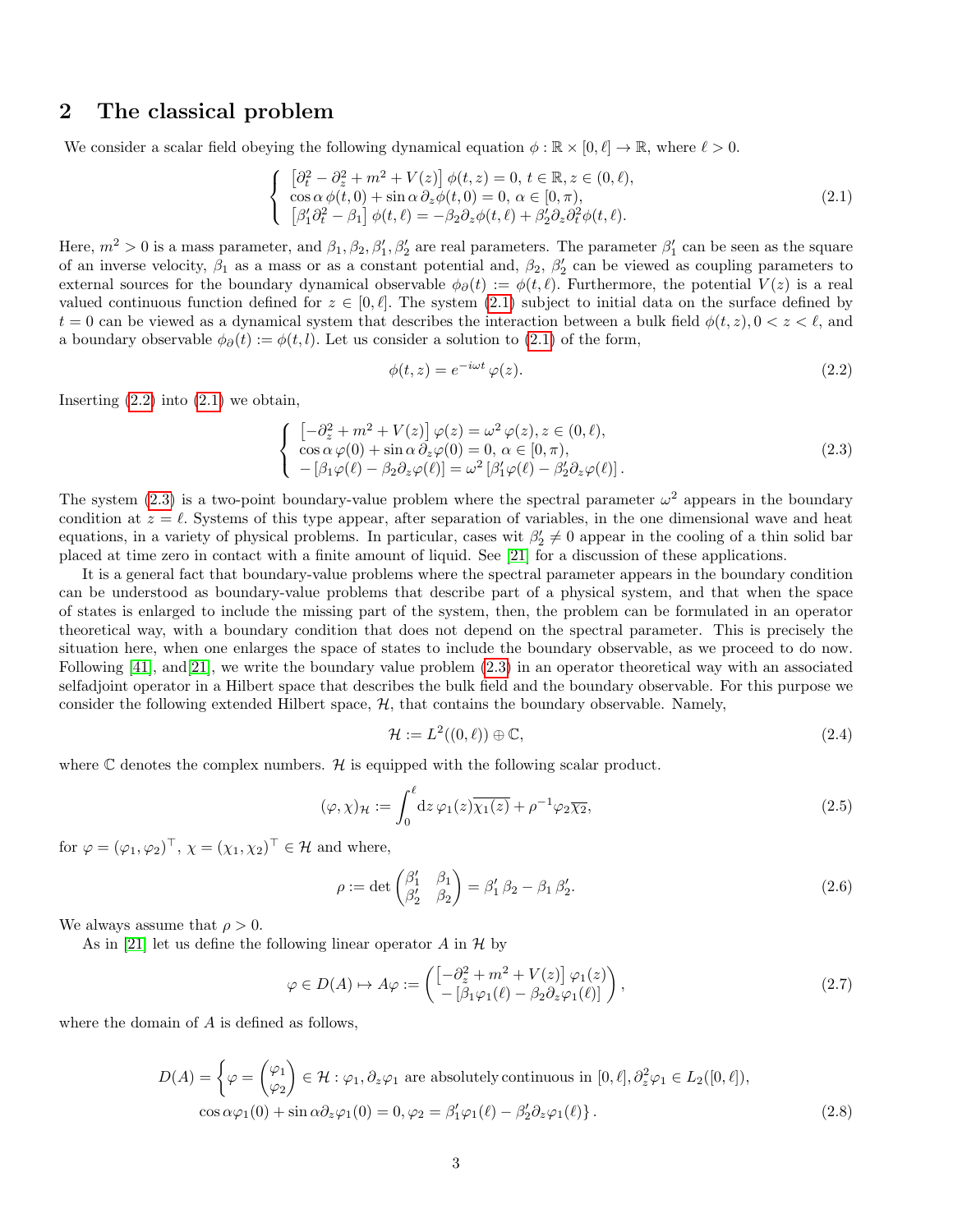### <span id="page-2-1"></span>2 The classical problem

We consider a scalar field obeying the following dynamical equation  $\phi : \mathbb{R} \times [0, \ell] \to \mathbb{R}$ , where  $\ell > 0$ .

$$
\begin{cases}\n\left[\partial_t^2 - \partial_z^2 + m^2 + V(z)\right] \phi(t, z) = 0, \ t \in \mathbb{R}, z \in (0, \ell), \\
\cos \alpha \phi(t, 0) + \sin \alpha \partial_z \phi(t, 0) = 0, \ \alpha \in [0, \pi), \\
\left[\beta_1' \partial_t^2 - \beta_1\right] \phi(t, \ell) = -\beta_2 \partial_z \phi(t, \ell) + \beta_2' \partial_z \partial_t^2 \phi(t, \ell).\n\end{cases}
$$
\n(2.1)

Here,  $m^2 > 0$  is a mass parameter, and  $\beta_1, \beta_2, \beta'_1, \beta'_2$  are real parameters. The parameter  $\beta'_1$  can be seen as the square of an inverse velocity,  $\beta_1$  as a mass or as a constant potential and,  $\beta_2$ ,  $\beta'_2$  can be viewed as coupling parameters to external sources for the boundary dynamical observable  $\phi_{\partial}(t) := \phi(t, \ell)$ . Furthermore, the potential  $V(z)$  is a real valued continuous function defined for  $z \in [0, \ell]$ . The system [\(2.1\)](#page-2-0) subject to initial data on the surface defined by  $t = 0$  can be viewed as a dynamical system that describes the interaction between a bulk field  $\phi(t, z)$ ,  $0 < z < \ell$ , and a boundary observable  $\phi_{\partial}(t) := \phi(t, l)$ . Let us consider a solution to [\(2.1\)](#page-2-0) of the form,

<span id="page-2-3"></span><span id="page-2-2"></span><span id="page-2-0"></span>
$$
\phi(t,z) = e^{-i\omega t} \varphi(z). \tag{2.2}
$$

Inserting  $(2.2)$  into  $(2.1)$  we obtain,

$$
\begin{cases}\n\left[-\partial_z^2 + m^2 + V(z)\right]\varphi(z) = \omega^2 \varphi(z), z \in (0, \ell), \\
\cos \alpha \varphi(0) + \sin \alpha \partial_z \varphi(0) = 0, \ \alpha \in [0, \pi), \\
-\left[\beta_1 \varphi(\ell) - \beta_2 \partial_z \varphi(\ell)\right] = \omega^2 \left[\beta'_1 \varphi(\ell) - \beta'_2 \partial_z \varphi(\ell)\right].\n\end{cases}
$$
\n(2.3)

The system [\(2.3\)](#page-2-3) is a two-point boundary-value problem where the spectral parameter  $\omega^2$  appears in the boundary condition at  $z = \ell$ . Systems of this type appear, after separation of variables, in the one dimensional wave and heat equations, in a variety of physical problems. In particular, cases wit  $\beta'_2 \neq 0$  appear in the cooling of a thin solid bar placed at time zero in contact with a finite amount of liquid. See [\[21\]](#page-26-0) for a discussion of these applications.

It is a general fact that boundary-value problems where the spectral parameter appears in the boundary condition can be understood as boundary-value problems that describe part of a physical system, and that when the space of states is enlarged to include the missing part of the system, then, the problem can be formulated in an operator theoretical way, with a boundary condition that does not depend on the spectral parameter. This is precisely the situation here, when one enlarges the space of states to include the boundary observable, as we proceed to do now. Following [\[41\]](#page-27-0), and[\[21\]](#page-26-0), we write the boundary value problem [\(2.3\)](#page-2-3) in an operator theoretical way with an associated selfadjoint operator in a Hilbert space that describes the bulk field and the boundary observable. For this purpose we consider the following extended Hilbert space,  $H$ , that contains the boundary observable. Namely,

<span id="page-2-5"></span><span id="page-2-4"></span>
$$
\mathcal{H} := L^2((0,\ell)) \oplus \mathbb{C},\tag{2.4}
$$

where  $\mathbb C$  denotes the complex numbers.  $\mathcal H$  is equipped with the following scalar product.

$$
(\varphi, \chi)_{\mathcal{H}} := \int_0^{\ell} dz \, \varphi_1(z) \overline{\chi_1(z)} + \rho^{-1} \varphi_2 \overline{\chi_2}, \tag{2.5}
$$

for  $\varphi = (\varphi_1, \varphi_2)^\top$ ,  $\chi = (\chi_1, \chi_2)^\top \in \mathcal{H}$  and where,

<span id="page-2-6"></span>
$$
\rho := \det \begin{pmatrix} \beta_1' & \beta_1 \\ \beta_2' & \beta_2 \end{pmatrix} = \beta_1' \beta_2 - \beta_1 \beta_2'.
$$
\n(2.6)

We always assume that  $\rho > 0$ .

As in [\[21\]](#page-26-0) let us define the following linear operator A in  $\mathcal H$  by

$$
\varphi \in D(A) \mapsto A\varphi := \begin{pmatrix} \left[ -\partial_z^2 + m^2 + V(z) \right] \varphi_1(z) \\ - \left[ \beta_1 \varphi_1(\ell) - \beta_2 \partial_z \varphi_1(\ell) \right] \end{pmatrix},\tag{2.7}
$$

where the domain of A is defined as follows,

$$
D(A) = \begin{cases} \varphi = \begin{pmatrix} \varphi_1 \\ \varphi_2 \end{pmatrix} \in \mathcal{H} : \varphi_1, \partial_z \varphi_1 \text{ are absolutely continuous in } [0, \ell], \partial_z^2 \varphi_1 \in L_2([0, \ell]), \\ \cos \alpha \varphi_1(0) + \sin \alpha \partial_z \varphi_1(0) = 0, \varphi_2 = \beta'_1 \varphi_1(\ell) - \beta'_2 \partial_z \varphi_1(\ell) \end{cases}.
$$
 (2.8)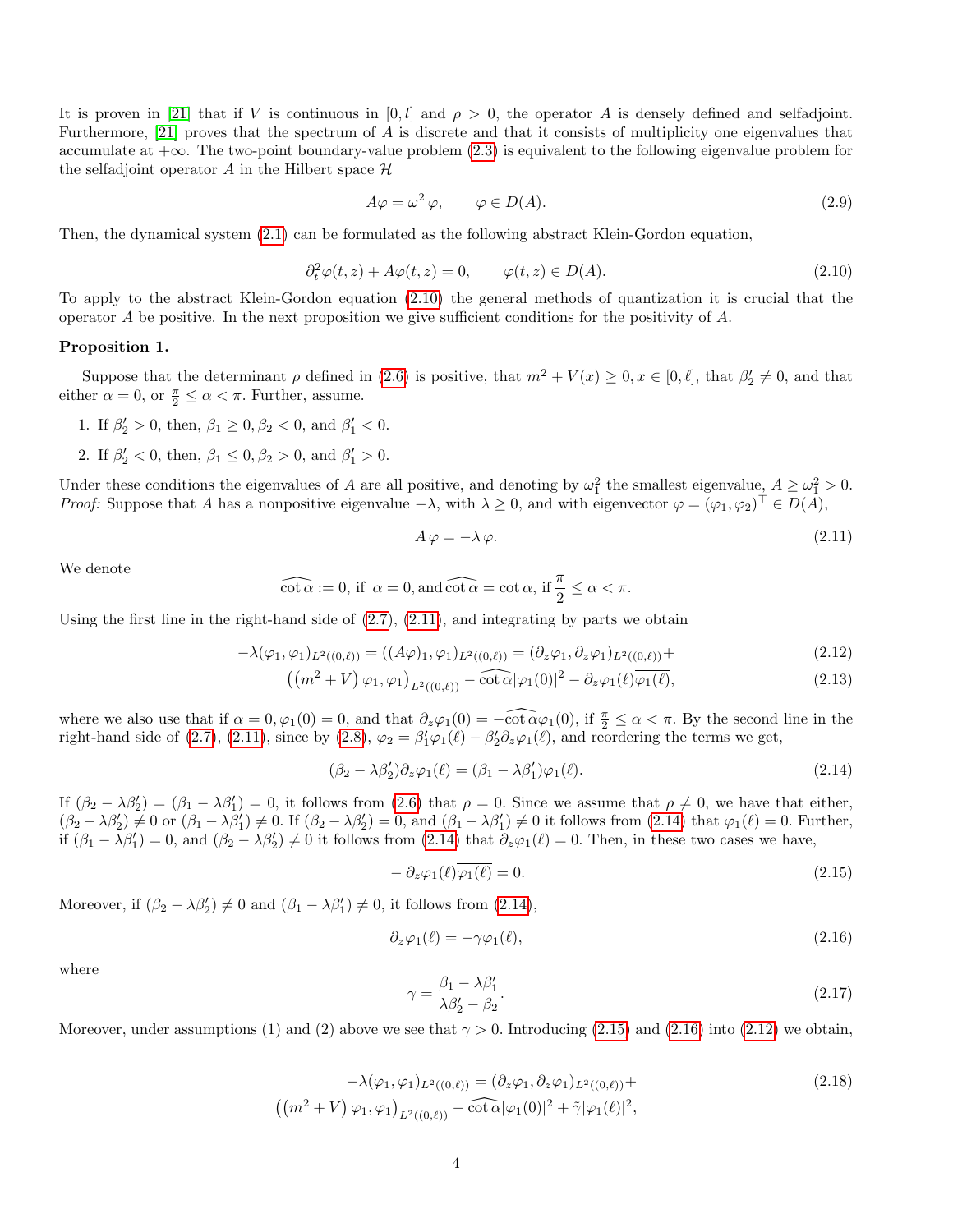It is proven in [\[21\]](#page-26-0) that if V is continuous in [0, l] and  $\rho > 0$ , the operator A is densely defined and selfadjoint. Furthermore, [\[21\]](#page-26-0) proves that the spectrum of A is discrete and that it consists of multiplicity one eigenvalues that accumulate at +∞. The two-point boundary-value problem [\(2.3\)](#page-2-3) is equivalent to the following eigenvalue problem for the selfadjoint operator  $A$  in the Hilbert space  $H$ 

$$
A\varphi = \omega^2 \varphi, \qquad \varphi \in D(A). \tag{2.9}
$$

Then, the dynamical system [\(2.1\)](#page-2-0) can be formulated as the following abstract Klein-Gordon equation,

<span id="page-3-0"></span>
$$
\partial_t^2 \varphi(t, z) + A\varphi(t, z) = 0, \qquad \varphi(t, z) \in D(A). \tag{2.10}
$$

To apply to the abstract Klein-Gordon equation [\(2.10\)](#page-3-0) the general methods of quantization it is crucial that the operator  $A$  be positive. In the next proposition we give sufficient conditions for the positivity of  $A$ .

#### <span id="page-3-7"></span>Proposition 1.

Suppose that the determinant  $\rho$  defined in [\(2.6\)](#page-2-4) is positive, that  $m^2 + V(x) \ge 0, x \in [0, \ell],$  that  $\beta'_2 \ne 0$ , and that either  $\alpha = 0$ , or  $\frac{\pi}{2} \leq \alpha < \pi$ . Further, assume.

- 1. If  $\beta'_2 > 0$ , then,  $\beta_1 \ge 0, \beta_2 < 0$ , and  $\beta'_1 < 0$ .
- 2. If  $\beta'_2 < 0$ , then,  $\beta_1 \le 0$ ,  $\beta_2 > 0$ , and  $\beta'_1 > 0$ .

Under these conditions the eigenvalues of A are all positive, and denoting by  $\omega_1^2$  the smallest eigenvalue,  $A \ge \omega_1^2 > 0$ . Proof: Suppose that A has a nonpositive eigenvalue  $-\lambda$ , with  $\lambda \geq 0$ , and with eigenvector  $\varphi = (\varphi_1, \varphi_2)^\top \in D(A)$ ,

<span id="page-3-5"></span><span id="page-3-1"></span>
$$
A \varphi = -\lambda \varphi. \tag{2.11}
$$

We denote

$$
\widehat{\cot \alpha} := 0, \text{ if } \alpha = 0, \text{ and } \widehat{\cot \alpha} = \cot \alpha, \text{ if } \frac{\pi}{2} \leq \alpha < \pi.
$$

Using the first line in the right-hand side of  $(2.7)$ ,  $(2.11)$ , and integrating by parts we obtain

$$
-\lambda(\varphi_1, \varphi_1)_{L^2((0,\ell))} = ((A\varphi)_1, \varphi_1)_{L^2((0,\ell))} = (\partial_z \varphi_1, \partial_z \varphi_1)_{L^2((0,\ell))} +
$$
\n(2.12)

$$
((m2 + V)\varphi_1, \varphi_1)_{L^2((0,\ell))} - \widehat{\cot \alpha} |\varphi_1(0)|^2 - \partial_z \varphi_1(\ell) \overline{\varphi_1(\ell)},
$$
\n(2.13)

where we also use that if  $\alpha = 0, \varphi_1(0) = 0$ , and that  $\partial_z \varphi_1(0) = -\widehat{\cot \alpha} \varphi_1(0)$ , if  $\frac{\pi}{2} \leq \alpha < \pi$ . By the second line in the right-hand side of [\(2.7\)](#page-2-5), [\(2.11\)](#page-3-1), since by [\(2.8\)](#page-2-6),  $\varphi_2 = \beta'_1 \varphi_1(\ell) - \beta'_2 \partial_z \varphi_1(\ell)$ , and reordering the terms we get,

<span id="page-3-2"></span>
$$
(\beta_2 - \lambda \beta_2')\partial_z \varphi_1(\ell) = (\beta_1 - \lambda \beta_1')\varphi_1(\ell). \tag{2.14}
$$

If  $(\beta_2 - \lambda \beta_2') = (\beta_1 - \lambda \beta_1') = 0$ , it follows from [\(2.6\)](#page-2-4) that  $\rho = 0$ . Since we assume that  $\rho \neq 0$ , we have that either,  $(\beta_2 - \lambda \beta_2') \neq 0$  or  $(\beta_1 - \lambda \beta_1') \neq 0$ . If  $(\beta_2 - \lambda \beta_2') = 0$ , and  $(\beta_1 - \lambda \beta_1') \neq 0$  it follows from  $(2.14)$  that  $\varphi_1(\ell) = 0$ . Further, if  $(\beta_1 - \lambda \beta_1') = 0$ , and  $(\beta_2 - \lambda \beta_2') \neq 0$  it follows from  $(2.14)$  that  $\partial_z \varphi_1(\ell) = 0$ . Then, in these two cases we have,

<span id="page-3-3"></span>
$$
-\partial_z \varphi_1(\ell) \overline{\varphi_1(\ell)} = 0. \tag{2.15}
$$

Moreover, if  $(\beta_2 - \lambda \beta_2') \neq 0$  and  $(\beta_1 - \lambda \beta_1') \neq 0$ , it follows from  $(2.14)$ ,

<span id="page-3-4"></span>
$$
\partial_z \varphi_1(\ell) = -\gamma \varphi_1(\ell),\tag{2.16}
$$

where

<span id="page-3-6"></span>
$$
\gamma = \frac{\beta_1 - \lambda \beta_1'}{\lambda \beta_2' - \beta_2}.\tag{2.17}
$$

Moreover, under assumptions (1) and (2) above we see that  $\gamma > 0$ . Introducing [\(2.15\)](#page-3-3) and [\(2.16\)](#page-3-4) into [\(2.12\)](#page-3-5) we obtain,

$$
-\lambda(\varphi_1, \varphi_1)_{L^2((0,\ell))} = (\partial_z \varphi_1, \partial_z \varphi_1)_{L^2((0,\ell))} +
$$
  

$$
((m^2 + V) \varphi_1, \varphi_1)_{L^2((0,\ell))} - \widehat{\cot \alpha} |\varphi_1(0)|^2 + \tilde{\gamma} |\varphi_1(\ell)|^2,
$$
 (2.18)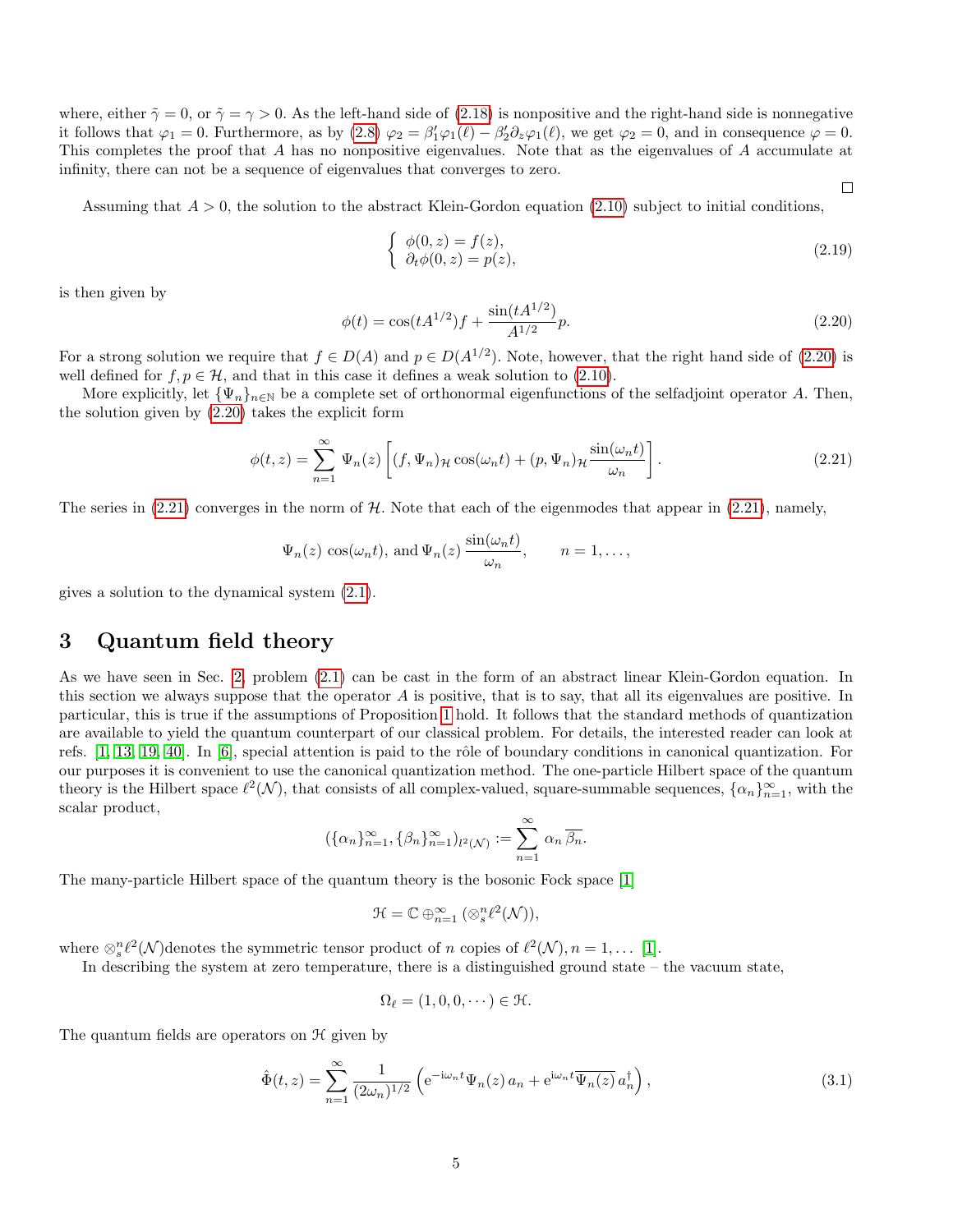where, either  $\tilde{\gamma} = 0$ , or  $\tilde{\gamma} = \gamma > 0$ . As the left-hand side of [\(2.18\)](#page-3-6) is nonpositive and the right-hand side is nonnegative it follows that  $\varphi_1 = 0$ . Furthermore, as by  $(2.8)$   $\varphi_2 = \beta'_1 \varphi_1(\ell) - \beta'_2 \partial_z \varphi_1(\ell)$ , we get  $\varphi_2 = 0$ , and in consequence  $\varphi = 0$ . This completes the proof that A has no nonpositive eigenvalues. Note that as the eigenvalues of A accumulate at infinity, there can not be a sequence of eigenvalues that converges to zero.

Assuming that  $A > 0$ , the solution to the abstract Klein-Gordon equation [\(2.10\)](#page-3-0) subject to initial conditions,

$$
\begin{cases}\n\phi(0, z) = f(z), \\
\partial_t \phi(0, z) = p(z),\n\end{cases}
$$
\n(2.19)

<span id="page-4-2"></span> $\Box$ 

is then given by

<span id="page-4-1"></span>
$$
\phi(t) = \cos(tA^{1/2})f + \frac{\sin(tA^{1/2})}{A^{1/2}}p.
$$
\n(2.20)

For a strong solution we require that  $f \in D(A)$  and  $p \in D(A^{1/2})$ . Note, however, that the right hand side of [\(2.20\)](#page-4-1) is well defined for  $f, p \in \mathcal{H}$ , and that in this case it defines a weak solution to [\(2.10\)](#page-3-0).

More explicitly, let  ${\lbrace \Psi_n \rbrace_{n\in\mathbb{N}}}$  be a complete set of orthonormal eigenfunctions of the selfadjoint operator A. Then, the solution given by [\(2.20\)](#page-4-1) takes the explicit form

$$
\phi(t,z) = \sum_{n=1}^{\infty} \Psi_n(z) \left[ (f, \Psi_n)_{\mathcal{H}} \cos(\omega_n t) + (p, \Psi_n)_{\mathcal{H}} \frac{\sin(\omega_n t)}{\omega_n} \right].
$$
\n(2.21)

The series in  $(2.21)$  converges in the norm of H. Note that each of the eigenmodes that appear in  $(2.21)$ , namely,

$$
\Psi_n(z) \cos(\omega_n t)
$$
, and  $\Psi_n(z) \frac{\sin(\omega_n t)}{\omega_n}$ ,  $n = 1, ...,$ 

gives a solution to the dynamical system [\(2.1\)](#page-2-0).

# <span id="page-4-0"></span>3 Quantum field theory

As we have seen in Sec. [2,](#page-2-1) problem [\(2.1\)](#page-2-0) can be cast in the form of an abstract linear Klein-Gordon equation. In this section we always suppose that the operator  $A$  is positive, that is to say, that all its eigenvalues are positive. In particular, this is true if the assumptions of Proposition [1](#page-3-7) hold. It follows that the standard methods of quantization are available to yield the quantum counterpart of our classical problem. For details, the interested reader can look at refs.  $[1, 13, 19, 40]$  $[1, 13, 19, 40]$  $[1, 13, 19, 40]$  $[1, 13, 19, 40]$ . In  $[6]$ , special attention is paid to the rôle of boundary conditions in canonical quantization. For our purposes it is convenient to use the canonical quantization method. The one-particle Hilbert space of the quantum theory is the Hilbert space  $\ell^2(\mathcal{N})$ , that consists of all complex-valued, square-summable sequences,  $\{\alpha_n\}_{n=1}^{\infty}$ , with the scalar product,

$$
(\{\alpha_n\}_{n=1}^{\infty}, \{\beta_n\}_{n=1}^{\infty})_{l^2(\mathcal{N})} := \sum_{n=1}^{\infty} \alpha_n \overline{\beta_n}.
$$

The many-particle Hilbert space of the quantum theory is the bosonic Fock space [\[1\]](#page-26-14)

$$
\mathcal{H}=\mathbb{C}\oplus_{n=1}^{\infty}\big(\otimes_{s}^{n}\ell^{2}(\mathcal{N})\big),
$$

where  $\otimes_s^n \ell^2(\mathcal{N})$  denotes the symmetric tensor product of n copies of  $\ell^2(\mathcal{N}), n = 1, \ldots$  [\[1\]](#page-26-14).

In describing the system at zero temperature, there is a distinguished ground state – the vacuum state,

$$
\Omega_{\ell} = (1, 0, 0, \dots) \in \mathfrak{H}.
$$

The quantum fields are operators on  $\mathcal H$  given by

$$
\hat{\Phi}(t,z) = \sum_{n=1}^{\infty} \frac{1}{(2\omega_n)^{1/2}} \left( e^{-i\omega_n t} \Psi_n(z) a_n + e^{i\omega_n t} \overline{\Psi_n(z)} a_n^{\dagger} \right),\tag{3.1}
$$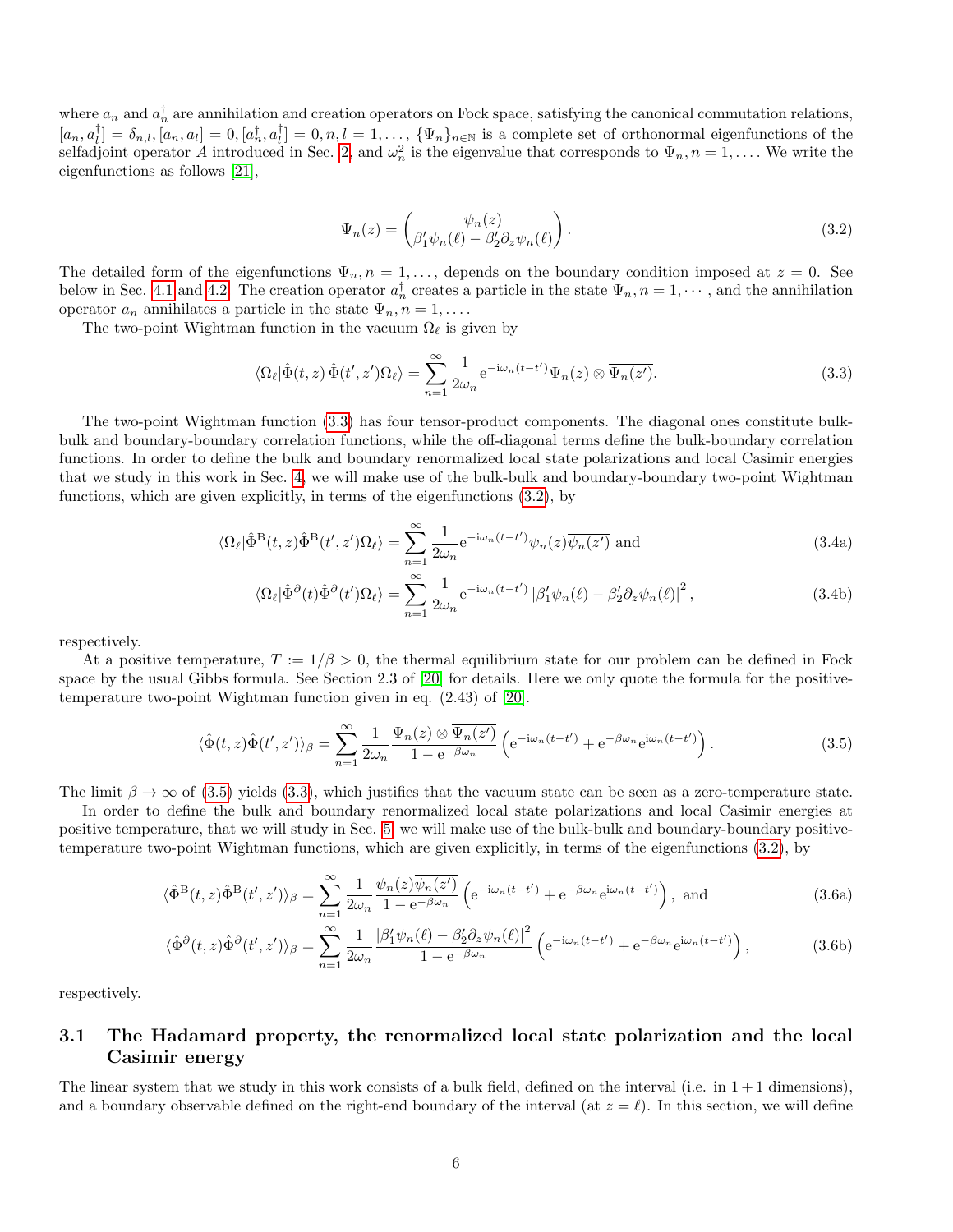where  $a_n$  and  $a_n^{\dagger}$  are annihilation and creation operators on Fock space, satisfying the canonical commutation relations,  $[a_n, a_l^{\dagger}] = \delta_{n,l}, [a_n, a_l] = 0, [a_n^{\dagger}, a_l^{\dagger}] = 0, n, l = 1, \ldots, \{\Psi_n\}_{n \in \mathbb{N}}$  is a complete set of orthonormal eigenfunctions of the selfadjoint operator A introduced in Sec. [2,](#page-2-1) and  $\omega_n^2$  is the eigenvalue that corresponds to  $\Psi_n$ ,  $n = 1, \ldots$  We write the eigenfunctions as follows [\[21\]](#page-26-0),

<span id="page-5-4"></span><span id="page-5-2"></span><span id="page-5-1"></span>
$$
\Psi_n(z) = \begin{pmatrix} \psi_n(z) \\ \beta'_1 \psi_n(\ell) - \beta'_2 \partial_z \psi_n(\ell) \end{pmatrix} . \tag{3.2}
$$

The detailed form of the eigenfunctions  $\Psi_n$ ,  $n = 1, \ldots$ , depends on the boundary condition imposed at  $z = 0$ . See below in Sec. [4.1](#page-7-1) and [4.2.](#page-12-1) The creation operator  $a_n^{\dagger}$  creates a particle in the state  $\Psi_n$ ,  $n = 1, \dots$ , and the annihilation operator  $a_n$  annihilates a particle in the state  $\Psi_n$ ,  $n = 1, \ldots$ .

The two-point Wightman function in the vacuum  $\Omega_{\ell}$  is given by

$$
\langle \Omega_{\ell} | \hat{\Phi}(t, z) \hat{\Phi}(t', z') \Omega_{\ell} \rangle = \sum_{n=1}^{\infty} \frac{1}{2\omega_n} e^{-i\omega_n(t - t')} \Psi_n(z) \otimes \overline{\Psi_n(z')}.
$$
 (3.3)

The two-point Wightman function [\(3.3\)](#page-5-1) has four tensor-product components. The diagonal ones constitute bulkbulk and boundary-boundary correlation functions, while the off-diagonal terms define the bulk-boundary correlation functions. In order to define the bulk and boundary renormalized local state polarizations and local Casimir energies that we study in this work in Sec. [4,](#page-7-0) we will make use of the bulk-bulk and boundary-boundary two-point Wightman functions, which are given explicitly, in terms of the eigenfunctions [\(3.2\)](#page-5-2), by

$$
\langle \Omega_{\ell} | \hat{\Phi}^{\mathcal{B}}(t, z) \hat{\Phi}^{\mathcal{B}}(t', z') \Omega_{\ell} \rangle = \sum_{n=1}^{\infty} \frac{1}{2\omega_n} e^{-i\omega_n (t - t')} \psi_n(z) \overline{\psi_n(z')} \text{ and } (3.4a)
$$

<span id="page-5-5"></span><span id="page-5-3"></span>
$$
\langle \Omega_{\ell} | \hat{\Phi}^{\partial}(t) \hat{\Phi}^{\partial}(t') \Omega_{\ell} \rangle = \sum_{n=1}^{\infty} \frac{1}{2\omega_n} e^{-i\omega_n(t-t')} \left| \beta_1' \psi_n(\ell) - \beta_2' \partial_z \psi_n(\ell) \right|^2, \tag{3.4b}
$$

respectively.

At a positive temperature,  $T := 1/\beta > 0$ , the thermal equilibrium state for our problem can be defined in Fock space by the usual Gibbs formula. See Section 2.3 of [\[20\]](#page-26-17) for details. Here we only quote the formula for the positivetemperature two-point Wightman function given in eq. (2.43) of [\[20\]](#page-26-17).

$$
\langle \hat{\Phi}(t,z)\hat{\Phi}(t',z')\rangle_{\beta} = \sum_{n=1}^{\infty} \frac{1}{2\omega_n} \frac{\Psi_n(z) \otimes \overline{\Psi_n(z')}}{1 - e^{-\beta\omega_n}} \left(e^{-i\omega_n(t-t')} + e^{-\beta\omega_n}e^{i\omega_n(t-t')}\right).
$$
(3.5)

The limit  $\beta \to \infty$  of [\(3.5\)](#page-5-3) yields [\(3.3\)](#page-5-1), which justifies that the vacuum state can be seen as a zero-temperature state.

In order to define the bulk and boundary renormalized local state polarizations and local Casimir energies at positive temperature, that we will study in Sec. [5,](#page-14-0) we will make use of the bulk-bulk and boundary-boundary positivetemperature two-point Wightman functions, which are given explicitly, in terms of the eigenfunctions [\(3.2\)](#page-5-2), by

$$
\langle \hat{\Phi}^{\mathcal{B}}(t,z)\hat{\Phi}^{\mathcal{B}}(t',z')\rangle_{\beta} = \sum_{n=1}^{\infty} \frac{1}{2\omega_n} \frac{\psi_n(z)\overline{\psi_n(z')}}{1 - e^{-\beta\omega_n}} \left(e^{-i\omega_n(t-t')} + e^{-\beta\omega_n}e^{i\omega_n(t-t')}\right), \text{ and } (3.6a)
$$

$$
\langle \hat{\Phi}^{\partial}(t,z)\hat{\Phi}^{\partial}(t',z')\rangle_{\beta} = \sum_{n=1}^{\infty} \frac{1}{2\omega_n} \frac{|\beta'_1\psi_n(\ell) - \beta'_2\partial_z\psi_n(\ell)|^2}{1 - e^{-\beta\omega_n}} \left(e^{-i\omega_n(t-t')} + e^{-\beta\omega_n}e^{i\omega_n(t-t')}\right),\tag{3.6b}
$$

respectively.

### <span id="page-5-0"></span>3.1 The Hadamard property, the renormalized local state polarization and the local Casimir energy

The linear system that we study in this work consists of a bulk field, defined on the interval (i.e. in  $1+1$  dimensions), and a boundary observable defined on the right-end boundary of the interval (at  $z = \ell$ ). In this section, we will define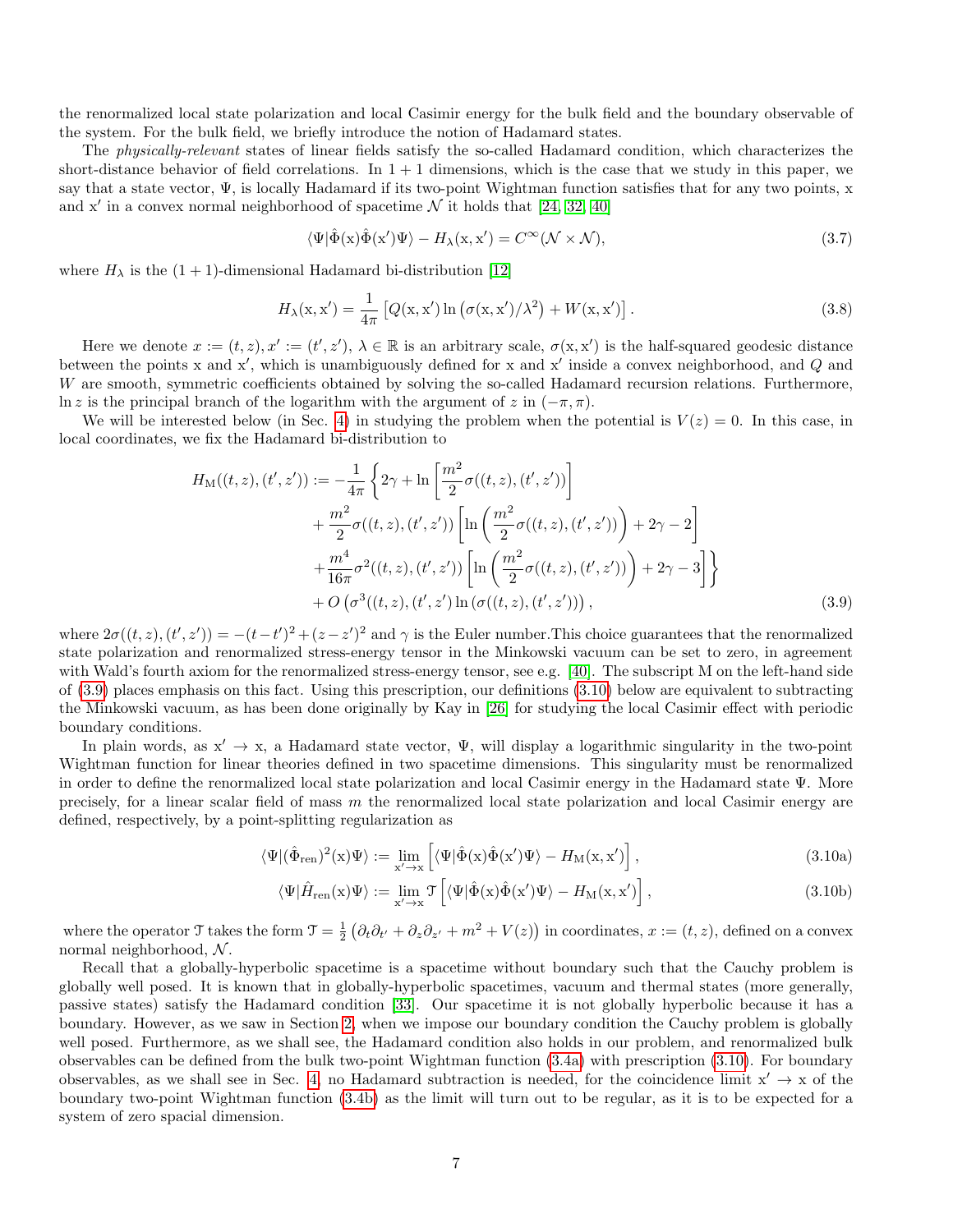the renormalized local state polarization and local Casimir energy for the bulk field and the boundary observable of the system. For the bulk field, we briefly introduce the notion of Hadamard states.

The physically-relevant states of linear fields satisfy the so-called Hadamard condition, which characterizes the short-distance behavior of field correlations. In  $1 + 1$  dimensions, which is the case that we study in this paper, we say that a state vector,  $\Psi$ , is locally Hadamard if its two-point Wightman function satisfies that for any two points, x and x' in a convex normal neighborhood of spacetime  $N$  it holds that [\[24,](#page-27-16) [32,](#page-27-17) [40\]](#page-27-14)

$$
\langle \Psi | \hat{\Phi}(\mathbf{x}) \hat{\Phi}(\mathbf{x}') \Psi \rangle - H_{\lambda}(\mathbf{x}, \mathbf{x}') = C^{\infty} (\mathcal{N} \times \mathcal{N}), \tag{3.7}
$$

where  $H_{\lambda}$  is the  $(1 + 1)$ -dimensional Hadamard bi-distribution [\[12\]](#page-26-18)

$$
H_{\lambda}(\mathbf{x}, \mathbf{x}') = \frac{1}{4\pi} \left[ Q(\mathbf{x}, \mathbf{x}') \ln \left( \sigma(\mathbf{x}, \mathbf{x}') / \lambda^2 \right) + W(\mathbf{x}, \mathbf{x}') \right]. \tag{3.8}
$$

Here we denote  $x := (t, z), x' := (t', z'), \lambda \in \mathbb{R}$  is an arbitrary scale,  $\sigma(x, x')$  is the half-squared geodesic distance between the points x and  $x'$ , which is unambiguously defined for x and  $x'$  inside a convex neighborhood, and  $Q$  and W are smooth, symmetric coefficients obtained by solving the so-called Hadamard recursion relations. Furthermore, ln z is the principal branch of the logarithm with the argument of z in  $(-\pi, \pi)$ .

We will be interested below (in Sec. [4\)](#page-7-0) in studying the problem when the potential is  $V(z) = 0$ . In this case, in local coordinates, we fix the Hadamard bi-distribution to

$$
H_{\rm M}((t, z), (t', z')) := -\frac{1}{4\pi} \left\{ 2\gamma + \ln \left[ \frac{m^2}{2} \sigma((t, z), (t', z')) \right] + \frac{m^2}{2} \sigma((t, z), (t', z')) \left[ \ln \left( \frac{m^2}{2} \sigma((t, z), (t', z')) \right) + 2\gamma - 2 \right] + \frac{m^4}{16\pi} \sigma^2((t, z), (t', z')) \left[ \ln \left( \frac{m^2}{2} \sigma((t, z), (t', z')) \right) + 2\gamma - 3 \right] \right\} + O\left(\sigma^3((t, z), (t', z')) \ln \left(\sigma((t, z), (t', z'))\right),\right)
$$
\n(3.9)

where  $2\sigma((t, z), (t', z')) = -(t-t')^2 + (z-z')^2$  and  $\gamma$  is the Euler number. This choice guarantees that the renormalized state polarization and renormalized stress-energy tensor in the Minkowski vacuum can be set to zero, in agreement with Wald's fourth axiom for the renormalized stress-energy tensor, see e.g. [\[40\]](#page-27-14). The subscript M on the left-hand side of [\(3.9\)](#page-6-0) places emphasis on this fact. Using this prescription, our definitions [\(3.10\)](#page-6-1) below are equivalent to subtracting the Minkowski vacuum, as has been done originally by Kay in [\[26\]](#page-27-13) for studying the local Casimir effect with periodic boundary conditions.

In plain words, as  $x' \rightarrow x$ , a Hadamard state vector,  $\Psi$ , will display a logarithmic singularity in the two-point Wightman function for linear theories defined in two spacetime dimensions. This singularity must be renormalized in order to define the renormalized local state polarization and local Casimir energy in the Hadamard state Ψ. More precisely, for a linear scalar field of mass  $m$  the renormalized local state polarization and local Casimir energy are defined, respectively, by a point-splitting regularization as

<span id="page-6-0"></span>
$$
\langle \Psi | (\hat{\Phi}_{ren})^2(x) \Psi \rangle := \lim_{x' \to x} \left[ \langle \Psi | \hat{\Phi}(x) \hat{\Phi}(x') \Psi \rangle - H_M(x, x') \right],
$$
\n(3.10a)

<span id="page-6-1"></span>
$$
\langle \Psi | \hat{H}_{\text{ren}}(\mathbf{x}) \Psi \rangle := \lim_{\mathbf{x}' \to \mathbf{x}} \mathcal{T} \left[ \langle \Psi | \hat{\Phi}(\mathbf{x}) \hat{\Phi}(\mathbf{x}') \Psi \rangle - H_{\text{M}}(\mathbf{x}, \mathbf{x}') \right], \tag{3.10b}
$$

where the operator  $\mathcal{T}$  takes the form  $\mathcal{T} = \frac{1}{2} \left( \partial_t \partial_{t'} + \partial_z \partial_{z'} + m^2 + V(z) \right)$  in coordinates,  $x := (t, z)$ , defined on a convex normal neighborhood,  $N$ .

Recall that a globally-hyperbolic spacetime is a spacetime without boundary such that the Cauchy problem is globally well posed. It is known that in globally-hyperbolic spacetimes, vacuum and thermal states (more generally, passive states) satisfy the Hadamard condition [\[33\]](#page-27-18). Our spacetime it is not globally hyperbolic because it has a boundary. However, as we saw in Section [2,](#page-2-1) when we impose our boundary condition the Cauchy problem is globally well posed. Furthermore, as we shall see, the Hadamard condition also holds in our problem, and renormalized bulk observables can be defined from the bulk two-point Wightman function [\(3.4a\)](#page-5-4) with prescription [\(3.10\)](#page-6-1). For boundary observables, as we shall see in Sec. [4,](#page-7-0) no Hadamard subtraction is needed, for the coincidence limit  $x' \rightarrow x$  of the boundary two-point Wightman function [\(3.4b\)](#page-5-5) as the limit will turn out to be regular, as it is to be expected for a system of zero spacial dimension.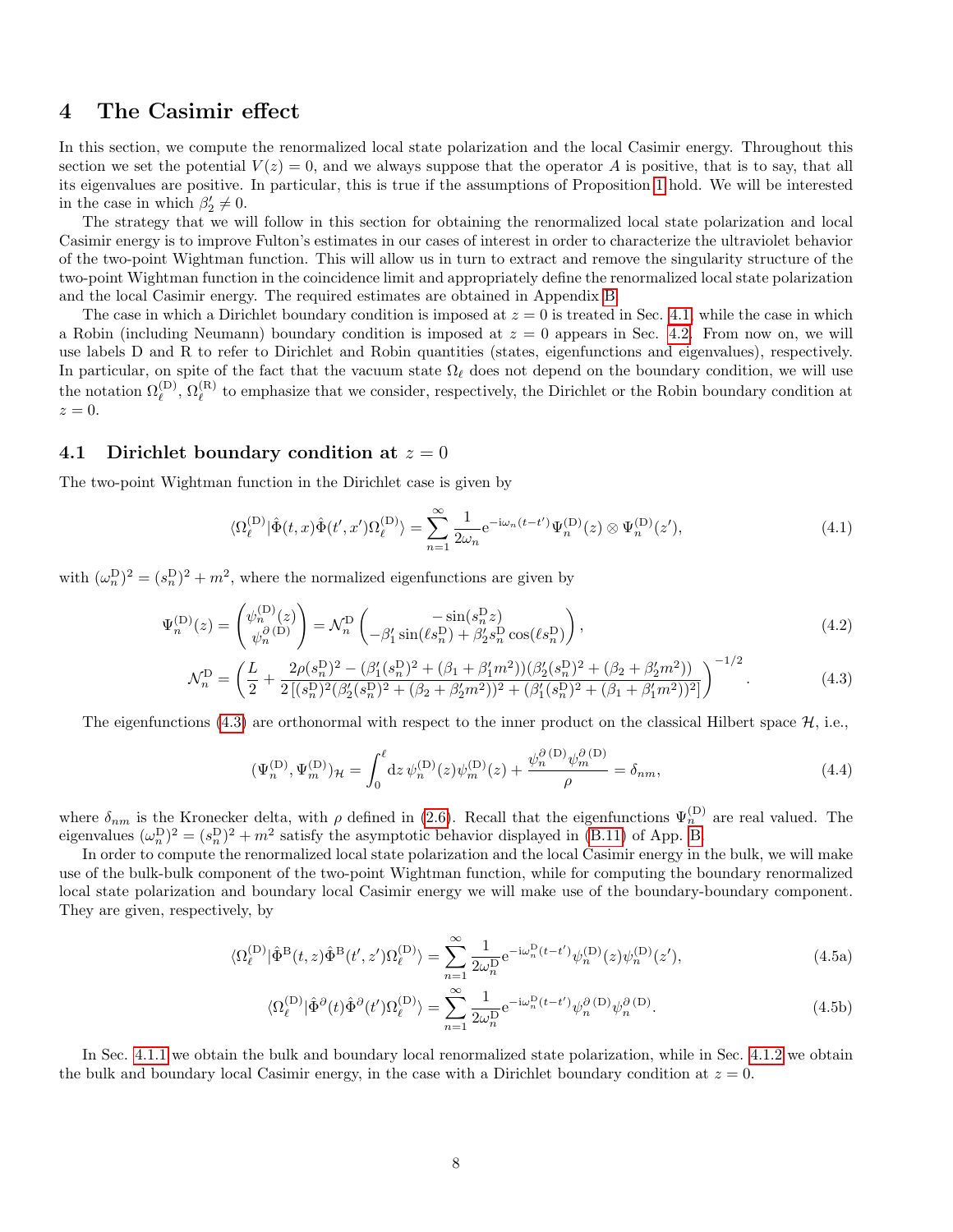# <span id="page-7-0"></span>4 The Casimir effect

In this section, we compute the renormalized local state polarization and the local Casimir energy. Throughout this section we set the potential  $V(z) = 0$ , and we always suppose that the operator A is positive, that is to say, that all its eigenvalues are positive. In particular, this is true if the assumptions of Proposition [1](#page-3-7) hold. We will be interested in the case in which  $\beta'_2 \neq 0$ .

The strategy that we will follow in this section for obtaining the renormalized local state polarization and local Casimir energy is to improve Fulton's estimates in our cases of interest in order to characterize the ultraviolet behavior of the two-point Wightman function. This will allow us in turn to extract and remove the singularity structure of the two-point Wightman function in the coincidence limit and appropriately define the renormalized local state polarization and the local Casimir energy. The required estimates are obtained in Appendix [B.](#page-18-0)

The case in which a Dirichlet boundary condition is imposed at  $z = 0$  is treated in Sec. [4.1,](#page-7-1) while the case in which a Robin (including Neumann) boundary condition is imposed at  $z = 0$  appears in Sec. [4.2.](#page-12-1) From now on, we will use labels D and R to refer to Dirichlet and Robin quantities (states, eigenfunctions and eigenvalues), respectively. In particular, on spite of the fact that the vacuum state  $\Omega_\ell$  does not depend on the boundary condition, we will use the notation  $\Omega_{\ell}^{(\mathrm{D})}, \Omega_{\ell}^{(\mathrm{R})}$  $\ell^{(k)}$  to emphasize that we consider, respectively, the Dirichlet or the Robin boundary condition at  $z=0.$ 

#### <span id="page-7-1"></span>4.1 Dirichlet boundary condition at  $z = 0$

The two-point Wightman function in the Dirichlet case is given by

$$
\langle \Omega_{\ell}^{(\mathcal{D})} | \hat{\Phi}(t, x) \hat{\Phi}(t', x') \Omega_{\ell}^{(\mathcal{D})} \rangle = \sum_{n=1}^{\infty} \frac{1}{2\omega_n} e^{-i\omega_n (t - t')} \Psi_n^{(\mathcal{D})}(z) \otimes \Psi_n^{(\mathcal{D})}(z'), \tag{4.1}
$$

with  $(\omega_n^{\mathcal{D}})^2 = (s_n^{\mathcal{D}})^2 + m^2$ , where the normalized eigenfunctions are given by

$$
\Psi_n^{(D)}(z) = \begin{pmatrix} \psi_n^{(D)}(z) \\ \psi_n^{(2)}(z) \end{pmatrix} = \mathcal{N}_n^D \begin{pmatrix} -\sin(s_n^D z) \\ -\beta_1' \sin(\ell s_n^D) + \beta_2' s_n^D \cos(\ell s_n^D) \end{pmatrix},
$$
\n(4.2)

$$
\mathcal{N}_n^{\mathcal{D}} = \left(\frac{L}{2} + \frac{2\rho(s_n^{\mathcal{D}})^2 - (\beta_1'(s_n^{\mathcal{D}})^2 + (\beta_1 + \beta_1'm^2))(\beta_2'(s_n^{\mathcal{D}})^2 + (\beta_2 + \beta_2'm^2))}{2\left[(s_n^{\mathcal{D}})^2(\beta_2'(s_n^{\mathcal{D}})^2 + (\beta_2 + \beta_2'm^2))^2 + (\beta_1'(s_n^{\mathcal{D}})^2 + (\beta_1 + \beta_1'm^2))^2\right]}\right)^{-1/2}.
$$
\n(4.3)

The eigenfunctions [\(4.3\)](#page-7-2) are orthonormal with respect to the inner product on the classical Hilbert space  $\mathcal{H}$ , i.e.,

<span id="page-7-3"></span><span id="page-7-2"></span>
$$
(\Psi_n^{(\mathcal{D})}, \Psi_m^{(\mathcal{D})})_{\mathcal{H}} = \int_0^{\ell} dz \, \psi_n^{(\mathcal{D})}(z) \psi_m^{(\mathcal{D})}(z) + \frac{\psi_n^{\partial(\mathcal{D})} \psi_m^{\partial(\mathcal{D})}}{\rho} = \delta_{nm},\tag{4.4}
$$

where  $\delta_{nm}$  is the Kronecker delta, with  $\rho$  defined in [\(2.6\)](#page-2-4). Recall that the eigenfunctions  $\Psi_n^{(D)}$  are real valued. The eigenvalues  $(\omega_n^D)^2 = (s_n^D)^2 + m^2$  satisfy the asymptotic behavior displayed in [\(B.11\)](#page-19-0) of App. [B.](#page-18-0)

In order to compute the renormalized local state polarization and the local Casimir energy in the bulk, we will make use of the bulk-bulk component of the two-point Wightman function, while for computing the boundary renormalized local state polarization and boundary local Casimir energy we will make use of the boundary-boundary component. They are given, respectively, by

$$
\langle \Omega_{\ell}^{(\mathcal{D})} | \hat{\Phi}^{\mathcal{B}}(t,z) \hat{\Phi}^{\mathcal{B}}(t',z') \Omega_{\ell}^{(\mathcal{D})} \rangle = \sum_{n=1}^{\infty} \frac{1}{2\omega_n^{\mathcal{D}}} e^{-i\omega_n^{\mathcal{D}}(t-t')} \psi_n^{(\mathcal{D})}(z) \psi_n^{(\mathcal{D})}(z'), \tag{4.5a}
$$

<span id="page-7-4"></span>
$$
\langle \Omega_{\ell}^{(\mathcal{D})} | \hat{\Phi}^{\partial}(t) \hat{\Phi}^{\partial}(t') \Omega_{\ell}^{(\mathcal{D})} \rangle = \sum_{n=1}^{\infty} \frac{1}{2\omega_n^{\mathcal{D}}} e^{-i\omega_n^{\mathcal{D}}(t-t')} \psi_n^{\partial(\mathcal{D})} \psi_n^{\partial(\mathcal{D})}.
$$
(4.5b)

In Sec. [4.1.1](#page-8-0) we obtain the bulk and boundary local renormalized state polarization, while in Sec. [4.1.2](#page-9-2) we obtain the bulk and boundary local Casimir energy, in the case with a Dirichlet boundary condition at  $z = 0$ .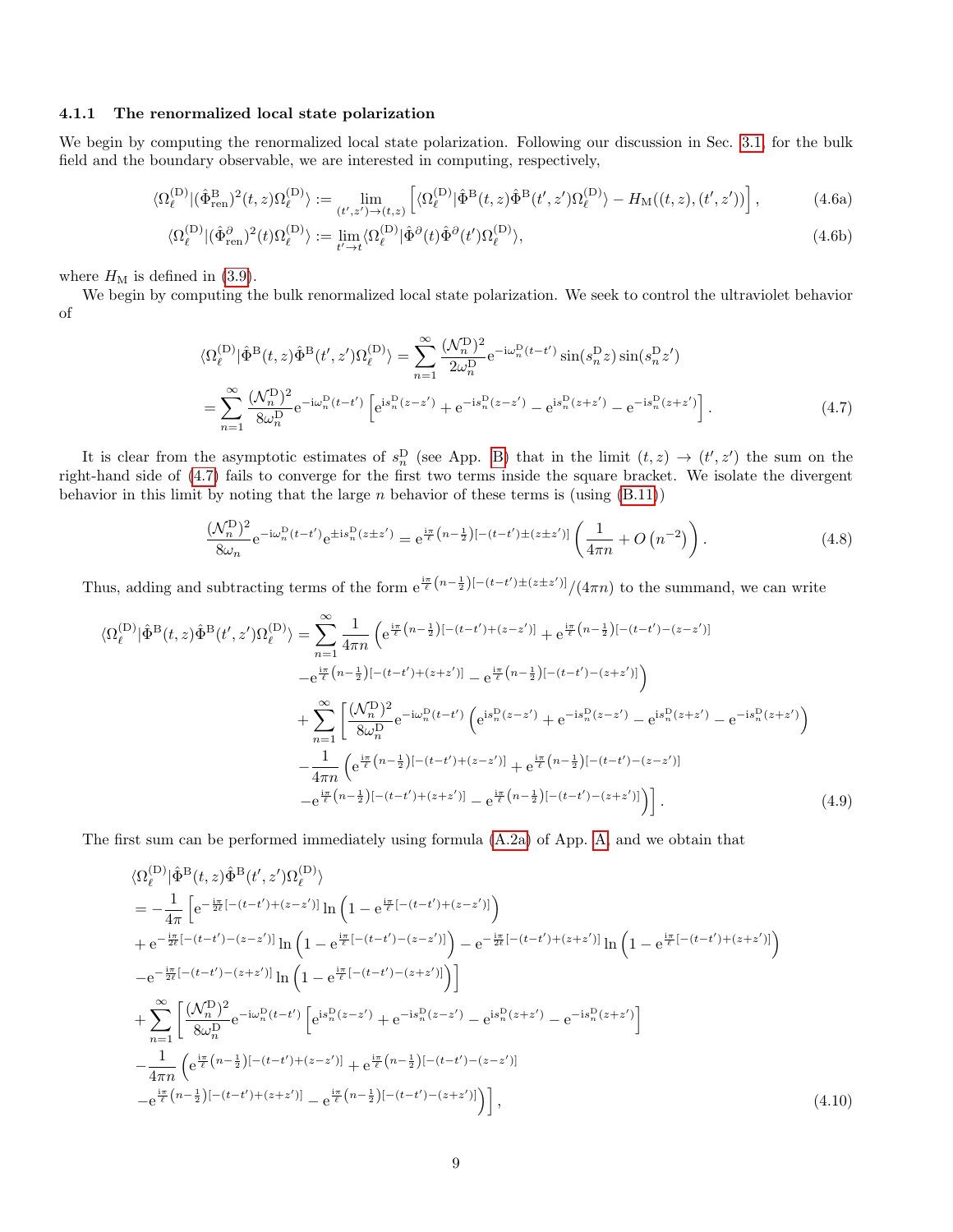#### <span id="page-8-0"></span>4.1.1 The renormalized local state polarization

We begin by computing the renormalized local state polarization. Following our discussion in Sec. [3.1,](#page-5-0) for the bulk field and the boundary observable, we are interested in computing, respectively,

$$
\langle \Omega_{\ell}^{(\mathcal{D})} | (\hat{\Phi}_{\text{ren}}^{\mathcal{B}})^2(t,z) \Omega_{\ell}^{(\mathcal{D})} \rangle := \lim_{(t',z') \to (t,z)} \left[ \langle \Omega_{\ell}^{(\mathcal{D})} | \hat{\Phi}^{\mathcal{B}}(t,z) \hat{\Phi}^{\mathcal{B}}(t',z') \Omega_{\ell}^{(\mathcal{D})} \rangle - H_{\text{M}}((t,z),(t',z')) \right],\tag{4.6a}
$$

$$
\langle \Omega_{\ell}^{(\mathcal{D})} | (\hat{\Phi}_{\text{ren}}^{\partial})^2 (t) \Omega_{\ell}^{(\mathcal{D})} \rangle := \lim_{t' \to t} \langle \Omega_{\ell}^{(\mathcal{D})} | \hat{\Phi}^{\partial} (t) \hat{\Phi}^{\partial} (t') \Omega_{\ell}^{(\mathcal{D})} \rangle, \tag{4.6b}
$$

where  $H_M$  is defined in [\(3.9\)](#page-6-0).

We begin by computing the bulk renormalized local state polarization. We seek to control the ultraviolet behavior of

<span id="page-8-3"></span><span id="page-8-1"></span>
$$
\langle \Omega_{\ell}^{(D)} | \hat{\Phi}^{B}(t, z) \hat{\Phi}^{B}(t', z') \Omega_{\ell}^{(D)} \rangle = \sum_{n=1}^{\infty} \frac{(\mathcal{N}_{n}^{D})^{2}}{2\omega_{n}^{D}} e^{-i\omega_{n}^{D}(t-t')} \sin(s_{n}^{D} z) \sin(s_{n}^{D} z')
$$
  
= 
$$
\sum_{n=1}^{\infty} \frac{(\mathcal{N}_{n}^{D})^{2}}{8\omega_{n}^{D}} e^{-i\omega_{n}^{D}(t-t')} \left[ e^{i s_{n}^{D}(z-z')} + e^{-i s_{n}^{D}(z-z')} - e^{i s_{n}^{D}(z+z')} - e^{-i s_{n}^{D}(z+z')} \right].
$$
 (4.7)

It is clear from the asymptotic estimates of  $s_n^D$  (see App. [B\)](#page-18-0) that in the limit  $(t, z) \rightarrow (t', z')$  the sum on the right-hand side of [\(4.7\)](#page-8-1) fails to converge for the first two terms inside the square bracket. We isolate the divergent behavior in this limit by noting that the large  $n$  behavior of these terms is (using  $(B.11)$ )

<span id="page-8-4"></span>
$$
\frac{(\mathcal{N}_n^{\mathcal{D}})^2}{8\omega_n} e^{-i\omega_n^{\mathcal{D}}(t-t')} e^{\pm i s_n^{\mathcal{D}}(z\pm z')} = e^{\frac{i\pi}{\ell} \left(n - \frac{1}{2}\right)\left[-(t-t')\pm(z\pm z')\right]} \left(\frac{1}{4\pi n} + O\left(n^{-2}\right)\right). \tag{4.8}
$$

Thus, adding and subtracting terms of the form  $e^{\frac{i\pi}{\ell}(n-\frac{1}{2})[-(t-t')\pm(z\pm z')]}/(4\pi n)$  to the summand, we can write

$$
\langle \Omega_{\ell}^{(D)} | \hat{\Phi}^{B}(t,z) \hat{\Phi}^{B}(t',z') \Omega_{\ell}^{(D)} \rangle = \sum_{n=1}^{\infty} \frac{1}{4\pi n} \left( e^{\frac{i\pi}{\ell} \left( n - \frac{1}{2} \right) \left[ -(t-t') + (z-z') \right]} + e^{\frac{i\pi}{\ell} \left( n - \frac{1}{2} \right) \left[ -(t-t') - (z-z') \right]} - e^{\frac{i\pi}{\ell} \left( n - \frac{1}{2} \right) \left[ -(t-t') + (z+z') \right]} - e^{\frac{i\pi}{\ell} \left( n - \frac{1}{2} \right) \left[ -(t-t') - (z+z') \right]} \right) + \sum_{n=1}^{\infty} \left[ \frac{(\mathcal{N}_{n}^{D})^{2}}{8\omega_{n}^{D}} e^{-i\omega_{n}^{D}(t-t')} \left( e^{i s_{n}^{D}(z-z')} + e^{-i s_{n}^{D}(z-z')} - e^{i s_{n}^{D}(z+z')} - e^{-i s_{n}^{D}(z+z')} \right) - \frac{1}{4\pi n} \left( e^{\frac{i\pi}{\ell} \left( n - \frac{1}{2} \right) \left[ -(t-t') + (z-z') \right]} + e^{\frac{i\pi}{\ell} \left( n - \frac{1}{2} \right) \left[ -(t-t') - (z-z') \right]} - e^{\frac{i\pi}{\ell} \left( n - \frac{1}{2} \right) \left[ -(t-t') - (z+z') \right]} \right) - e^{\frac{i\pi}{\ell} \left( n - \frac{1}{2} \right) \left[ -(t-t') + (z+z') \right]} - e^{\frac{i\pi}{\ell} \left( n - \frac{1}{2} \right) \left[ -(t-t') - (z+z') \right]} \right). \tag{4.9}
$$

The first sum can be performed immediately using formula [\(A.2a\)](#page-18-1) of App. [A,](#page-17-1) and we obtain that

<span id="page-8-2"></span>
$$
\langle \Omega_{\ell}^{(D)} | \hat{\Phi}^{B}(t,z) \hat{\Phi}^{B}(t',z') \Omega_{\ell}^{(D)} \rangle
$$
\n
$$
= -\frac{1}{4\pi} \left[ e^{-\frac{i\pi}{2\ell} [-(t-t') + (z-z')] } \ln \left( 1 - e^{\frac{i\pi}{\ell} [-(t-t') + (z-z')] } \right) \right.
$$
\n
$$
+ e^{-\frac{i\pi}{2\ell} [-(t-t') - (z-z')] } \ln \left( 1 - e^{\frac{i\pi}{\ell} [-(t-t') - (z-z')] } \right) - e^{-\frac{i\pi}{2\ell} [-(t-t') + (z+z')] } \ln \left( 1 - e^{\frac{i\pi}{\ell} [-(t-t') - (z+z')] } \right)
$$
\n
$$
- e^{-\frac{i\pi}{2\ell} [-(t-t') - (z+z')] } \ln \left( 1 - e^{\frac{i\pi}{\ell} [-(t-t') - (z+z')] } \right) \right]
$$
\n
$$
+ \sum_{n=1}^{\infty} \left[ \frac{(\mathcal{N}_n^D)^2}{8\omega_n^D} e^{-i\omega_n^D (t-t')} \left[ e^{i s_n^D (z-z')} + e^{-i s_n^D (z-z')} - e^{i s_n^D (z+z')} - e^{-i s_n^D (z+z')} \right] \right]
$$
\n
$$
- \frac{1}{4\pi n} \left( e^{\frac{i\pi}{\ell} (n-\frac{1}{2}) [-(t-t') + (z-z')] } + e^{\frac{i\pi}{\ell} (n-\frac{1}{2}) [-(t-t') - (z-z')] } - e^{\frac{i\pi}{\ell} (n-\frac{1}{2}) [-(t-t') - (z+z')] } \right) \right],
$$
\n(4.10)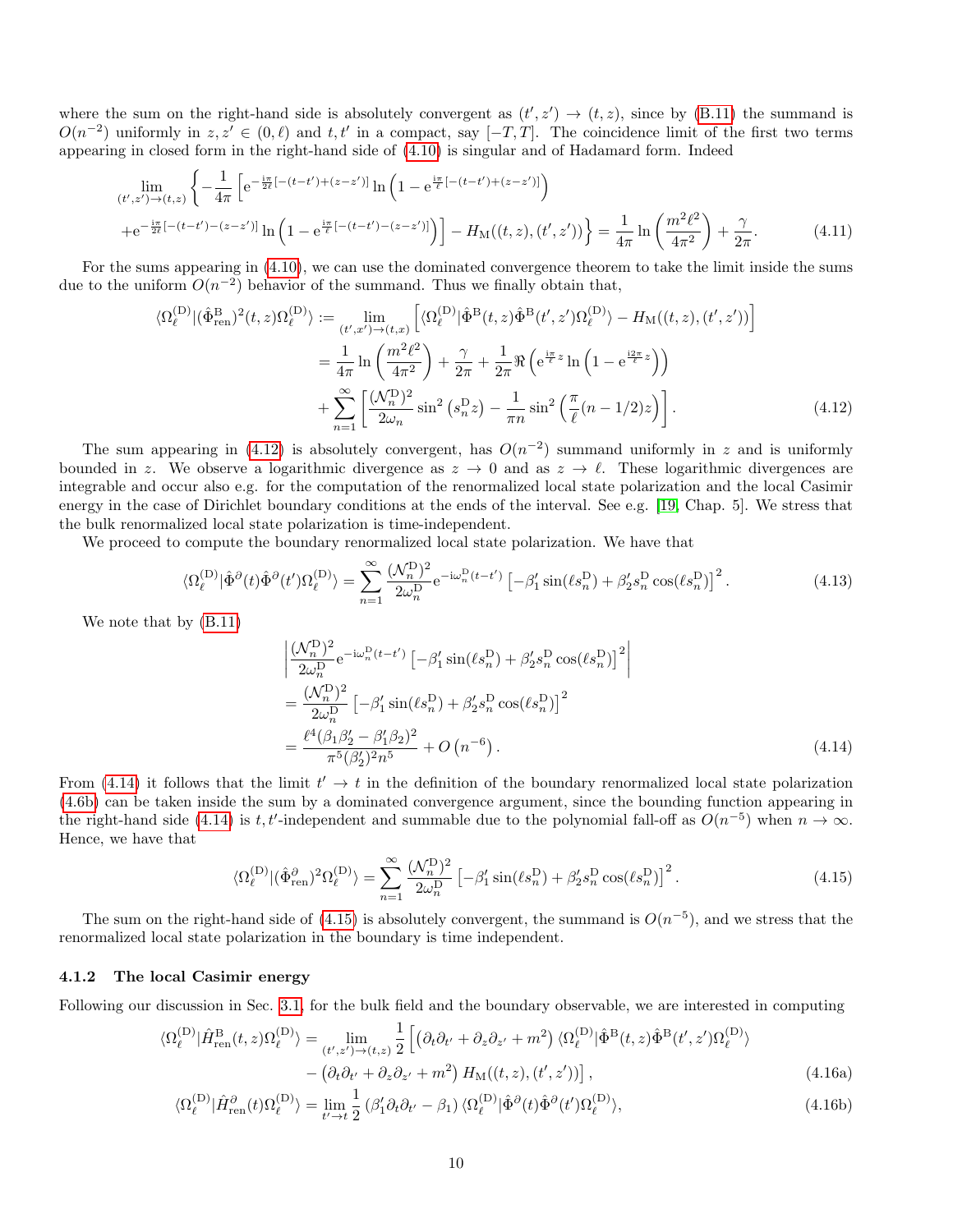where the sum on the right-hand side is absolutely convergent as  $(t', z') \rightarrow (t, z)$ , since by [\(B.11\)](#page-19-0) the summand is  $O(n^{-2})$  uniformly in  $z, z' \in (0, \ell)$  and  $t, t'$  in a compact, say  $[-T, T]$ . The coincidence limit of the first two terms appearing in closed form in the right-hand side of [\(4.10\)](#page-8-2) is singular and of Hadamard form. Indeed

$$
\lim_{(t',z') \to (t,z)} \left\{ -\frac{1}{4\pi} \left[ e^{-\frac{i\pi}{2\ell}[-(t-t') + (z-z')]}\ln\left(1 - e^{\frac{i\pi}{\ell}[-(t-t') + (z-z')]}\right) \right. \right.\left. + e^{-\frac{i\pi}{2\ell}[-(t-t') - (z-z')]}\ln\left(1 - e^{\frac{i\pi}{\ell}[-(t-t') - (z-z')]}\right) \right] - H_{\mathcal{M}}((t,z),(t',z')) \right\} = \frac{1}{4\pi} \ln\left(\frac{m^2\ell^2}{4\pi^2}\right) + \frac{\gamma}{2\pi}.
$$
\n(4.11)

For the sums appearing in [\(4.10\)](#page-8-2), we can use the dominated convergence theorem to take the limit inside the sums due to the uniform  $O(n^{-2})$  behavior of the summand. Thus we finally obtain that,

$$
\langle \Omega_{\ell}^{(D)} | (\hat{\Phi}_{\text{ren}}^{B})^{2}(t,z) \Omega_{\ell}^{(D)} \rangle := \lim_{(t',x') \to (t,x)} \left[ \langle \Omega_{\ell}^{(D)} | \hat{\Phi}^{B}(t,z) \hat{\Phi}^{B}(t',z') \Omega_{\ell}^{(D)} \rangle - H_{\text{M}}((t,z),(t',z')) \right]
$$
  

$$
= \frac{1}{4\pi} \ln \left( \frac{m^{2}\ell^{2}}{4\pi^{2}} \right) + \frac{\gamma}{2\pi} + \frac{1}{2\pi} \Re \left( e^{\frac{i\pi}{\ell}z} \ln \left( 1 - e^{\frac{i2\pi}{\ell}z} \right) \right)
$$
  

$$
+ \sum_{n=1}^{\infty} \left[ \frac{(\mathcal{N}_{n}^{D})^{2}}{2\omega_{n}} \sin^{2} \left( s_{n}^{D} z \right) - \frac{1}{\pi n} \sin^{2} \left( \frac{\pi}{\ell} (n - 1/2) z \right) \right]. \tag{4.12}
$$

The sum appearing in [\(4.12\)](#page-9-0) is absolutely convergent, has  $O(n^{-2})$  summand uniformly in z and is uniformly bounded in z. We observe a logarithmic divergence as  $z \to 0$  and as  $z \to \ell$ . These logarithmic divergences are integrable and occur also e.g. for the computation of the renormalized local state polarization and the local Casimir energy in the case of Dirichlet boundary conditions at the ends of the interval. See e.g. [\[19,](#page-26-12) Chap. 5]. We stress that the bulk renormalized local state polarization is time-independent.

We proceed to compute the boundary renormalized local state polarization. We have that

$$
\langle \Omega_{\ell}^{(D)} | \hat{\Phi}^{\partial}(t) \hat{\Phi}^{\partial}(t') \Omega_{\ell}^{(D)} \rangle = \sum_{n=1}^{\infty} \frac{(\mathcal{N}_n^D)^2}{2\omega_n^D} e^{-i\omega_n^D (t-t')} \left[ -\beta_1' \sin(\ell s_n^D) + \beta_2' s_n^D \cos(\ell s_n^D) \right]^2.
$$
 (4.13)

We note that by [\(B.11\)](#page-19-0)

<span id="page-9-3"></span><span id="page-9-1"></span><span id="page-9-0"></span>
$$
\begin{split}\n&\left|\frac{(\mathcal{N}_n^{\rm D})^2}{2\omega_n^{\rm D}} e^{-i\omega_n^{\rm D}(t-t')} \left[ -\beta_1' \sin(\ell s_n^{\rm D}) + \beta_2' s_n^{\rm D} \cos(\ell s_n^{\rm D}) \right]^2 \right| \\
&= \frac{(\mathcal{N}_n^{\rm D})^2}{2\omega_n^{\rm D}} \left[ -\beta_1' \sin(\ell s_n^{\rm D}) + \beta_2' s_n^{\rm D} \cos(\ell s_n^{\rm D}) \right]^2 \\
&= \frac{\ell^4 (\beta_1 \beta_2' - \beta_1' \beta_2)^2}{\pi^5 (\beta_2')^2 n^5} + O\left(n^{-6}\right).\n\end{split} \tag{4.14}
$$

From [\(4.14\)](#page-9-3) it follows that the limit  $t' \rightarrow t$  in the definition of the boundary renormalized local state polarization [\(4.6b\)](#page-8-3) can be taken inside the sum by a dominated convergence argument, since the bounding function appearing in the right-hand side [\(4.14\)](#page-9-3) is t, t'-independent and summable due to the polynomial fall-off as  $O(n^{-5})$  when  $n \to \infty$ . Hence, we have that

<span id="page-9-5"></span><span id="page-9-4"></span>
$$
\langle \Omega_{\ell}^{(D)} | (\hat{\Phi}_{\text{ren}}^{\partial})^2 \Omega_{\ell}^{(D)} \rangle = \sum_{n=1}^{\infty} \frac{(\mathcal{N}_n^{\text{D}})^2}{2\omega_n^{\text{D}}} \left[ -\beta_1' \sin(\ell s_n^{\text{D}}) + \beta_2' s_n^{\text{D}} \cos(\ell s_n^{\text{D}}) \right]^2.
$$
 (4.15)

The sum on the right-hand side of [\(4.15\)](#page-9-1) is absolutely convergent, the summand is  $O(n^{-5})$ , and we stress that the renormalized local state polarization in the boundary is time independent.

#### <span id="page-9-2"></span>4.1.2 The local Casimir energy

Following our discussion in Sec. [3.1,](#page-5-0) for the bulk field and the boundary observable, we are interested in computing

$$
\langle \Omega_{\ell}^{(D)} | \hat{H}_{ren}^{B}(t,z) \Omega_{\ell}^{(D)} \rangle = \lim_{(t',z') \to (t,z)} \frac{1}{2} \left[ \left( \partial_{t} \partial_{t'} + \partial_{z} \partial_{z'} + m^{2} \right) \langle \Omega_{\ell}^{(D)} | \hat{\Phi}^{B}(t,z) \hat{\Phi}^{B}(t',z') \Omega_{\ell}^{(D)} \rangle \right. \\ \left. - \left( \partial_{t} \partial_{t'} + \partial_{z} \partial_{z'} + m^{2} \right) H_{\mathcal{M}}((t,z),(t',z')) \right], \tag{4.16a}
$$

$$
\langle \Omega_{\ell}^{(\mathcal{D})} | \hat{H}_{\text{ren}}^{\partial}(t) \Omega_{\ell}^{(\mathcal{D})} \rangle = \lim_{t' \to t} \frac{1}{2} \left( \beta_1' \partial_t \partial_{t'} - \beta_1 \right) \langle \Omega_{\ell}^{(\mathcal{D})} | \hat{\Phi}^{\partial}(t) \hat{\Phi}^{\partial}(t') \Omega_{\ell}^{(\mathcal{D})} \rangle, \tag{4.16b}
$$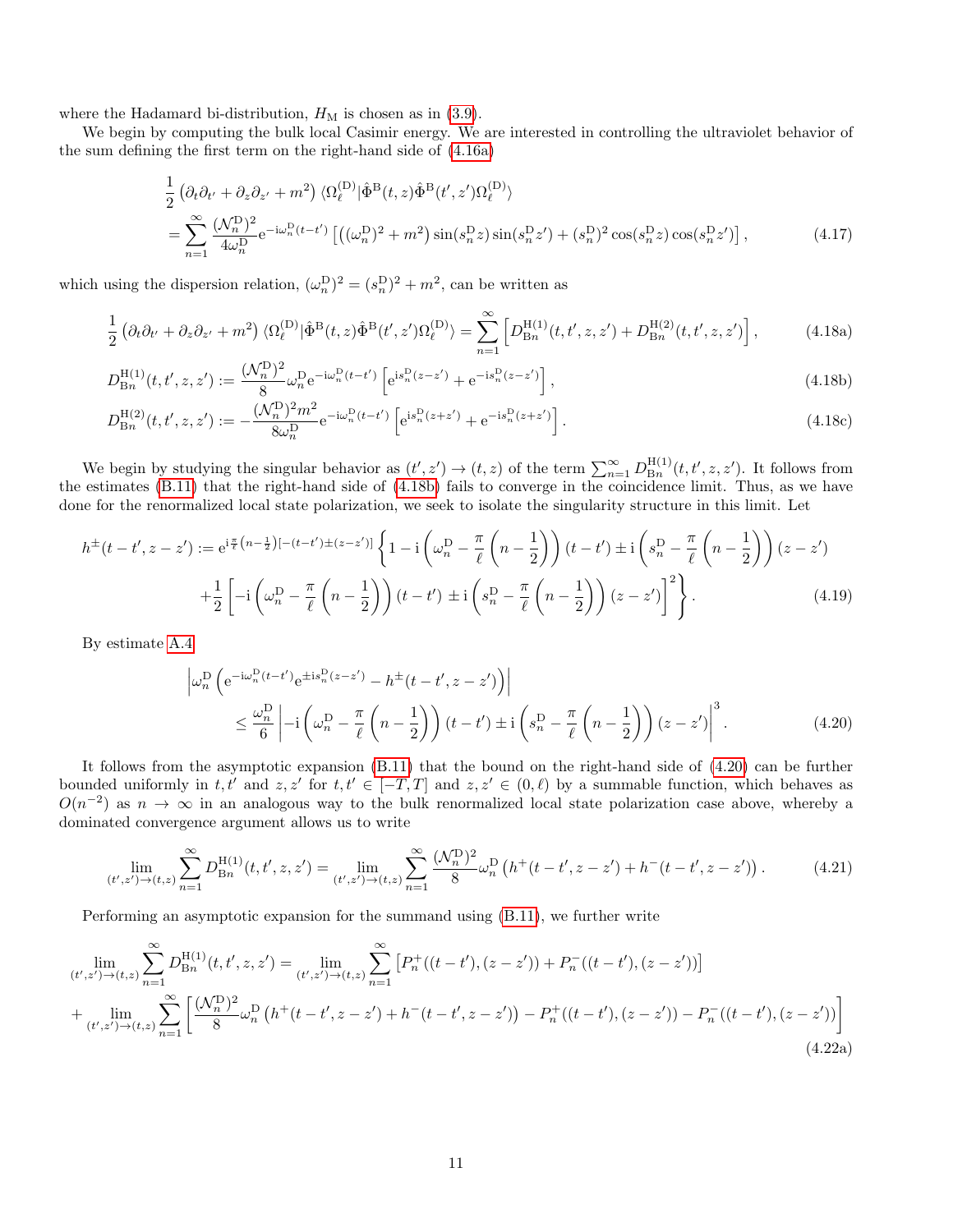where the Hadamard bi-distribution,  $H_M$  is chosen as in [\(3.9\)](#page-6-0).

We begin by computing the bulk local Casimir energy. We are interested in controlling the ultraviolet behavior of the sum defining the first term on the right-hand side of [\(4.16a\)](#page-9-4)

<span id="page-10-0"></span>
$$
\frac{1}{2} \left( \partial_t \partial_{t'} + \partial_z \partial_{z'} + m^2 \right) \langle \Omega_{\ell}^{(D)} | \hat{\Phi}^B(t, z) \hat{\Phi}^B(t', z') \Omega_{\ell}^{(D)} \rangle \n= \sum_{n=1}^{\infty} \frac{(\mathcal{N}_n^D)^2}{4\omega_n^D} e^{-i\omega_n^D (t - t')} \left[ \left( (\omega_n^D)^2 + m^2 \right) \sin(s_n^D z) \sin(s_n^D z') + (s_n^D)^2 \cos(s_n^D z) \cos(s_n^D z') \right],
$$
\n(4.17)

which using the dispersion relation,  $(\omega_n^{\mathcal{D}})^2 = (s_n^{\mathcal{D}})^2 + m^2$ , can be written as

$$
\frac{1}{2} \left( \partial_t \partial_{t'} + \partial_z \partial_{z'} + m^2 \right) \langle \Omega_{\ell}^{(D)} | \hat{\Phi}^{\text{B}}(t, z) \hat{\Phi}^{\text{B}}(t', z') \Omega_{\ell}^{(D)} \rangle = \sum_{n=1}^{\infty} \left[ D_{\text{B}_n}^{\text{H}(1)}(t, t', z, z') + D_{\text{B}_n}^{\text{H}(2)}(t, t', z, z') \right], \tag{4.18a}
$$

$$
D_{\text{B}n}^{\text{H}(1)}(t, t', z, z') := \frac{(\mathcal{N}_n^{\text{D}})^2}{8} \omega_n^{\text{D}} e^{-i\omega_n^{\text{D}}(t-t')} \left[ e^{i s_n^{\text{D}}(z-z')} + e^{-i s_n^{\text{D}}(z-z')} \right],\tag{4.18b}
$$

$$
D_{\text{B}n}^{\text{H}(2)}(t, t', z, z') := -\frac{(\mathcal{N}_n^{\text{D}})^2 m^2}{8\omega_n^{\text{D}}} e^{-i\omega_n^{\text{D}}(t-t')} \left[ e^{i s_n^{\text{D}}(z+z')} + e^{-i s_n^{\text{D}}(z+z')} \right]. \tag{4.18c}
$$

We begin by studying the singular behavior as  $(t', z') \to (t, z)$  of the term  $\sum_{n=1}^{\infty} D_{\text{B}_n}^{\text{H}(1)}$  $\mathbb{B}_n^{\mathrm{H}(1)}(t,t',z,z')$ . It follows from the estimates [\(B.11\)](#page-19-0) that the right-hand side of [\(4.18b\)](#page-10-0) fails to converge in the coincidence limit. Thus, as we have done for the renormalized local state polarization, we seek to isolate the singularity structure in this limit. Let

$$
h^{\pm}(t-t',z-z') := e^{i\frac{\pi}{\ell}(n-\frac{1}{2})[-(t-t')\pm(z-z')]}\left\{1-i\left(\omega_n^D - \frac{\pi}{\ell}\left(n-\frac{1}{2}\right)\right)(t-t')\pm i\left(s_n^D - \frac{\pi}{\ell}\left(n-\frac{1}{2}\right)\right)(z-z')\right\}
$$

$$
+\frac{1}{2}\left[-i\left(\omega_n^D - \frac{\pi}{\ell}\left(n-\frac{1}{2}\right)\right)(t-t')\pm i\left(s_n^D - \frac{\pi}{\ell}\left(n-\frac{1}{2}\right)\right)(z-z')\right]^2\right\}.
$$
(4.19)

By estimate [A.4](#page-18-2)

<span id="page-10-3"></span><span id="page-10-2"></span><span id="page-10-1"></span>
$$
\left| \omega_n^{\mathcal{D}} \left( e^{-i\omega_n^{\mathcal{D}} (t-t')} e^{\pm i s_n^{\mathcal{D}} (z-z')} - h^{\pm} (t-t', z-z') \right) \right|
$$
  
 
$$
\leq \frac{\omega_n^{\mathcal{D}}}{6} \left| -i \left( \omega_n^{\mathcal{D}} - \frac{\pi}{\ell} \left( n - \frac{1}{2} \right) \right) (t-t') \pm i \left( s_n^{\mathcal{D}} - \frac{\pi}{\ell} \left( n - \frac{1}{2} \right) \right) (z-z') \right|^3.
$$
 (4.20)

It follows from the asymptotic expansion [\(B.11\)](#page-19-0) that the bound on the right-hand side of [\(4.20\)](#page-10-1) can be further bounded uniformly in t, t' and z, z' for t,  $t' \in [-T, T]$  and  $z, z' \in (0, \ell)$  by a summable function, which behaves as  $O(n^{-2})$  as  $n \to \infty$  in an analogous way to the bulk renormalized local state polarization case above, whereby a dominated convergence argument allows us to write

$$
\lim_{(t',z') \to (t,z)} \sum_{n=1}^{\infty} D_{\text{B}n}^{\text{H}(1)}(t,t',z,z') = \lim_{(t',z') \to (t,z)} \sum_{n=1}^{\infty} \frac{(\mathcal{N}_n^{\text{D}})^2}{8} \omega_n^{\text{D}}\left(h^+(t-t',z-z') + h^-(t-t',z-z')\right). \tag{4.21}
$$

Performing an asymptotic expansion for the summand using [\(B.11\)](#page-19-0), we further write

$$
\lim_{(t',z')\to(t,z)} \sum_{n=1}^{\infty} D_{\text{B}n}^{\text{H}(1)}(t,t',z,z') = \lim_{(t',z')\to(t,z)} \sum_{n=1}^{\infty} \left[ P_n^+( (t-t'),(z-z')) + P_n^-( (t-t'),(z-z')) \right]
$$
  
+ 
$$
\lim_{(t',z')\to(t,z)} \sum_{n=1}^{\infty} \left[ \frac{(\mathcal{N}_n^{\text{D}})^2}{8} \omega_n^{\text{D}} \left( h^+ (t-t',z-z') + h^-(t-t',z-z') \right) - P_n^+((t-t'),(z-z')) - P_n^-( (t-t'),(z-z')) \right]
$$
(4.22a)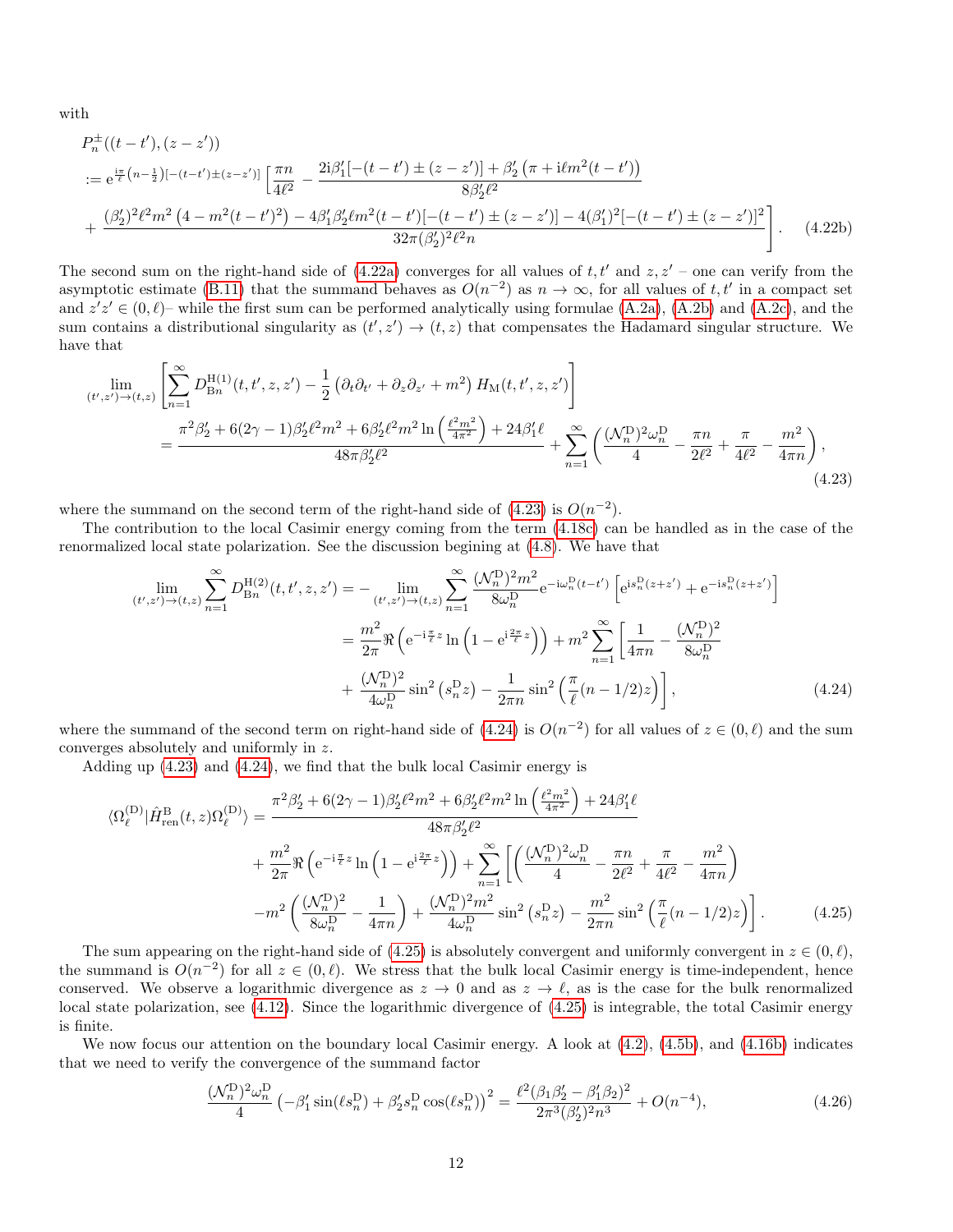with

$$
P_n^{\pm}((t-t'),(z-z'))
$$
  
\n:=  $e^{\frac{i\pi}{\ell}(n-\frac{1}{2})[-(t-t')\pm(z-z')]}\left[\frac{\pi n}{4\ell^2} - \frac{2i\beta_1'[-(t-t')\pm(z-z')] + \beta_2'(\pi+i\ell m^2(t-t'))}{8\beta_2'\ell^2}\right]$   
\n+  $\frac{(\beta_2')^2\ell^2 m^2(4-m^2(t-t')^2) - 4\beta_1'\beta_2'\ell m^2(t-t')[-(t-t')\pm(z-z')] - 4(\beta_1')^2[-(t-t')\pm(z-z')]^2}{32\pi(\beta_2')^2\ell^2 n}\right].$  (4.22b)

The second sum on the right-hand side of  $(4.22a)$  converges for all values of  $t, t'$  and  $z, z'$  – one can verify from the asymptotic estimate [\(B.11\)](#page-19-0) that the summand behaves as  $O(n^{-2})$  as  $n \to \infty$ , for all values of t, t' in a compact set and  $z'z' \in (0, \ell)$ – while the first sum can be performed analytically using formulae [\(A.2a\)](#page-18-1), [\(A.2b\)](#page-18-3) and [\(A.2c\)](#page-18-4), and the sum contains a distributional singularity as  $(t', z') \rightarrow (t, z)$  that compensates the Hadamard singular structure. We have that

$$
\lim_{(t',z')\to(t,z)} \left[ \sum_{n=1}^{\infty} D_{\text{B}n}^{\text{H}(1)}(t,t',z,z') - \frac{1}{2} \left( \partial_t \partial_{t'} + \partial_z \partial_{z'} + m^2 \right) H_{\text{M}}(t,t',z,z') \right]
$$
\n
$$
= \frac{\pi^2 \beta_2' + 6(2\gamma - 1)\beta_2'\ell^2 m^2 + 6\beta_2'\ell^2 m^2 \ln\left(\frac{\ell^2 m^2}{4\pi^2}\right) + 24\beta_1'\ell}{48\pi \beta_2'\ell^2} + \sum_{n=1}^{\infty} \left( \frac{(\mathcal{N}_n^{\text{D}})^2 \omega_n^{\text{D}}}{4} - \frac{\pi n}{2\ell^2} + \frac{\pi}{4\ell^2} - \frac{m^2}{4\pi n} \right),
$$
\n(4.23)

where the summand on the second term of the right-hand side of  $(4.23)$  is  $O(n^{-2})$ .

The contribution to the local Casimir energy coming from the term [\(4.18c\)](#page-10-3) can be handled as in the case of the renormalized local state polarization. See the discussion begining at [\(4.8\)](#page-8-4). We have that

<span id="page-11-2"></span><span id="page-11-1"></span>
$$
\lim_{(t',z') \to (t,z)} \sum_{n=1}^{\infty} D_{\text{B}n}^{\text{H}(2)}(t, t', z, z') = -\lim_{(t',z') \to (t,z)} \sum_{n=1}^{\infty} \frac{(\mathcal{N}_n^{\text{D}})^2 m^2}{8\omega_n^{\text{D}}} e^{-i\omega_n^{\text{D}}(t-t')} \left[ e^{i s_n^{\text{D}}(z+z')} + e^{-i s_n^{\text{D}}(z+z')} \right]
$$
\n
$$
= \frac{m^2}{2\pi} \Re \left( e^{-i\frac{\pi}{\ell}z} \ln \left( 1 - e^{i\frac{2\pi}{\ell}z} \right) \right) + m^2 \sum_{n=1}^{\infty} \left[ \frac{1}{4\pi n} - \frac{(\mathcal{N}_n^{\text{D}})^2}{8\omega_n^{\text{D}}} + \frac{(\mathcal{N}_n^{\text{D}})^2}{4\omega_n^{\text{D}}} \sin^2 \left( s_n^{\text{D}} z \right) - \frac{1}{2\pi n} \sin^2 \left( \frac{\pi}{\ell} (n - 1/2) z \right) \right],
$$
\n(4.24)

where the summand of the second term on right-hand side of  $(4.24)$  is  $O(n^{-2})$  for all values of  $z \in (0, \ell)$  and the sum converges absolutely and uniformly in z.

Adding up [\(4.23\)](#page-11-1) and [\(4.24\)](#page-11-2), we find that the bulk local Casimir energy is

$$
\langle \Omega_{\ell}^{(\mathcal{D})} | \hat{H}_{\text{ren}}^{\text{B}}(t,z) \Omega_{\ell}^{(\mathcal{D})} \rangle = \frac{\pi^2 \beta_2' + 6(2\gamma - 1)\beta_2' \ell^2 m^2 + 6\beta_2' \ell^2 m^2 \ln\left(\frac{\ell^2 m^2}{4\pi^2}\right) + 24\beta_1' \ell}{48\pi \beta_2' \ell^2} + \frac{m^2}{2\pi} \Re\left(e^{-i\frac{\pi}{\ell}z} \ln\left(1 - e^{i\frac{2\pi}{\ell}z}\right)\right) + \sum_{n=1}^{\infty} \left[ \left(\frac{(\mathcal{N}_n^{\mathcal{D}})^2 \omega_n^{\mathcal{D}}}{4} - \frac{\pi n}{2\ell^2} + \frac{\pi}{4\ell^2} - \frac{m^2}{4\pi n} \right) \right] - m^2 \left( \frac{(\mathcal{N}_n^{\mathcal{D}})^2}{8\omega_n^{\mathcal{D}}} - \frac{1}{4\pi n} \right) + \frac{(\mathcal{N}_n^{\mathcal{D}})^2 m^2}{4\omega_n^{\mathcal{D}}} \sin^2\left(s_n^{\mathcal{D}}z\right) - \frac{m^2}{2\pi n} \sin^2\left(\frac{\pi}{\ell}(n - 1/2)z\right) \right].
$$
 (4.25)

The sum appearing on the right-hand side of [\(4.25\)](#page-11-0) is absolutely convergent and uniformly convergent in  $z \in (0, \ell)$ , the summand is  $O(n^{-2})$  for all  $z \in (0, \ell)$ . We stress that the bulk local Casimir energy is time-independent, hence conserved. We observe a logarithmic divergence as  $z \to 0$  and as  $z \to \ell$ , as is the case for the bulk renormalized local state polarization, see [\(4.12\)](#page-9-0). Since the logarithmic divergence of [\(4.25\)](#page-11-0) is integrable, the total Casimir energy is finite.

We now focus our attention on the boundary local Casimir energy. A look at  $(4.2)$ ,  $(4.5b)$ , and  $(4.16b)$  indicates that we need to verify the convergence of the summand factor

<span id="page-11-3"></span><span id="page-11-0"></span>
$$
\frac{(\mathcal{N}_n^{\mathcal{D}})^2 \omega_n^{\mathcal{D}}}{4} \left(-\beta_1' \sin(\ell s_n^{\mathcal{D}}) + \beta_2' s_n^{\mathcal{D}} \cos(\ell s_n^{\mathcal{D}})\right)^2 = \frac{\ell^2 (\beta_1 \beta_2' - \beta_1' \beta_2)^2}{2\pi^3 (\beta_2')^2 n^3} + O(n^{-4}),\tag{4.26}
$$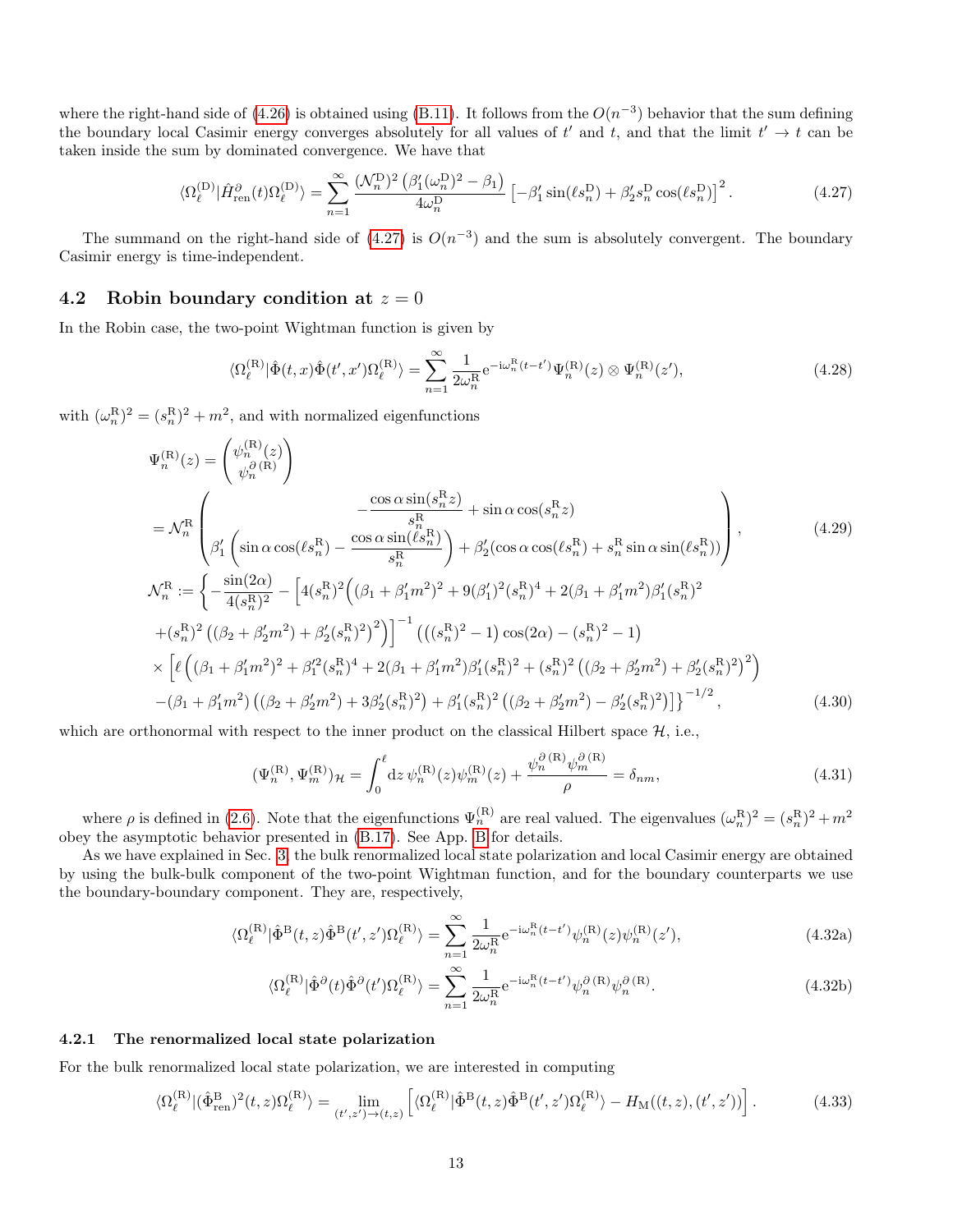where the right-hand side of [\(4.26\)](#page-11-3) is obtained using [\(B.11\)](#page-19-0). It follows from the  $O(n^{-3})$  behavior that the sum defining the boundary local Casimir energy converges absolutely for all values of t' and t, and that the limit  $t' \to t$  can be taken inside the sum by dominated convergence. We have that

$$
\langle \Omega_{\ell}^{(\mathcal{D})} | \hat{H}_{\text{ren}}^{\partial}(t) \Omega_{\ell}^{(\mathcal{D})} \rangle = \sum_{n=1}^{\infty} \frac{(\mathcal{N}_n^{\mathcal{D}})^2 (\beta_1'(\omega_n^{\mathcal{D}})^2 - \beta_1)}{4\omega_n^{\mathcal{D}}} \left[ -\beta_1' \sin(\ell s_n^{\mathcal{D}}) + \beta_2' s_n^{\mathcal{D}} \cos(\ell s_n^{\mathcal{D}}) \right]^2. \tag{4.27}
$$

The summand on the right-hand side of  $(4.27)$  is  $O(n^{-3})$  and the sum is absolutely convergent. The boundary Casimir energy is time-independent.

#### <span id="page-12-1"></span>4.2 Robin boundary condition at  $z = 0$

In the Robin case, the two-point Wightman function is given by

<span id="page-12-3"></span><span id="page-12-0"></span>
$$
\langle \Omega_{\ell}^{(\mathcal{R})} | \hat{\Phi}(t, x) \hat{\Phi}(t', x') \Omega_{\ell}^{(\mathcal{R})} \rangle = \sum_{n=1}^{\infty} \frac{1}{2\omega_n^{\mathcal{R}}} e^{-i\omega_n^{\mathcal{R}}(t-t')} \Psi_n^{(\mathcal{R})}(z) \otimes \Psi_n^{(\mathcal{R})}(z'), \tag{4.28}
$$

with  $(\omega_n^{\mathcal{R}})^2 = (s_n^{\mathcal{R}})^2 + m^2$ , and with normalized eigenfunctions

$$
\Psi_{n}^{(\mathbf{R})}(z) = \begin{pmatrix} \psi_{n}^{(\mathbf{R})}(z) \\ \psi_{n}^{(\mathbf{R})}(\mathbf{R}) \end{pmatrix} - \frac{\cos \alpha \sin(s_{n}^{\mathbf{R}}z)}{s_{n}^{\mathbf{R}}} + \sin \alpha \cos(s_{n}^{\mathbf{R}}z) \n= \mathcal{N}_{n}^{\mathbf{R}} \begin{pmatrix} -\frac{\cos \alpha \sin(s_{n}^{\mathbf{R}}z)}{s_{n}^{\mathbf{R}}} + \sin \alpha \cos(s_{n}^{\mathbf{R}}z) \\ \beta_{1}^{\prime} \left( \sin \alpha \cos(\ell s_{n}^{\mathbf{R}}) - \frac{\cos \alpha \sin(\ell s_{n}^{\mathbf{R}})}{s_{n}^{\mathbf{R}}} \right) + \beta_{2}^{\prime} (\cos \alpha \cos(\ell s_{n}^{\mathbf{R}}) + s_{n}^{\mathbf{R}} \sin \alpha \sin(\ell s_{n}^{\mathbf{R}})) \end{pmatrix},
$$
\n
$$
\mathcal{N}_{n}^{\mathbf{R}} := \left\{ -\frac{\sin(2\alpha)}{4(s_{n}^{\mathbf{R}})^{2}} - \left[ 4(s_{n}^{\mathbf{R}})^{2} \left( (\beta_{1} + \beta_{1}^{\prime} m^{2})^{2} + 9(\beta_{1}^{\prime})^{2}(s_{n}^{\mathbf{R}})^{4} + 2(\beta_{1} + \beta_{1}^{\prime} m^{2})\beta_{1}^{\prime}(s_{n}^{\mathbf{R}})^{2} + (s_{n}^{\mathbf{R}})^{2} \left( (\beta_{2} + \beta_{2}^{\prime} m^{2}) + \beta_{2}^{\prime}(s_{n}^{\mathbf{R}})^{2} \right) \right]^{-1} \left( \left( (s_{n}^{\mathbf{R}})^{2} - 1 \right) \cos(2\alpha) - (s_{n}^{\mathbf{R}})^{2} - 1 \right) \times \left[ \ell \left( (\beta_{1} + \beta_{1}^{\prime} m^{2})^{2} + \beta_{1}^{\prime 2}(s_{n}^{\mathbf{R}})^{4} + 2(\beta_{1} + \beta_{1}^{\prime} m^{2})\beta_{1}^{\prime}(s_{n}^{\mathbf{R}})^{2} + (s_{n}^{\mathbf
$$

which are orthonormal with respect to the inner product on the classical Hilbert space  $\mathcal{H}$ , i.e.,

<span id="page-12-4"></span>
$$
(\Psi_n^{(R)}, \Psi_m^{(R)})_{\mathcal{H}} = \int_0^{\ell} dz \, \psi_n^{(R)}(z) \psi_m^{(R)}(z) + \frac{\psi_n^{\partial(R)} \psi_m^{\partial(R)}}{\rho} = \delta_{nm},\tag{4.31}
$$

where  $\rho$  is defined in [\(2.6\)](#page-2-4). Note that the eigenfunctions  $\Psi_n^{(R)}$  are real valued. The eigenvalues  $(\omega_n^R)^2 = (s_n^R)^2 + m^2$ obey the asymptotic behavior presented in [\(B.17\)](#page-20-1). See App. [B](#page-18-0) for details.

As we have explained in Sec. [3,](#page-4-0) the bulk renormalized local state polarization and local Casimir energy are obtained by using the bulk-bulk component of the two-point Wightman function, and for the boundary counterparts we use the boundary-boundary component. They are, respectively,

$$
\langle \Omega_{\ell}^{(R)} | \hat{\Phi}^{B}(t,z) \hat{\Phi}^{B}(t',z') \Omega_{\ell}^{(R)} \rangle = \sum_{n=1}^{\infty} \frac{1}{2\omega_{n}^{R}} e^{-i\omega_{n}^{R}(t-t')} \psi_{n}^{(R)}(z) \psi_{n}^{(R)}(z'), \tag{4.32a}
$$

<span id="page-12-2"></span>
$$
\langle \Omega_{\ell}^{(\mathcal{R})} | \hat{\Phi}^{\partial}(t) \hat{\Phi}^{\partial}(t') \Omega_{\ell}^{(\mathcal{R})} \rangle = \sum_{n=1}^{\infty} \frac{1}{2\omega_n^{\mathcal{R}}} e^{-i\omega_n^{\mathcal{R}}(t-t')} \psi_n^{\partial(\mathcal{R})} \psi_n^{\partial(\mathcal{R})}.
$$
(4.32b)

#### 4.2.1 The renormalized local state polarization

For the bulk renormalized local state polarization, we are interested in computing

$$
\langle \Omega_{\ell}^{(\mathcal{R})} | (\hat{\Phi}_{\text{ren}}^{\mathcal{B}})^2 (t, z) \Omega_{\ell}^{(\mathcal{R})} \rangle = \lim_{(t', z') \to (t, z)} \left[ \langle \Omega_{\ell}^{(\mathcal{R})} | \hat{\Phi}^{\mathcal{B}}(t, z) \hat{\Phi}^{\mathcal{B}}(t', z') \Omega_{\ell}^{(\mathcal{R})} \rangle - H_{\text{M}}((t, z), (t', z')) \right]. \tag{4.33}
$$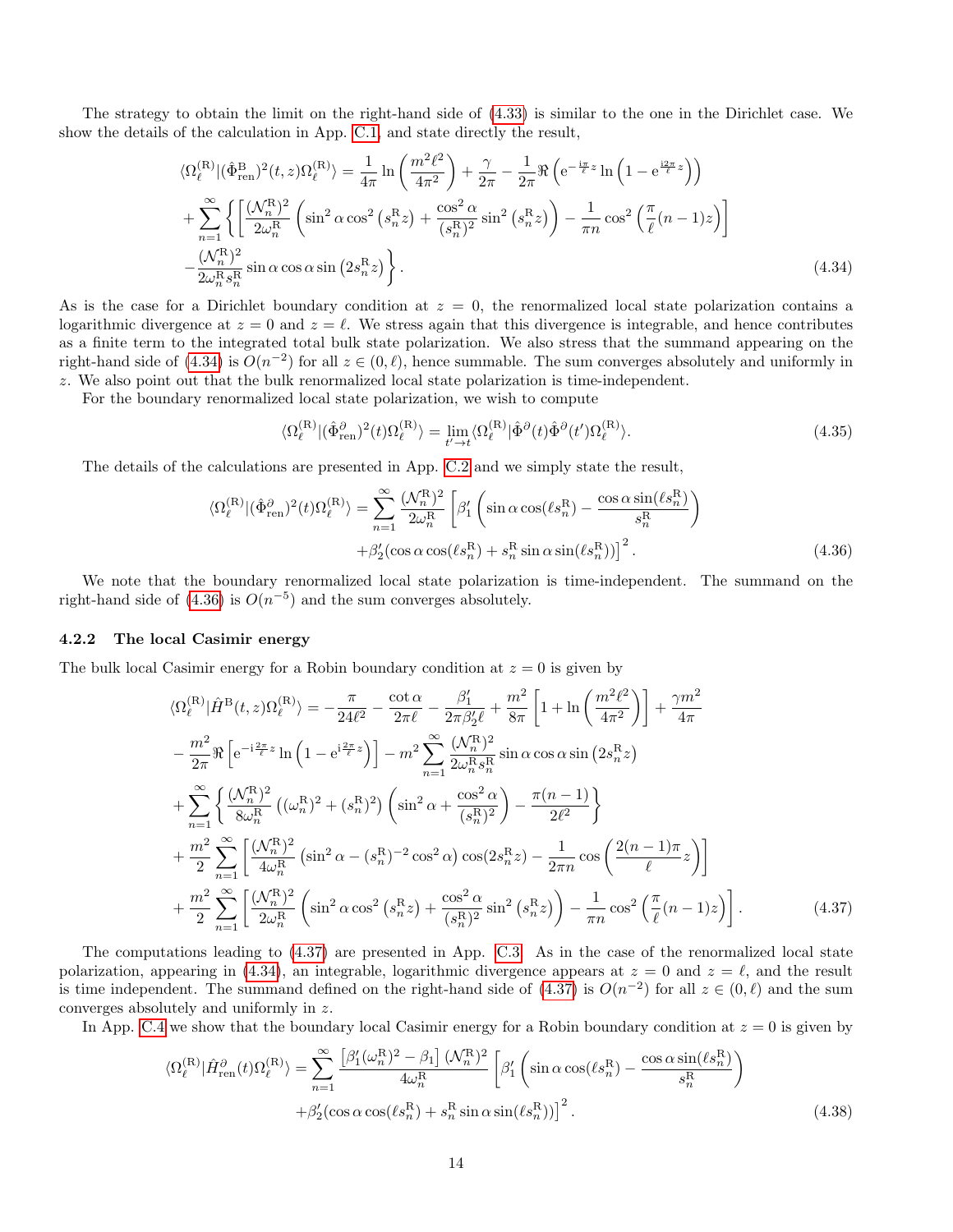The strategy to obtain the limit on the right-hand side of [\(4.33\)](#page-12-2) is similar to the one in the Dirichlet case. We show the details of the calculation in App. [C.1,](#page-20-2) and state directly the result,

$$
\langle \Omega_{\ell}^{(\mathcal{R})} | (\hat{\Phi}_{\text{ren}}^{\mathcal{B}})^{2}(t,z) \Omega_{\ell}^{(\mathcal{R})} \rangle = \frac{1}{4\pi} \ln \left( \frac{m^{2}\ell^{2}}{4\pi^{2}} \right) + \frac{\gamma}{2\pi} - \frac{1}{2\pi} \Re \left( e^{-\frac{i\pi}{\ell}z} \ln \left( 1 - e^{\frac{i2\pi}{\ell}z} \right) \right)
$$
  
+ 
$$
\sum_{n=1}^{\infty} \left\{ \left[ \frac{(\mathcal{N}_{n}^{\mathcal{R}})^{2}}{2\omega_{n}^{\mathcal{R}}} \left( \sin^{2} \alpha \cos^{2} \left( s_{n}^{\mathcal{R}} z \right) + \frac{\cos^{2} \alpha}{(s_{n}^{\mathcal{R}})^{2}} \sin^{2} \left( s_{n}^{\mathcal{R}} z \right) \right) - \frac{1}{\pi n} \cos^{2} \left( \frac{\pi}{\ell} (n-1) z \right) \right]
$$
  
- 
$$
\frac{(\mathcal{N}_{n}^{\mathcal{R}})^{2}}{2\omega_{n}^{\mathcal{R}} s_{n}^{\mathcal{R}}} \sin \alpha \cos \alpha \sin \left( 2s_{n}^{\mathcal{R}} z \right) \right\}.
$$
 (4.34)

As is the case for a Dirichlet boundary condition at  $z = 0$ , the renormalized local state polarization contains a logarithmic divergence at  $z = 0$  and  $z = \ell$ . We stress again that this divergence is integrable, and hence contributes as a finite term to the integrated total bulk state polarization. We also stress that the summand appearing on the right-hand side of [\(4.34\)](#page-13-0) is  $O(n^{-2})$  for all  $z \in (0, \ell)$ , hence summable. The sum converges absolutely and uniformly in z. We also point out that the bulk renormalized local state polarization is time-independent.

For the boundary renormalized local state polarization, we wish to compute

<span id="page-13-1"></span><span id="page-13-0"></span>
$$
\langle \Omega_{\ell}^{(\mathcal{R})} | (\hat{\Phi}_{\text{ren}}^{\partial})^2 (t) \Omega_{\ell}^{(\mathcal{R})} \rangle = \lim_{t' \to t} \langle \Omega_{\ell}^{(\mathcal{R})} | \hat{\Phi}^{\partial} (t) \hat{\Phi}^{\partial} (t') \Omega_{\ell}^{(\mathcal{R})} \rangle. \tag{4.35}
$$

The details of the calculations are presented in App. [C.2](#page-22-0) and we simply state the result,

$$
\langle \Omega_{\ell}^{(\mathrm{R})} | (\hat{\Phi}_{\mathrm{ren}}^{\partial})^2 (t) \Omega_{\ell}^{(\mathrm{R})} \rangle = \sum_{n=1}^{\infty} \frac{(\mathcal{N}_n^{\mathrm{R}})^2}{2\omega_n^{\mathrm{R}}} \left[ \beta_1' \left( \sin \alpha \cos(\ell s_n^{\mathrm{R}}) - \frac{\cos \alpha \sin(\ell s_n^{\mathrm{R}})}{s_n^{\mathrm{R}}} \right) \right. \\
\left. + \beta_2' (\cos \alpha \cos(\ell s_n^{\mathrm{R}}) + s_n^{\mathrm{R}} \sin \alpha \sin(\ell s_n^{\mathrm{R}})) \right]^2. \tag{4.36}
$$

We note that the boundary renormalized local state polarization is time-independent. The summand on the right-hand side of  $(4.36)$  is  $O(n^{-5})$  and the sum converges absolutely.

#### 4.2.2 The local Casimir energy

The bulk local Casimir energy for a Robin boundary condition at  $z = 0$  is given by

$$
\langle \Omega_{\ell}^{(R)} | \hat{H}^{B}(t,z) \Omega_{\ell}^{(R)} \rangle = -\frac{\pi}{24\ell^{2}} - \frac{\cot \alpha}{2\pi \ell} - \frac{\beta_{1}^{\prime}}{2\pi \beta_{2}^{\prime} \ell} + \frac{m^{2}}{8\pi} \left[ 1 + \ln \left( \frac{m^{2} \ell^{2}}{4\pi^{2}} \right) \right] + \frac{\gamma m^{2}}{4\pi}
$$

$$
- \frac{m^{2}}{2\pi} \Re \left[ e^{-i\frac{2\pi}{\ell}z} \ln \left( 1 - e^{i\frac{2\pi}{\ell}z} \right) \right] - m^{2} \sum_{n=1}^{\infty} \frac{(\mathcal{N}_{n}^{R})^{2}}{2\omega_{n}^{R}s_{n}^{R}} \sin \alpha \cos \alpha \sin \left( 2s_{n}^{R} z \right)
$$

$$
+ \sum_{n=1}^{\infty} \left\{ \frac{(\mathcal{N}_{n}^{R})^{2}}{8\omega_{n}^{R}} \left( (\omega_{n}^{R})^{2} + (s_{n}^{R})^{2} \right) \left( \sin^{2} \alpha + \frac{\cos^{2} \alpha}{(s_{n}^{R})^{2}} \right) - \frac{\pi (n-1)}{2\ell^{2}} \right\}
$$

$$
+ \frac{m^{2}}{2} \sum_{n=1}^{\infty} \left[ \frac{(\mathcal{N}_{n}^{R})^{2}}{4\omega_{n}^{R}} \left( \sin^{2} \alpha - (s_{n}^{R})^{-2} \cos^{2} \alpha \right) \cos(2s_{n}^{R} z) - \frac{1}{2\pi n} \cos \left( \frac{2(n-1)\pi}{\ell} z \right) \right]
$$

$$
+ \frac{m^{2}}{2} \sum_{n=1}^{\infty} \left[ \frac{(\mathcal{N}_{n}^{R})^{2}}{2\omega_{n}^{R}} \left( \sin^{2} \alpha \cos^{2} \left( s_{n}^{R} z \right) + \frac{\cos^{2} \alpha}{(s_{n}^{R})^{2}} \sin^{2} \left( s_{n}^{R} z \right) \right) - \frac{1}{\pi n} \cos^{2} \left( \frac{\pi}{\ell} (n-1) z \right) \right]. \tag{4.37}
$$

The computations leading to [\(4.37\)](#page-13-2) are presented in App. [C.3.](#page-23-0) As in the case of the renormalized local state polarization, appearing in [\(4.34\)](#page-13-0), an integrable, logarithmic divergence appears at  $z = 0$  and  $z = \ell$ , and the result is time independent. The summand defined on the right-hand side of  $(4.37)$  is  $O(n^{-2})$  for all  $z \in (0, \ell)$  and the sum converges absolutely and uniformly in z.

In App. [C.4](#page-25-0) we show that the boundary local Casimir energy for a Robin boundary condition at  $z = 0$  is given by

<span id="page-13-3"></span><span id="page-13-2"></span>
$$
\langle \Omega_{\ell}^{(\mathrm{R})} | \hat{H}_{\mathrm{ren}}^{\partial}(t) \Omega_{\ell}^{(\mathrm{R})} \rangle = \sum_{n=1}^{\infty} \frac{\left[ \beta_{1}^{\prime}(\omega_{n}^{\mathrm{R}})^{2} - \beta_{1} \right] (\mathcal{N}_{n}^{\mathrm{R}})^{2}}{4\omega_{n}^{\mathrm{R}}} \left[ \beta_{1}^{\prime} \left( \sin \alpha \cos(\ell s_{n}^{\mathrm{R}}) - \frac{\cos \alpha \sin(\ell s_{n}^{\mathrm{R}})}{s_{n}^{\mathrm{R}}} \right) + \beta_{2}^{\prime} (\cos \alpha \cos(\ell s_{n}^{\mathrm{R}}) + s_{n}^{\mathrm{R}} \sin \alpha \sin(\ell s_{n}^{\mathrm{R}})) \right]^{2}.
$$
\n(4.38)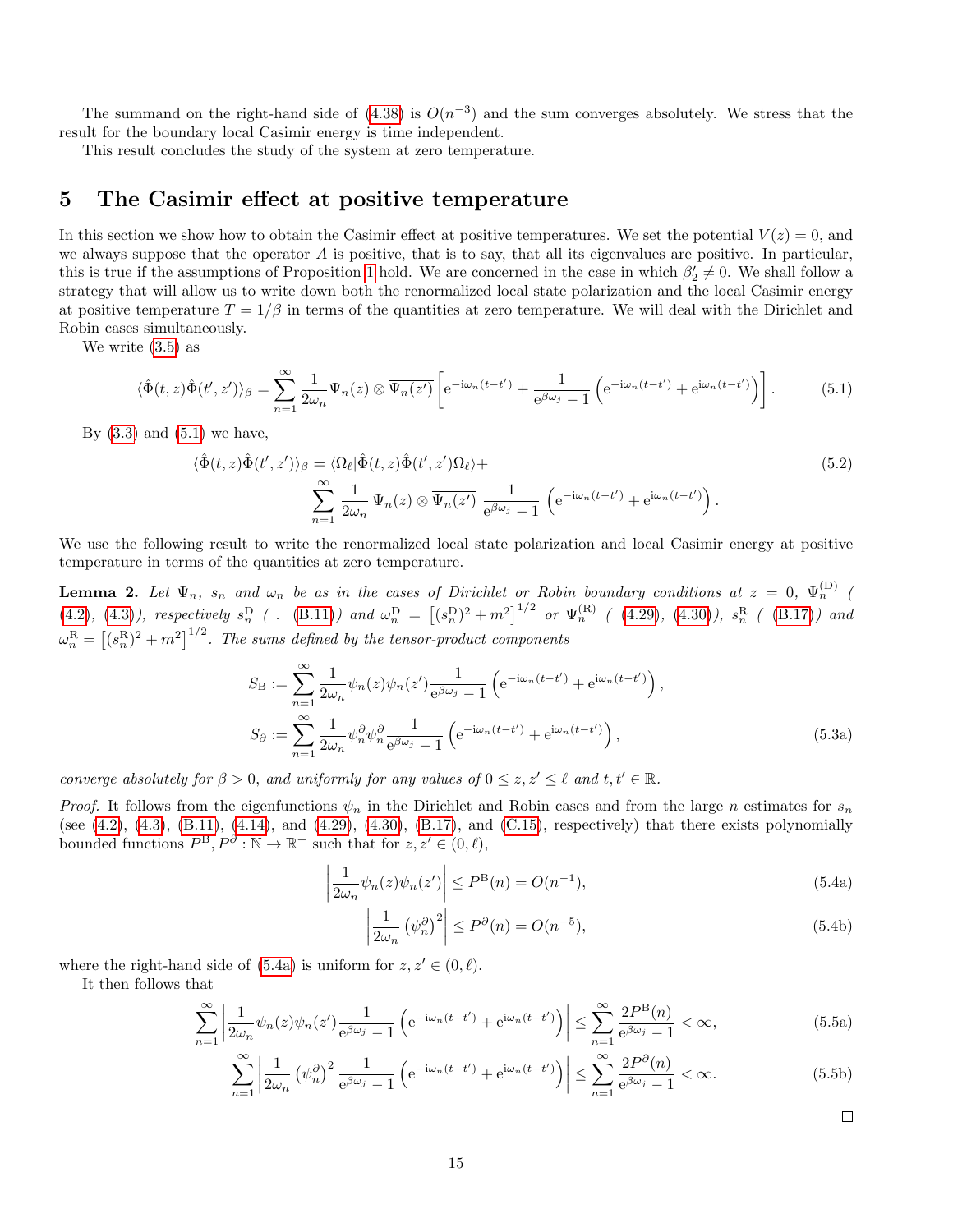The summand on the right-hand side of  $(4.38)$  is  $O(n^{-3})$  and the sum converges absolutely. We stress that the result for the boundary local Casimir energy is time independent.

This result concludes the study of the system at zero temperature.

### <span id="page-14-0"></span>5 The Casimir effect at positive temperature

In this section we show how to obtain the Casimir effect at positive temperatures. We set the potential  $V(z) = 0$ , and we always suppose that the operator  $A$  is positive, that is to say, that all its eigenvalues are positive. In particular, this is true if the assumptions of Proposition [1](#page-3-7) hold. We are concerned in the case in which  $\beta'_2 \neq 0$ . We shall follow a strategy that will allow us to write down both the renormalized local state polarization and the local Casimir energy at positive temperature  $T = 1/\beta$  in terms of the quantities at zero temperature. We will deal with the Dirichlet and Robin cases simultaneously.

We write [\(3.5\)](#page-5-3) as

$$
\langle \hat{\Phi}(t,z)\hat{\Phi}(t',z')\rangle_{\beta} = \sum_{n=1}^{\infty} \frac{1}{2\omega_n} \Psi_n(z) \otimes \overline{\Psi_n(z')} \left[ e^{-i\omega_n(t-t')} + \frac{1}{e^{\beta\omega_j} - 1} \left( e^{-i\omega_n(t-t')} + e^{i\omega_n(t-t')} \right) \right].
$$
 (5.1)

By  $(3.3)$  and  $(5.1)$  we have,

<span id="page-14-1"></span>
$$
\langle \hat{\Phi}(t,z)\hat{\Phi}(t',z')\rangle_{\beta} = \langle \Omega_{\ell}|\hat{\Phi}(t,z)\hat{\Phi}(t',z')\Omega_{\ell}\rangle + \sum_{n=1}^{\infty} \frac{1}{2\omega_n} \Psi_n(z) \otimes \overline{\Psi_n(z')} \frac{1}{e^{\beta\omega_j} - 1} \left(e^{-i\omega_n(t-t')} + e^{i\omega_n(t-t')}\right).
$$
\n(5.2)

We use the following result to write the renormalized local state polarization and local Casimir energy at positive temperature in terms of the quantities at zero temperature.

<span id="page-14-4"></span>**Lemma 2.** Let  $\Psi_n$ ,  $s_n$  and  $\omega_n$  be as in the cases of Dirichlet or Robin boundary conditions at  $z = 0$ ,  $\Psi_n^{(D)}$  ( [\(4.2\)](#page-7-3), [\(4.3\)](#page-7-2)), respectively  $s_n^D$  ( . [\(B.11\)](#page-19-0)) and  $\omega_n^D = [(s_n^D)^2 + m^2]^{1/2}$  or  $\Psi_n^{(R)}$  ( [\(4.29\)](#page-12-3), [\(4.30\)](#page-12-4)),  $s_n^R$  ( [\(B.17\)](#page-20-1)) and  $\omega_n^{\text{R}}=\left[(s_n^{\text{R}})^2+m^2\right]^{1/2}$ . The sums defined by the tensor-product components

<span id="page-14-3"></span>
$$
S_{\mathcal{B}} := \sum_{n=1}^{\infty} \frac{1}{2\omega_n} \psi_n(z) \psi_n(z') \frac{1}{e^{\beta \omega_j} - 1} \left( e^{-i\omega_n(t - t')} + e^{i\omega_n(t - t')} \right),
$$
  
\n
$$
S_{\partial} := \sum_{n=1}^{\infty} \frac{1}{2\omega_n} \psi_n^{\partial} \psi_n^{\partial} \frac{1}{e^{\beta \omega_j} - 1} \left( e^{-i\omega_n(t - t')} + e^{i\omega_n(t - t')} \right),
$$
\n(5.3a)

converge absolutely for  $\beta > 0$ , and uniformly for any values of  $0 \leq z, z' \leq \ell$  and  $t, t' \in \mathbb{R}$ .

*Proof.* It follows from the eigenfunctions  $\psi_n$  in the Dirichlet and Robin cases and from the large n estimates for  $s_n$ (see  $(4.2)$ ,  $(4.3)$ ,  $(B.11)$ ,  $(4.14)$ , and  $(4.29)$ ,  $(4.30)$ ,  $(B.17)$ , and  $(C.15)$ , respectively) that there exists polynomially bounded functions  $P^{B}, P^{\partial}: \mathbb{N} \to \mathbb{R}^{+}$  such that for  $z, z' \in (0, \ell)$ ,

$$
\left|\frac{1}{2\omega_n}\psi_n(z)\psi_n(z')\right| \le P^{\mathcal{B}}(n) = O(n^{-1}),\tag{5.4a}
$$

$$
\left|\frac{1}{2\omega_n} \left(\psi_n^{\partial}\right)^2\right| \le P^{\partial}(n) = O(n^{-5}),\tag{5.4b}
$$

where the right-hand side of [\(5.4a\)](#page-14-2) is uniform for  $z, z' \in (0, \ell)$ .

It then follows that

$$
\sum_{n=1}^{\infty} \left| \frac{1}{2\omega_n} \psi_n(z) \psi_n(z') \frac{1}{e^{\beta \omega_j} - 1} \left( e^{-i\omega_n(t - t')} + e^{i\omega_n(t - t')} \right) \right| \le \sum_{n=1}^{\infty} \frac{2P^B(n)}{e^{\beta \omega_j} - 1} < \infty,\tag{5.5a}
$$

$$
\sum_{n=1}^{\infty} \left| \frac{1}{2\omega_n} \left( \psi_n^{\partial} \right)^2 \frac{1}{e^{\beta \omega_j} - 1} \left( e^{-i\omega_n (t - t')} + e^{i\omega_n (t - t')} \right) \right| \le \sum_{n=1}^{\infty} \frac{2P^{\partial}(n)}{e^{\beta \omega_j} - 1} < \infty.
$$
 (5.5b)

<span id="page-14-5"></span><span id="page-14-2"></span> $\Box$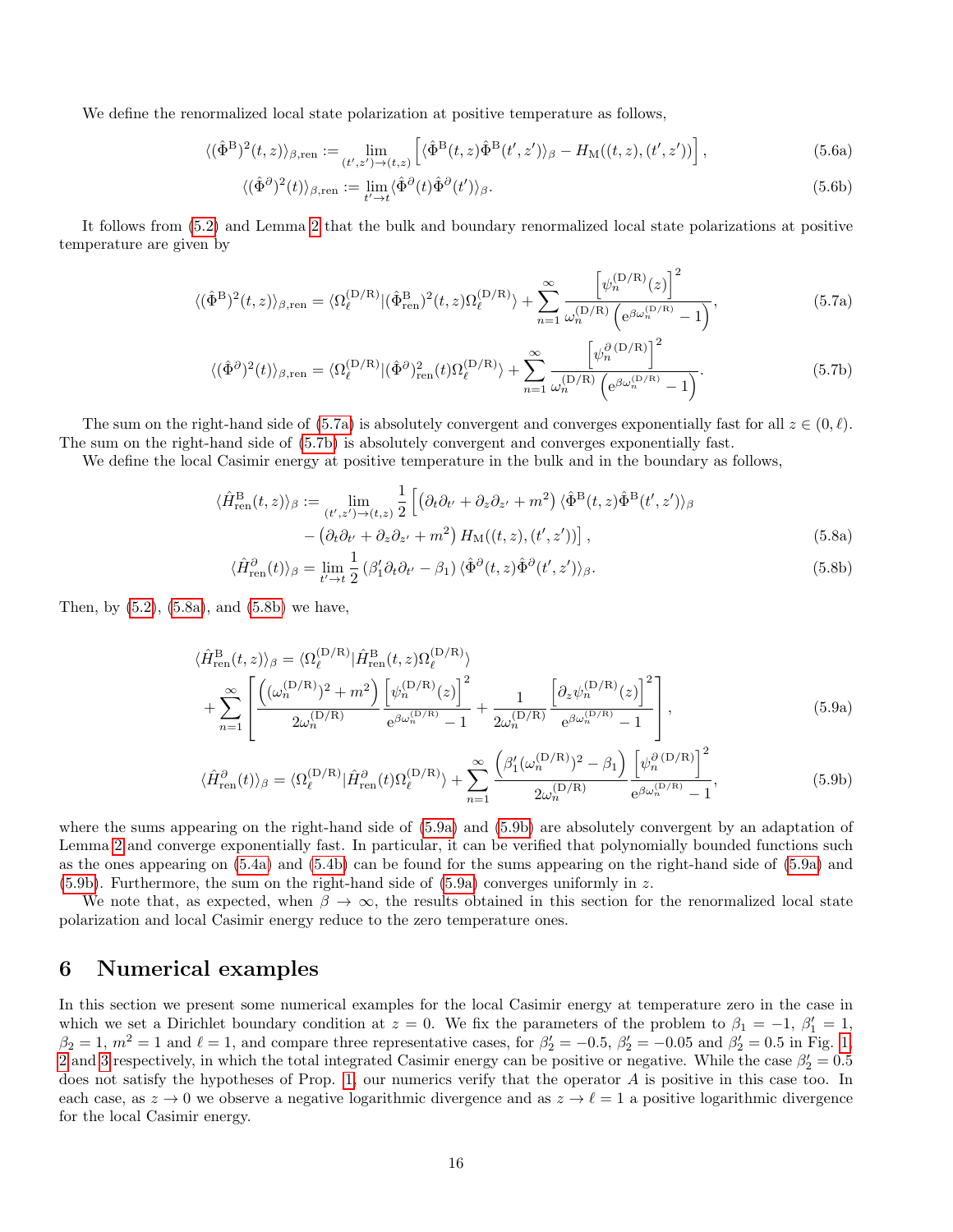We define the renormalized local state polarization at positive temperature as follows,

$$
\langle (\hat{\Phi}^{\mathcal{B}})^2(t,z) \rangle_{\beta,\text{ren}} := \lim_{(t',z') \to (t,z)} \left[ \langle \hat{\Phi}^{\mathcal{B}}(t,z) \hat{\Phi}^{\mathcal{B}}(t',z') \rangle_{\beta} - H_{\mathcal{M}}((t,z),(t',z')) \right],\tag{5.6a}
$$

<span id="page-15-1"></span><span id="page-15-0"></span>
$$
\langle (\hat{\Phi}^{\partial})^2(t) \rangle_{\beta, \text{ren}} := \lim_{t' \to t} \langle \hat{\Phi}^{\partial}(t) \hat{\Phi}^{\partial}(t') \rangle_{\beta}.
$$
\n(5.6b)

It follows from [\(5.2\)](#page-14-3) and Lemma [2](#page-14-4) that the bulk and boundary renormalized local state polarizations at positive temperature are given by

$$
\langle (\hat{\Phi}^{\mathcal{B}})^2(t,z) \rangle_{\beta,\text{ren}} = \langle \Omega_{\ell}^{(\mathcal{D}/\mathcal{R})} | (\hat{\Phi}_{\text{ren}}^{\mathcal{B}})^2(t,z) \Omega_{\ell}^{(\mathcal{D}/\mathcal{R})} \rangle + \sum_{n=1}^{\infty} \frac{\left[ \psi_n^{(\mathcal{D}/\mathcal{R})}(z) \right]^2}{\omega_n^{(\mathcal{D}/\mathcal{R})} \left( e^{\beta \omega_n^{(\mathcal{D}/\mathcal{R})}} - 1 \right)},\tag{5.7a}
$$

$$
\langle (\hat{\Phi}^{\partial})^2(t) \rangle_{\beta, \text{ren}} = \langle \Omega_{\ell}^{(D/R)} | (\hat{\Phi}^{\partial})^2_{\text{ren}}(t) \Omega_{\ell}^{(D/R)} \rangle + \sum_{n=1}^{\infty} \frac{\left[ \psi_n^{\partial (D/R)} \right]^2}{\omega_n^{(D/R)} \left( e^{\beta \omega_n^{(D/R)}} - 1 \right)}.
$$
\n(5.7b)

The sum on the right-hand side of [\(5.7a\)](#page-15-0) is absolutely convergent and converges exponentially fast for all  $z \in (0, \ell)$ . The sum on the right-hand side of [\(5.7b\)](#page-15-1) is absolutely convergent and converges exponentially fast.

We define the local Casimir energy at positive temperature in the bulk and in the boundary as follows,

$$
\langle \hat{H}_{\text{ren}}^{\text{B}}(t,z) \rangle_{\beta} := \lim_{(t',z') \to (t,z)} \frac{1}{2} \left[ \left( \partial_t \partial_{t'} + \partial_z \partial_{z'} + m^2 \right) \langle \hat{\Phi}^{\text{B}}(t,z) \hat{\Phi}^{\text{B}}(t',z') \rangle_{\beta} \right. \\ \left. - \left( \partial_t \partial_{t'} + \partial_z \partial_{z'} + m^2 \right) H_{\text{M}}((t,z), (t',z')) \right], \tag{5.8a}
$$

<span id="page-15-6"></span><span id="page-15-5"></span><span id="page-15-2"></span>
$$
\langle \hat{H}_{\text{ren}}^{\partial}(t) \rangle_{\beta} = \lim_{t' \to t} \frac{1}{2} \left( \beta_1' \partial_t \partial_{t'} - \beta_1 \right) \langle \hat{\Phi}^{\partial}(t, z) \hat{\Phi}^{\partial}(t', z') \rangle_{\beta}.
$$
 (5.8b)

Then, by  $(5.2)$ ,  $(5.8a)$ , and  $(5.8b)$  we have,

$$
\langle \hat{H}_{\text{ren}}^{\text{B}}(t,z) \rangle_{\beta} = \langle \Omega_{\ell}^{(\text{D/R})} | \hat{H}_{\text{ren}}^{\text{B}}(t,z) \Omega_{\ell}^{(\text{D/R})} \rangle + \sum_{n=1}^{\infty} \left[ \frac{\left( (\omega_{n}^{(\text{D/R})})^{2} + m^{2} \right) \left[ \psi_{n}^{(\text{D/R})}(z) \right]^{2}}{2\omega_{n}^{(\text{D/R})}} \frac{\left[ \phi_{n}^{(\text{D/R})}(z) \right]^{2}}{e^{\beta \omega_{n}^{(\text{D/R})}} - 1} + \frac{1}{2\omega_{n}^{(\text{D/R})}} \left[ \frac{\partial_{z} \psi_{n}^{(\text{D/R})}(z) \right]^{2}}{e^{\beta \omega_{n}^{(\text{D/R})}} - 1} \right], \tag{5.9a}
$$

<span id="page-15-3"></span>
$$
\langle \hat{H}_{\text{ren}}^{\partial}(t) \rangle_{\beta} = \langle \Omega_{\ell}^{(\text{D/R})} | \hat{H}_{\text{ren}}^{\partial}(t) \Omega_{\ell}^{(\text{D/R})} \rangle + \sum_{n=1}^{\infty} \frac{\left( \beta_{1}^{\prime} (\omega_{n}^{(\text{D/R})})^{2} - \beta_{1} \right)}{2 \omega_{n}^{(\text{D/R})}} \frac{\left[ \psi_{n}^{\partial} (\text{D/R}) \right]^{2}}{e^{\beta \omega_{n}^{(\text{D/R})}} - 1}, \tag{5.9b}
$$

where the sums appearing on the right-hand side of [\(5.9a\)](#page-15-2) and [\(5.9b\)](#page-15-3) are absolutely convergent by an adaptation of Lemma [2](#page-14-4) and converge exponentially fast. In particular, it can be verified that polynomially bounded functions such as the ones appearing on [\(5.4a\)](#page-14-2) and [\(5.4b\)](#page-14-5) can be found for the sums appearing on the right-hand side of [\(5.9a\)](#page-15-2) and  $(5.9b)$ . Furthermore, the sum on the right-hand side of  $(5.9a)$  converges uniformly in z.

We note that, as expected, when  $\beta \to \infty$ , the results obtained in this section for the renormalized local state polarization and local Casimir energy reduce to the zero temperature ones.

### <span id="page-15-4"></span>6 Numerical examples

In this section we present some numerical examples for the local Casimir energy at temperature zero in the case in which we set a Dirichlet boundary condition at  $z = 0$ . We fix the parameters of the problem to  $\beta_1 = -1$ ,  $\beta'_1 = 1$ ,  $\beta_2 = 1, m^2 = 1$  $\beta_2 = 1, m^2 = 1$  $\beta_2 = 1, m^2 = 1$  and  $\ell = 1$ , and compare three representative cases, for  $\beta'_2 = -0.5, \beta'_2 = -0.05$  and  $\beta'_2 = 0.5$  in Fig. 1, [2](#page-16-1) and [3](#page-17-2) respectively, in which the total integrated Casimir energy can be positive or negative. While the case  $\beta'_2 = 0.5$ does not satisfy the hypotheses of Prop. [1,](#page-3-7) our numerics verify that the operator A is positive in this case too. In each case, as  $z \to 0$  we observe a negative logarithmic divergence and as  $z \to \ell = 1$  a positive logarithmic divergence for the local Casimir energy.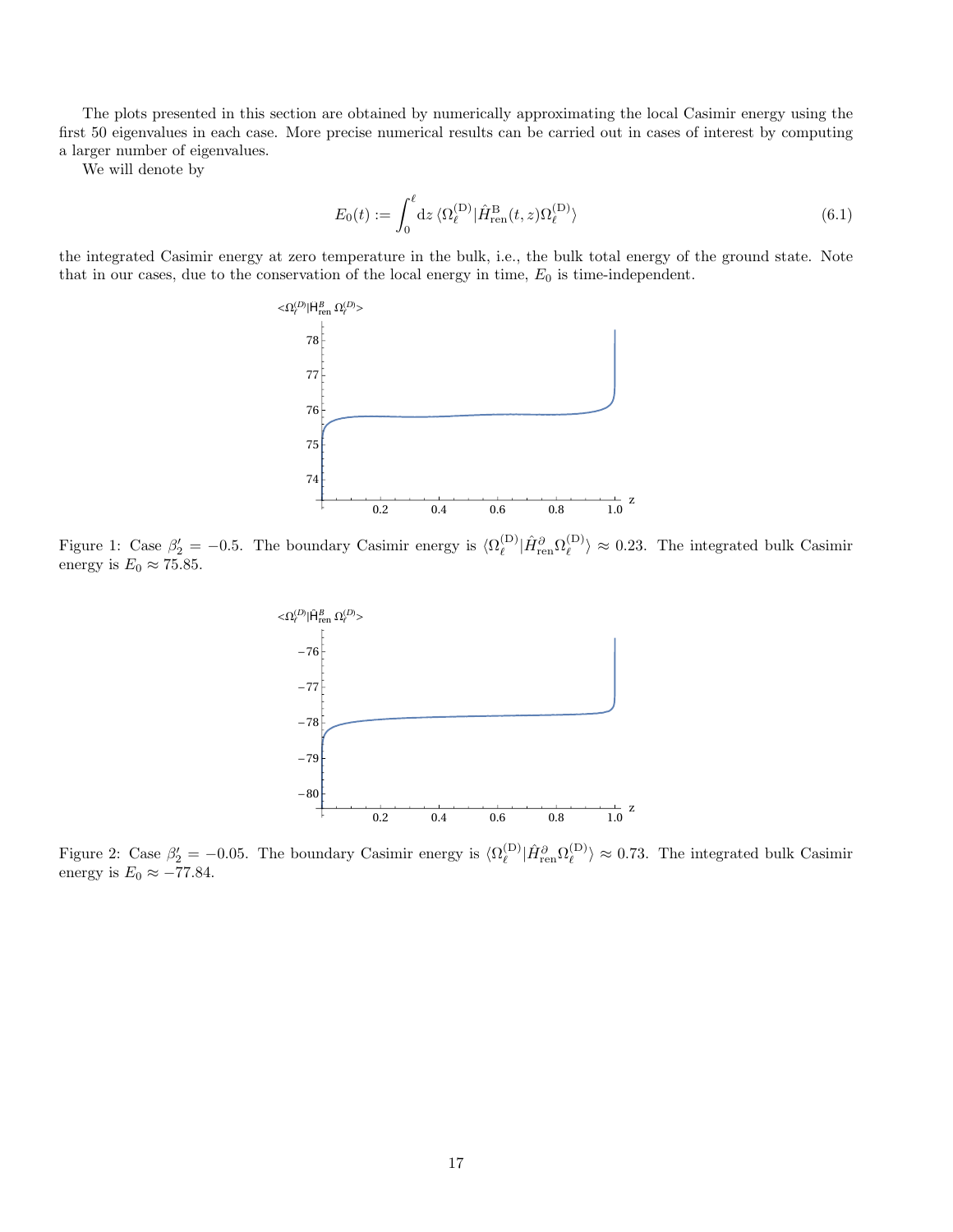The plots presented in this section are obtained by numerically approximating the local Casimir energy using the first 50 eigenvalues in each case. More precise numerical results can be carried out in cases of interest by computing a larger number of eigenvalues.

We will denote by

$$
E_0(t) := \int_0^{\ell} dz \, \langle \Omega_{\ell}^{(\mathcal{D})} | \hat{H}_{\text{ren}}^{\mathcal{B}}(t, z) \Omega_{\ell}^{(\mathcal{D})} \rangle \tag{6.1}
$$

the integrated Casimir energy at zero temperature in the bulk, i.e., the bulk total energy of the ground state. Note that in our cases, due to the conservation of the local energy in time,  $E_0$  is time-independent.



<span id="page-16-0"></span>Figure 1: Case  $\beta'_2 = -0.5$ . The boundary Casimir energy is  $\langle \Omega_\ell^{(D)} \rangle$  $\hat{H}_{\rm ren}^{\partial}\Omega_{\ell}^{(\rm D)}$  $\binom{1}{\ell} \approx 0.23$ . The integrated bulk Casimir energy is  $E_0 \approx 75.85$ .



<span id="page-16-1"></span>Figure 2: Case  $\beta'_2 = -0.05$ . The boundary Casimir energy is  $\langle \Omega_\ell^{(D)} \rangle$  $\hat{H}_{\rm ren}^{\partial}\Omega_{\ell}^{(\rm D)}$  $\binom{1}{\ell} \approx 0.73$ . The integrated bulk Casimir energy is  $E_0 \approx -77.84$ .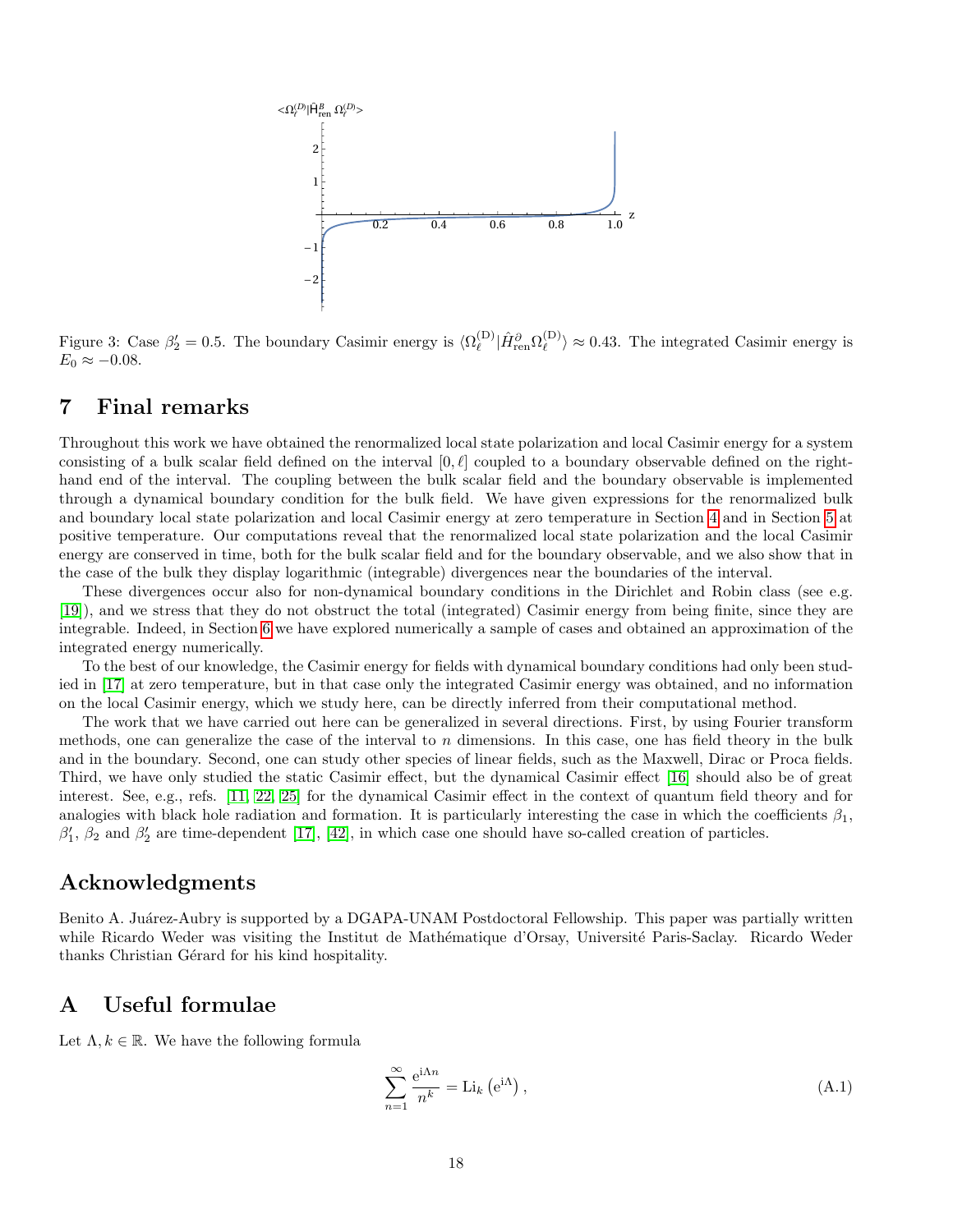

<span id="page-17-2"></span>Figure 3: Case  $\beta'_2 = 0.5$ . The boundary Casimir energy is  $\langle \Omega_\ell^{(D)} \rangle$  $\hat{H}_{\rm ren}^{\partial}\Omega_{\ell}^{(\rm D)}$  $\binom{10}{\ell} \approx 0.43$ . The integrated Casimir energy is  $E_0 \approx -0.08$ .

### <span id="page-17-0"></span>7 Final remarks

Throughout this work we have obtained the renormalized local state polarization and local Casimir energy for a system consisting of a bulk scalar field defined on the interval  $[0, \ell]$  coupled to a boundary observable defined on the righthand end of the interval. The coupling between the bulk scalar field and the boundary observable is implemented through a dynamical boundary condition for the bulk field. We have given expressions for the renormalized bulk and boundary local state polarization and local Casimir energy at zero temperature in Section [4](#page-7-0) and in Section [5](#page-14-0) at positive temperature. Our computations reveal that the renormalized local state polarization and the local Casimir energy are conserved in time, both for the bulk scalar field and for the boundary observable, and we also show that in the case of the bulk they display logarithmic (integrable) divergences near the boundaries of the interval.

These divergences occur also for non-dynamical boundary conditions in the Dirichlet and Robin class (see e.g. [\[19\]](#page-26-12)), and we stress that they do not obstruct the total (integrated) Casimir energy from being finite, since they are integrable. Indeed, in Section [6](#page-15-4) we have explored numerically a sample of cases and obtained an approximation of the integrated energy numerically.

To the best of our knowledge, the Casimir energy for fields with dynamical boundary conditions had only been studied in [\[17\]](#page-26-13) at zero temperature, but in that case only the integrated Casimir energy was obtained, and no information on the local Casimir energy, which we study here, can be directly inferred from their computational method.

The work that we have carried out here can be generalized in several directions. First, by using Fourier transform methods, one can generalize the case of the interval to  $n$  dimensions. In this case, one has field theory in the bulk and in the boundary. Second, one can study other species of linear fields, such as the Maxwell, Dirac or Proca fields. Third, we have only studied the static Casimir effect, but the dynamical Casimir effect [\[16\]](#page-26-11) should also be of great interest. See, e.g., refs. [\[11,](#page-26-19) [22,](#page-27-19) [25\]](#page-27-20) for the dynamical Casimir effect in the context of quantum field theory and for analogies with black hole radiation and formation. It is particularly interesting the case in which the coefficients  $\beta_1$ ,  $\beta'_1$ ,  $\beta_2$  and  $\beta'_2$  are time-dependent [\[17\]](#page-26-13), [\[42\]](#page-27-15), in which case one should have so-called creation of particles.

### Acknowledgments

Benito A. Juárez-Aubry is supported by a DGAPA-UNAM Postdoctoral Fellowship. This paper was partially written while Ricardo Weder was visiting the Institut de Mathématique d'Orsay, Université Paris-Saclay. Ricardo Weder thanks Christian Gérard for his kind hospitality.

### <span id="page-17-1"></span>A Useful formulae

Let  $\Lambda, k \in \mathbb{R}$ . We have the following formula

$$
\sum_{n=1}^{\infty} \frac{e^{i\Lambda n}}{n^k} = \text{Li}_k\left(e^{i\Lambda}\right),\tag{A.1}
$$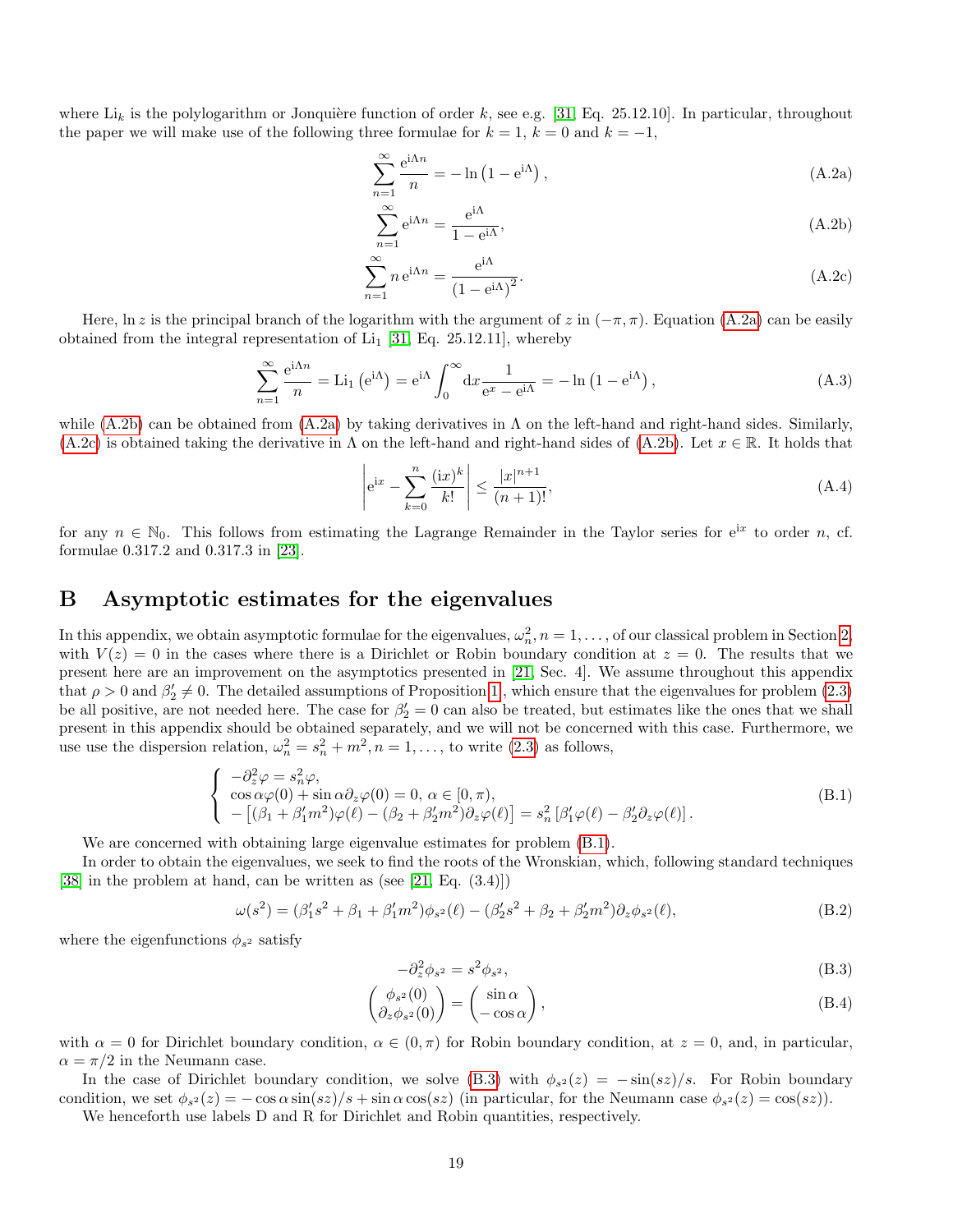where  $Li_k$  is the polylogarithm or Jonquière function of order k, see e.g. [\[31,](#page-27-21) Eq. 25.12.10]. In particular, throughout the paper we will make use of the following three formulae for  $k = 1$ ,  $k = 0$  and  $k = -1$ ,

$$
\sum_{n=1}^{\infty} \frac{e^{i\Lambda n}}{n} = -\ln\left(1 - e^{i\Lambda}\right),\tag{A.2a}
$$

<span id="page-18-4"></span><span id="page-18-3"></span><span id="page-18-1"></span>
$$
\sum_{n=1}^{\infty} e^{i\Lambda n} = \frac{e^{i\Lambda}}{1 - e^{i\Lambda}},
$$
\n(A.2b)

$$
\sum_{n=1}^{\infty} n e^{i\Lambda n} = \frac{e^{i\Lambda}}{(1 - e^{i\Lambda})^2}.
$$
\n(A.2c)

Here, ln z is the principal branch of the logarithm with the argument of z in  $(-\pi, \pi)$ . Equation [\(A.2a\)](#page-18-1) can be easily obtained from the integral representation of  $\text{Li}_1$  [\[31,](#page-27-21) Eq. 25.12.11], whereby

$$
\sum_{n=1}^{\infty} \frac{e^{i\Lambda n}}{n} = Li_1 \left( e^{i\Lambda} \right) = e^{i\Lambda} \int_0^{\infty} dx \frac{1}{e^x - e^{i\Lambda}} = -\ln \left( 1 - e^{i\Lambda} \right),\tag{A.3}
$$

while  $(A.2b)$  can be obtained from  $(A.2a)$  by taking derivatives in  $\Lambda$  on the left-hand and right-hand sides. Similarly,  $(A.2c)$  is obtained taking the derivative in  $\Lambda$  on the left-hand and right-hand sides of  $(A.2b)$ . Let  $x \in \mathbb{R}$ . It holds that

<span id="page-18-2"></span>
$$
\left| e^{ix} - \sum_{k=0}^{n} \frac{(ix)^k}{k!} \right| \le \frac{|x|^{n+1}}{(n+1)!},\tag{A.4}
$$

for any  $n \in \mathbb{N}_0$ . This follows from estimating the Lagrange Remainder in the Taylor series for  $e^{ix}$  to order n, cf. formulae 0.317.2 and 0.317.3 in [\[23\]](#page-27-22).

### <span id="page-18-0"></span>B Asymptotic estimates for the eigenvalues

In this appendix, we obtain asymptotic formulae for the eigenvalues,  $\omega_n^2$ ,  $n = 1, \ldots$ , of our classical problem in Section [2,](#page-2-1) with  $V(z) = 0$  in the cases where there is a Dirichlet or Robin boundary condition at  $z = 0$ . The results that we present here are an improvement on the asymptotics presented in [\[21,](#page-26-0) Sec. 4]. We assume throughout this appendix that  $\rho > 0$  and  $\beta'_2 \neq 0$ . The detailed assumptions of Proposition [1](#page-3-7), which ensure that the eigenvalues for problem [\(2.3\)](#page-2-3) be all positive, are not needed here. The case for  $\beta'_2 = 0$  can also be treated, but estimates like the ones that we shall present in this appendix should be obtained separately, and we will not be concerned with this case. Furthermore, we use use the dispersion relation,  $\omega_n^2 = s_n^2 + m^2$ ,  $n = 1, \ldots$ , to write [\(2.3\)](#page-2-3) as follows,

$$
\begin{cases}\n-\partial_z^2 \varphi = s_n^2 \varphi, \\
\cos \alpha \varphi(0) + \sin \alpha \partial_z \varphi(0) = 0, \ \alpha \in [0, \pi), \\
-\left[ (\beta_1 + \beta_1' m^2) \varphi(\ell) - (\beta_2 + \beta_2' m^2) \partial_z \varphi(\ell) \right] = s_n^2 \left[ \beta_1' \varphi(\ell) - \beta_2' \partial_z \varphi(\ell) \right].\n\end{cases} (B.1)
$$

We are concerned with obtaining large eigenvalue estimates for problem [\(B.1\)](#page-18-5).

In order to obtain the eigenvalues, we seek to find the roots of the Wronskian, which, following standard techniques [\[38\]](#page-27-23) in the problem at hand, can be written as (see [\[21,](#page-26-0) Eq.  $(3.4)$ ])

<span id="page-18-7"></span>
$$
\omega(s^2) = (\beta_1's^2 + \beta_1 + \beta_1'm^2)\phi_{s^2}(\ell) - (\beta_2's^2 + \beta_2 + \beta_2'm^2)\partial_z\phi_{s^2}(\ell),
$$
\n(B.2)

where the eigenfunctions  $\phi_{s^2}$  satisfy

<span id="page-18-6"></span><span id="page-18-5"></span>
$$
-\partial_z^2 \phi_{s^2} = s^2 \phi_{s^2},\tag{B.3}
$$

$$
\begin{pmatrix} \phi_{s^2}(0) \\ \partial_z \phi_{s^2}(0) \end{pmatrix} = \begin{pmatrix} \sin \alpha \\ -\cos \alpha \end{pmatrix},\tag{B.4}
$$

with  $\alpha = 0$  for Dirichlet boundary condition,  $\alpha \in (0, \pi)$  for Robin boundary condition, at  $z = 0$ , and, in particular,  $\alpha = \pi/2$  in the Neumann case.

In the case of Dirichlet boundary condition, we solve [\(B.3\)](#page-18-6) with  $\phi_{s^2}(z) = -\sin(sz)/s$ . For Robin boundary condition, we set  $\phi_{s^2}(z) = -\cos\alpha\sin(sz)/s + \sin\alpha\cos(sz)$  (in particular, for the Neumann case  $\phi_{s^2}(z) = \cos(sz)$ ).

We henceforth use labels D and R for Dirichlet and Robin quantities, respectively.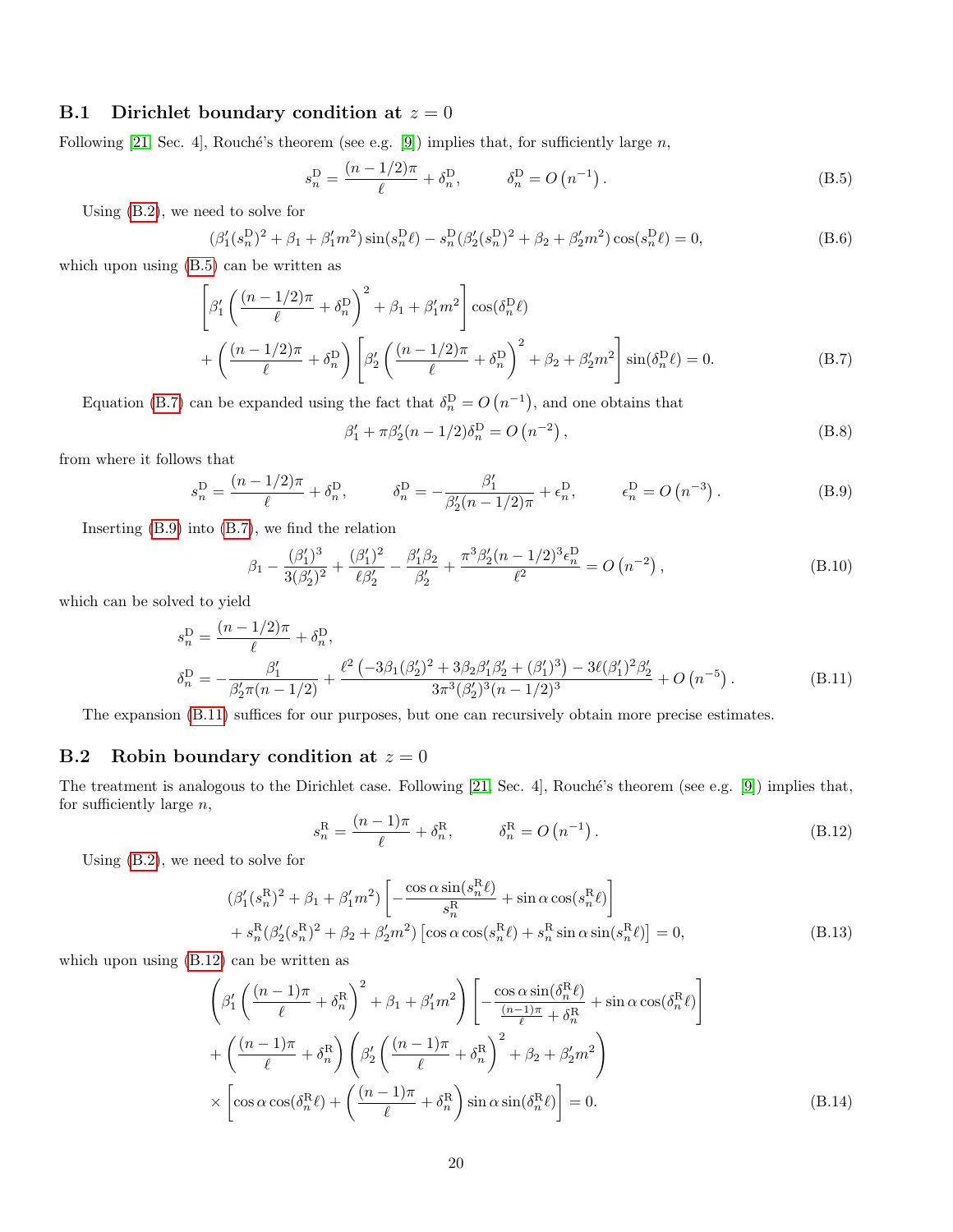#### B.1 Dirichlet boundary condition at  $z = 0$

Following [\[21,](#page-26-0) Sec. 4], Rouché's theorem (see e.g. [\[9\]](#page-26-20)) implies that, for sufficiently large n,

<span id="page-19-1"></span>
$$
s_n^{\mathcal{D}} = \frac{(n - 1/2)\pi}{\ell} + \delta_n^{\mathcal{D}}, \qquad \delta_n^{\mathcal{D}} = O\left(n^{-1}\right). \tag{B.5}
$$

Using [\(B.2\)](#page-18-7), we need to solve for

$$
(\beta_1'(s_n^D)^2 + \beta_1 + \beta_1'm^2)\sin(s_n^D\ell) - s_n^D(\beta_2'(s_n^D)^2 + \beta_2 + \beta_2'm^2)\cos(s_n^D\ell) = 0,
$$
\n(B.6)

which upon using [\(B.5\)](#page-19-1) can be written as

$$
\left[\beta_1'\left(\frac{(n-1/2)\pi}{\ell} + \delta_n^{\mathcal{D}}\right)^2 + \beta_1 + \beta_1'm^2\right] \cos(\delta_n^{\mathcal{D}}\ell) + \left(\frac{(n-1/2)\pi}{\ell} + \delta_n^{\mathcal{D}}\right) \left[\beta_2'\left(\frac{(n-1/2)\pi}{\ell} + \delta_n^{\mathcal{D}}\right)^2 + \beta_2 + \beta_2'm^2\right] \sin(\delta_n^{\mathcal{D}}\ell) = 0. \tag{B.7}
$$

Equation [\(B.7\)](#page-19-2) can be expanded using the fact that  $\delta_n^D = O(n^{-1})$ , and one obtains that

<span id="page-19-2"></span>
$$
\beta_1' + \pi \beta_2' (n - 1/2) \delta_n^{\mathcal{D}} = O\left(n^{-2}\right),\tag{B.8}
$$

from where it follows that

<span id="page-19-3"></span>
$$
s_n^{\mathcal{D}} = \frac{(n - 1/2)\pi}{\ell} + \delta_n^{\mathcal{D}}, \qquad \delta_n^{\mathcal{D}} = -\frac{\beta_1'}{\beta_2'(n - 1/2)\pi} + \epsilon_n^{\mathcal{D}}, \qquad \epsilon_n^{\mathcal{D}} = O\left(n^{-3}\right). \tag{B.9}
$$

Inserting [\(B.9\)](#page-19-3) into [\(B.7\)](#page-19-2), we find the relation

$$
\beta_1 - \frac{(\beta_1')^3}{3(\beta_2')^2} + \frac{(\beta_1')^2}{\ell \beta_2'} - \frac{\beta_1' \beta_2}{\beta_2'} + \frac{\pi^3 \beta_2' (n - 1/2)^3 \epsilon_n^D}{\ell^2} = O\left(n^{-2}\right),\tag{B.10}
$$

which can be solved to yield

$$
s_n^{\mathcal{D}} = \frac{(n - 1/2)\pi}{\ell} + \delta_n^{\mathcal{D}},
$$
  
\n
$$
\delta_n^{\mathcal{D}} = -\frac{\beta_1'}{\beta_2'\pi(n - 1/2)} + \frac{\ell^2(-3\beta_1(\beta_2')^2 + 3\beta_2\beta_1'\beta_2' + (\beta_1')^3) - 3\ell(\beta_1')^2\beta_2'}{3\pi^3(\beta_2')^3(n - 1/2)^3} + O(n^{-5}).
$$
\n(B.11)

The expansion [\(B.11\)](#page-19-0) suffices for our purposes, but one can recursively obtain more precise estimates.

#### B.2 Robin boundary condition at  $z = 0$

The treatment is analogous to the Dirichlet case. Following [\[21,](#page-26-0) Sec. 4], Rouché's theorem (see e.g. [\[9\]](#page-26-20)) implies that, for sufficiently large  $n$ ,

<span id="page-19-5"></span><span id="page-19-4"></span><span id="page-19-0"></span>
$$
s_n^{\mathcal{R}} = \frac{(n-1)\pi}{\ell} + \delta_n^{\mathcal{R}}, \qquad \delta_n^{\mathcal{R}} = O\left(n^{-1}\right). \tag{B.12}
$$

Using [\(B.2\)](#page-18-7), we need to solve for

$$
(\beta_1'(s_n^R)^2 + \beta_1 + \beta_1'm^2) \left[ -\frac{\cos\alpha\sin(s_n^R\ell)}{s_n^R} + \sin\alpha\cos(s_n^R\ell) \right]
$$
  
+  $s_n^R(\beta_2'(s_n^R)^2 + \beta_2 + \beta_2'm^2) [\cos\alpha\cos(s_n^R\ell) + s_n^R \sin\alpha\sin(s_n^R\ell)] = 0,$  (B.13)

which upon using  $(B.12)$  can be written as

$$
\left(\beta_{1}'\left(\frac{(n-1)\pi}{\ell}+\delta_{n}^{\mathcal{R}}\right)^{2}+\beta_{1}+\beta_{1}'m^{2}\right)\left[-\frac{\cos\alpha\sin(\delta_{n}^{\mathcal{R}}\ell)}{\ell}+\sin\alpha\cos(\delta_{n}^{\mathcal{R}}\ell)\right] +\left(\frac{(n-1)\pi}{\ell}+\delta_{n}^{\mathcal{R}}\right)\left(\beta_{2}'\left(\frac{(n-1)\pi}{\ell}+\delta_{n}^{\mathcal{R}}\right)^{2}+\beta_{2}+\beta_{2}'m^{2}\right) \times\left[\cos\alpha\cos(\delta_{n}^{\mathcal{R}}\ell)+\left(\frac{(n-1)\pi}{\ell}+\delta_{n}^{\mathcal{R}}\right)\sin\alpha\sin(\delta_{n}^{\mathcal{R}}\ell)\right]=0.
$$
\n(B.14)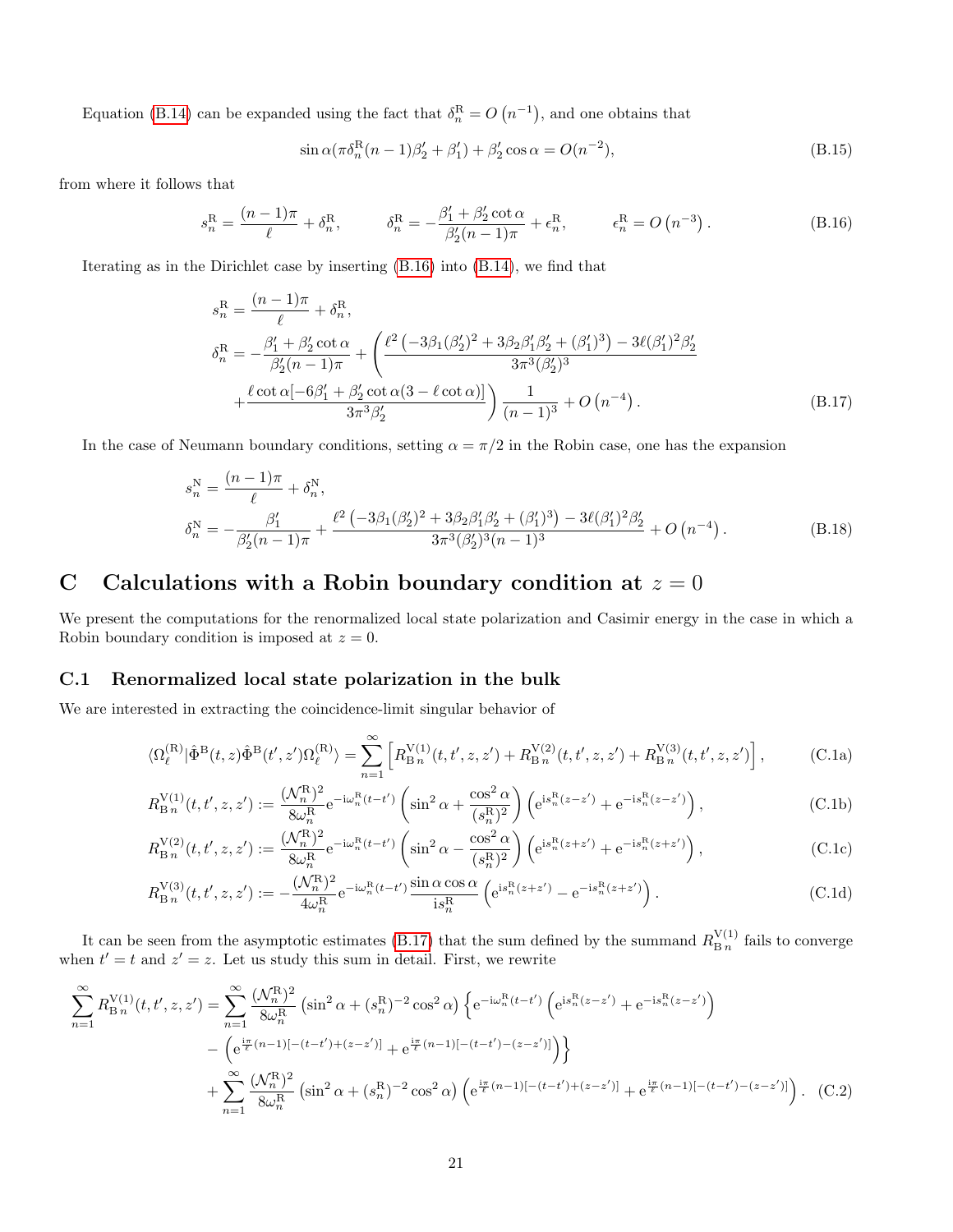Equation [\(B.14\)](#page-19-5) can be expanded using the fact that  $\delta_n^{\mathcal{R}} = O(n^{-1})$ , and one obtains that

<span id="page-20-1"></span>
$$
\sin \alpha (\pi \delta_n^R (n-1)\beta'_2 + \beta'_1) + \beta'_2 \cos \alpha = O(n^{-2}),
$$
\n(B.15)

from where it follows that

<span id="page-20-3"></span>
$$
s_n^{\mathcal{R}} = \frac{(n-1)\pi}{\ell} + \delta_n^{\mathcal{R}}, \qquad \delta_n^{\mathcal{R}} = -\frac{\beta_1' + \beta_2' \cot \alpha}{\beta_2'(n-1)\pi} + \epsilon_n^{\mathcal{R}}, \qquad \epsilon_n^{\mathcal{R}} = O\left(n^{-3}\right). \tag{B.16}
$$

Iterating as in the Dirichlet case by inserting [\(B.16\)](#page-20-3) into [\(B.14\)](#page-19-5), we find that

$$
s_n^{\text{R}} = \frac{(n-1)\pi}{\ell} + \delta_n^{\text{R}},
$$
  
\n
$$
\delta_n^{\text{R}} = -\frac{\beta_1' + \beta_2' \cot \alpha}{\beta_2'(n-1)\pi} + \left(\frac{\ell^2 (-3\beta_1(\beta_2')^2 + 3\beta_2\beta_1'\beta_2' + (\beta_1')^3) - 3\ell(\beta_1')^2\beta_2'}{3\pi^3(\beta_2')^3} + \frac{\ell \cot \alpha [-6\beta_1' + \beta_2' \cot \alpha (3 - \ell \cot \alpha)]}{3\pi^3 \beta_2'}\right) \frac{1}{(n-1)^3} + O(n^{-4}).
$$
\n(B.17)

In the case of Neumann boundary conditions, setting  $\alpha = \pi/2$  in the Robin case, one has the expansion

$$
s_n^N = \frac{(n-1)\pi}{\ell} + \delta_n^N,
$$
  
\n
$$
\delta_n^N = -\frac{\beta_1'}{\beta_2'(n-1)\pi} + \frac{\ell^2(-3\beta_1(\beta_2')^2 + 3\beta_2\beta_1'\beta_2' + (\beta_1')^3) - 3\ell(\beta_1')^2\beta_2'}{3\pi^3(\beta_2')^3(n-1)^3} + O(n^{-4}).
$$
\n(B.18)

# <span id="page-20-0"></span>C Calculations with a Robin boundary condition at  $z = 0$

We present the computations for the renormalized local state polarization and Casimir energy in the case in which a Robin boundary condition is imposed at  $z = 0$ .

#### <span id="page-20-2"></span>C.1 Renormalized local state polarization in the bulk

We are interested in extracting the coincidence-limit singular behavior of

$$
\langle \Omega_{\ell}^{(\mathcal{R})} | \hat{\Phi}^{\mathcal{B}}(t,z) \hat{\Phi}^{\mathcal{B}}(t',z') \Omega_{\ell}^{(\mathcal{R})} \rangle = \sum_{n=1}^{\infty} \left[ R_{\mathcal{B}n}^{V(1)}(t,t',z,z') + R_{\mathcal{B}n}^{V(2)}(t,t',z,z') + R_{\mathcal{B}n}^{V(3)}(t,t',z,z') \right],\tag{C.1a}
$$

<span id="page-20-6"></span><span id="page-20-5"></span>
$$
R_{\rm B\,n}^{\rm V(1)}(t,t',z,z') := \frac{(\mathcal{N}_n^{\rm R})^2}{8\omega_n^{\rm R}} e^{-i\omega_n^{\rm R}(t-t')} \left(\sin^2\alpha + \frac{\cos^2\alpha}{(s_n^{\rm R})^2}\right) \left(e^{is_n^{\rm R}(z-z')} + e^{-is_n^{\rm R}(z-z')}\right),\tag{C.1b}
$$

$$
R_{\rm B\,n}^{\rm V(2)}(t,t',z,z') := \frac{(\mathcal{N}_n^{\rm R})^2}{8\omega_n^{\rm R}} e^{-i\omega_n^{\rm R}(t-t')} \left(\sin^2\alpha - \frac{\cos^2\alpha}{(s_n^{\rm R})^2}\right) \left(e^{i s_n^{\rm R}(z+z')} + e^{-i s_n^{\rm R}(z+z')}\right),\tag{C.1c}
$$

<span id="page-20-7"></span><span id="page-20-4"></span>
$$
R_{\rm B\,n}^{\rm V(3)}(t,t',z,z') := -\frac{(\mathcal{N}_n^{\rm R})^2}{4\omega_n^{\rm R}} e^{-i\omega_n^{\rm R}(t-t')} \frac{\sin\alpha\cos\alpha}{\mathrm{i}s_n^{\rm R}} \left( e^{i s_n^{\rm R}(z+z')} - e^{-i s_n^{\rm R}(z+z')} \right). \tag{C.1d}
$$

It can be seen from the asymptotic estimates [\(B.17\)](#page-20-1) that the sum defined by the summand  $R_{\text{B}_n}^{\text{V}(1)}$  $\frac{N(1)}{B n}$  fails to converge when  $t' = t$  and  $z' = z$ . Let us study this sum in detail. First, we rewrite

$$
\sum_{n=1}^{\infty} R_{\text{B }n}^{\text{V}(1)}(t, t', z, z') = \sum_{n=1}^{\infty} \frac{(\mathcal{N}_n^{\text{R}})^2}{8\omega_n^{\text{R}}} \left( \sin^2 \alpha + (s_n^{\text{R}})^{-2} \cos^2 \alpha \right) \left\{ e^{-i\omega_n^{\text{R}}(t-t')} \left( e^{i s_n^{\text{R}}(z-z')} + e^{-i s_n^{\text{R}}(z-z')} \right) \right. \\
\left. - \left( e^{\frac{i\pi}{\ell}(n-1)[-(t-t') + (z-z')]}\right) + e^{\frac{i\pi}{\ell}(n-1)[-(t-t') - (z-z')]}\right) \right\} \\
+ \sum_{n=1}^{\infty} \frac{(\mathcal{N}_n^{\text{R}})^2}{8\omega_n^{\text{R}}} \left( \sin^2 \alpha + (s_n^{\text{R}})^{-2} \cos^2 \alpha \right) \left( e^{\frac{i\pi}{\ell}(n-1)[-(t-t') + (z-z')]}\right) + e^{\frac{i\pi}{\ell}(n-1)[-(t-t') - (z-z')]}\right). \tag{C.2}
$$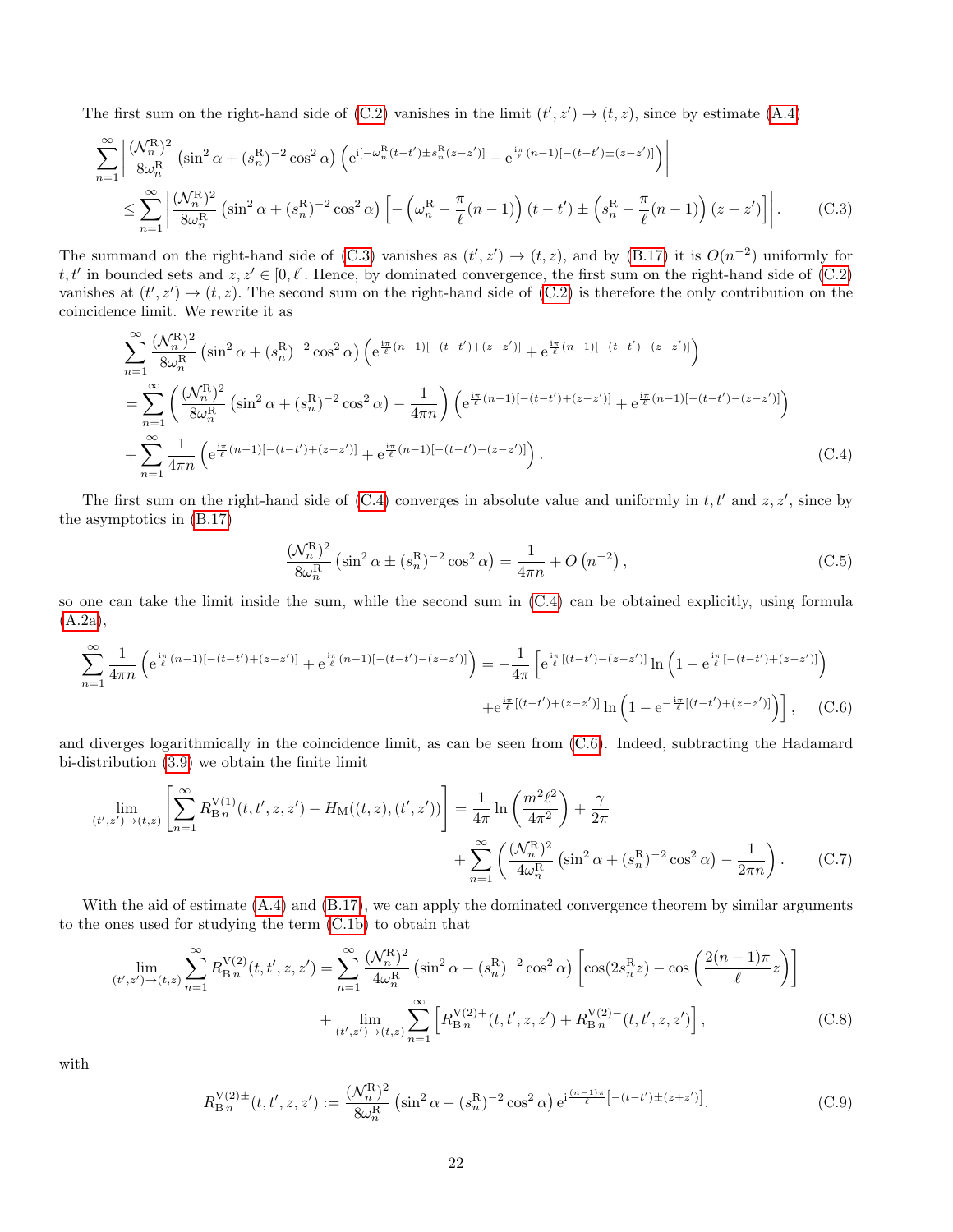The first sum on the right-hand side of  $(C.2)$  vanishes in the limit  $(t', z') \rightarrow (t, z)$ , since by estimate  $(A.4)$ 

$$
\sum_{n=1}^{\infty} \left| \frac{(\mathcal{N}_n^{\mathcal{R}})^2}{8\omega_n^{\mathcal{R}}} \left( \sin^2 \alpha + (s_n^{\mathcal{R}})^{-2} \cos^2 \alpha \right) \left( e^{i[-\omega_n^{\mathcal{R}}(t-t') \pm s_n^{\mathcal{R}}(z-z')] - e^{\frac{i\pi}{\ell}(n-1)[-(t-t') \pm (z-z')]}\right) \right|
$$
  

$$
\leq \sum_{n=1}^{\infty} \left| \frac{(\mathcal{N}_n^{\mathcal{R}})^2}{8\omega_n^{\mathcal{R}}} \left( \sin^2 \alpha + (s_n^{\mathcal{R}})^{-2} \cos^2 \alpha \right) \left[ -\left( \omega_n^{\mathcal{R}} - \frac{\pi}{\ell}(n-1) \right) (t-t') \pm \left( s_n^{\mathcal{R}} - \frac{\pi}{\ell}(n-1) \right) (z-z') \right] \right|. \tag{C.3}
$$

The summand on the right-hand side of [\(C.3\)](#page-21-0) vanishes as  $(t', z') \rightarrow (t, z)$ , and by [\(B.17\)](#page-20-1) it is  $O(n^{-2})$  uniformly for  $t, t'$  in bounded sets and  $z, z' \in [0, \ell]$ . Hence, by dominated convergence, the first sum on the right-hand side of [\(C.2\)](#page-20-4) vanishes at  $(t', z') \to (t, z)$ . The second sum on the right-hand side of  $(C.2)$  is therefore the only contribution on the coincidence limit. We rewrite it as

$$
\sum_{n=1}^{\infty} \frac{(\mathcal{N}_n^{\mathcal{R}})^2}{8\omega_n^{\mathcal{R}}} \left( \sin^2 \alpha + (s_n^{\mathcal{R}})^{-2} \cos^2 \alpha \right) \left( e^{\frac{i\pi}{\ell}(n-1)[- (t-t') + (z-z')] } + e^{\frac{i\pi}{\ell}(n-1)[- (t-t') - (z-z')] } \right)
$$
\n
$$
= \sum_{n=1}^{\infty} \left( \frac{(\mathcal{N}_n^{\mathcal{R}})^2}{8\omega_n^{\mathcal{R}}} \left( \sin^2 \alpha + (s_n^{\mathcal{R}})^{-2} \cos^2 \alpha \right) - \frac{1}{4\pi n} \right) \left( e^{\frac{i\pi}{\ell}(n-1)[- (t-t') + (z-z')] } + e^{\frac{i\pi}{\ell}(n-1)[- (t-t') - (z-z')] } \right)
$$
\n
$$
+ \sum_{n=1}^{\infty} \frac{1}{4\pi n} \left( e^{\frac{i\pi}{\ell}(n-1)[- (t-t') + (z-z')] } + e^{\frac{i\pi}{\ell}(n-1)[- (t-t') - (z-z')] } \right).
$$
\n(C.4)

The first sum on the right-hand side of  $(C.4)$  converges in absolute value and uniformly in  $t, t'$  and  $z, z'$ , since by the asymptotics in [\(B.17\)](#page-20-1)

<span id="page-21-5"></span><span id="page-21-4"></span><span id="page-21-2"></span><span id="page-21-1"></span><span id="page-21-0"></span>
$$
\frac{(\mathcal{N}_n^{\mathcal{R}})^2}{8\omega_n^{\mathcal{R}}} \left(\sin^2 \alpha \pm (s_n^{\mathcal{R}})^{-2} \cos^2 \alpha\right) = \frac{1}{4\pi n} + O\left(n^{-2}\right),\tag{C.5}
$$

so one can take the limit inside the sum, while the second sum in [\(C.4\)](#page-21-1) can be obtained explicitly, using formula [\(A.2a\)](#page-18-1),

$$
\sum_{n=1}^{\infty} \frac{1}{4\pi n} \left( e^{\frac{i\pi}{\ell}(n-1)[- (t-t') + (z-z')] + e^{\frac{i\pi}{\ell}(n-1)[- (t-t') - (z-z')] } \right) = -\frac{1}{4\pi} \left[ e^{\frac{i\pi}{\ell}[(t-t') - (z-z')] } \ln \left( 1 - e^{\frac{i\pi}{\ell}[- (t-t') + (z-z')] } \right) \right. \\
\left. + e^{\frac{i\pi}{\ell}[(t-t') + (z-z')] } \ln \left( 1 - e^{-\frac{i\pi}{\ell}[(t-t') + (z-z')] } \right) \right], \quad (C.6)
$$

and diverges logarithmically in the coincidence limit, as can be seen from [\(C.6\)](#page-21-2). Indeed, subtracting the Hadamard bi-distribution [\(3.9\)](#page-6-0) we obtain the finite limit

$$
\lim_{(t',z') \to (t,z)} \left[ \sum_{n=1}^{\infty} R_{\text{B}_n}^{\text{V}(1)}(t,t',z,z') - H_{\text{M}}((t,z),(t',z')) \right] = \frac{1}{4\pi} \ln \left( \frac{m^2 \ell^2}{4\pi^2} \right) + \frac{\gamma}{2\pi} + \sum_{n=1}^{\infty} \left( \frac{(\mathcal{N}_n^{\text{R}})^2}{4\omega_n^{\text{R}}} \left( \sin^2 \alpha + (s_n^{\text{R}})^{-2} \cos^2 \alpha \right) - \frac{1}{2\pi n} \right). \tag{C.7}
$$

With the aid of estimate  $(A.4)$  and  $(B.17)$ , we can apply the dominated convergence theorem by similar arguments to the ones used for studying the term [\(C.1b\)](#page-20-5) to obtain that

$$
\lim_{(t',z') \to (t,z)} \sum_{n=1}^{\infty} R_{\text{B}n}^{\text{V}(2)}(t,t',z,z') = \sum_{n=1}^{\infty} \frac{(\mathcal{N}_n^{\text{R}})^2}{4\omega_n^{\text{R}}} \left( \sin^2 \alpha - (s_n^{\text{R}})^{-2} \cos^2 \alpha \right) \left[ \cos(2s_n^{\text{R}}z) - \cos\left(\frac{2(n-1)\pi}{\ell}z\right) \right] + \lim_{(t',z') \to (t,z)} \sum_{n=1}^{\infty} \left[ R_{\text{B}n}^{\text{V}(2)+}(t,t',z,z') + R_{\text{B}n}^{\text{V}(2)-}(t,t',z,z') \right],
$$
\n(C.8)

with

<span id="page-21-3"></span>
$$
R_{\rm B\,n}^{\rm V(2)\pm}(t,t',z,z') := \frac{(\mathcal{N}_n^{\rm R})^2}{8\omega_n^{\rm R}} \left(\sin^2\alpha - (s_n^{\rm R})^{-2}\cos^2\alpha\right) e^{i\frac{(n-1)\pi}{\ell} \left[-(t-t')\pm(z+z')\right]}.
$$
 (C.9)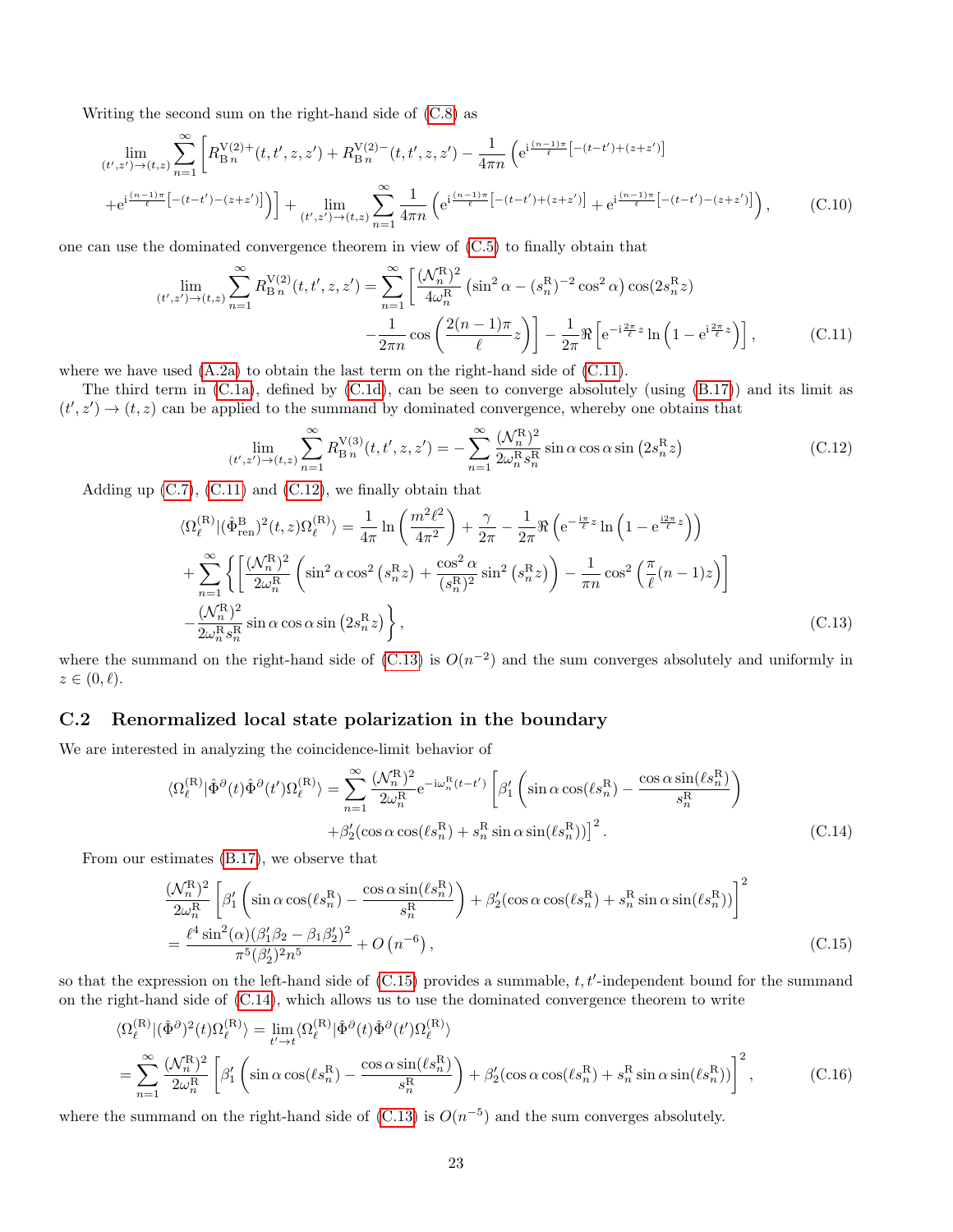Writing the second sum on the right-hand side of [\(C.8\)](#page-21-3) as

 $\sim$   $-$ 

$$
\lim_{(t',z')\to(t,z)} \sum_{n=1}^{\infty} \left[ R_{\text{B}_n}^{V(2)+}(t,t',z,z') + R_{\text{B}_n}^{V(2)-}(t,t',z,z') - \frac{1}{4\pi n} \left( e^{i\frac{(n-1)\pi}{\ell} \left[ -(t-t') + (z+z') \right]} \right. \right. \\
\left. + e^{i\frac{(n-1)\pi}{\ell} \left[ -(t-t') - (z+z') \right]} \right) + \lim_{(t',z')\to(t,z)} \sum_{n=1}^{\infty} \frac{1}{4\pi n} \left( e^{i\frac{(n-1)\pi}{\ell} \left[ -(t-t') + (z+z') \right]} + e^{i\frac{(n-1)\pi}{\ell} \left[ -(t-t') - (z+z') \right]} \right),\n\tag{C.10}
$$

one can use the dominated convergence theorem in view of [\(C.5\)](#page-21-4) to finally obtain that

$$
\lim_{(t',z') \to (t,z)} \sum_{n=1}^{\infty} R_{\text{B}_n}^{\text{V}(2)}(t,t',z,z') = \sum_{n=1}^{\infty} \left[ \frac{(\mathcal{N}_n^{\text{R}})^2}{4\omega_n^{\text{R}}} \left( \sin^2 \alpha - (s_n^{\text{R}})^{-2} \cos^2 \alpha \right) \cos(2s_n^{\text{R}}z) - \frac{1}{2\pi n} \cos\left( \frac{2(n-1)\pi}{\ell} z \right) \right] - \frac{1}{2\pi} \Re\left[ e^{-i\frac{2\pi}{\ell}z} \ln\left(1 - e^{i\frac{2\pi}{\ell}z}\right) \right],\tag{C.11}
$$

where we have used  $(A.2a)$  to obtain the last term on the right-hand side of  $(C.11)$ .

The third term in  $(C.1a)$ , defined by  $(C.1d)$ , can be seen to converge absolutely (using  $(B.17)$ ) and its limit as  $(t', z') \rightarrow (t, z)$  can be applied to the summand by dominated convergence, whereby one obtains that

<span id="page-22-4"></span><span id="page-22-3"></span><span id="page-22-2"></span>
$$
\lim_{(t',z') \to (t,z)} \sum_{n=1}^{\infty} R_{\text{B}_n}^{\text{V}(3)}(t, t', z, z') = -\sum_{n=1}^{\infty} \frac{(\mathcal{N}_n^{\text{R}})^2}{2\omega_n^{\text{R}} s_n^{\text{R}}} \sin \alpha \cos \alpha \sin (2s_n^{\text{R}} z)
$$
(C.12)

Adding up  $(C.7)$ ,  $(C.11)$  and  $(C.12)$ , we finally obtain that

$$
\langle \Omega_{\ell}^{(\mathcal{R})} | (\hat{\Phi}_{\text{ren}}^{B})^{2}(t,z) \Omega_{\ell}^{(\mathcal{R})} \rangle = \frac{1}{4\pi} \ln \left( \frac{m^{2}\ell^{2}}{4\pi^{2}} \right) + \frac{\gamma}{2\pi} - \frac{1}{2\pi} \Re \left( e^{-\frac{i\pi}{\ell}z} \ln \left( 1 - e^{\frac{i2\pi}{\ell}z} \right) \right)
$$
  
+ 
$$
\sum_{n=1}^{\infty} \left\{ \left[ \frac{(\mathcal{N}_{n}^{\mathcal{R}})^{2}}{2\omega_{n}^{\mathcal{R}}} \left( \sin^{2} \alpha \cos^{2} \left( s_{n}^{\mathcal{R}} z \right) + \frac{\cos^{2} \alpha}{(s_{n}^{\mathcal{R}})^{2}} \sin^{2} \left( s_{n}^{\mathcal{R}} z \right) \right) - \frac{1}{\pi n} \cos^{2} \left( \frac{\pi}{\ell} (n-1) z \right) \right]
$$
  
- 
$$
\frac{(\mathcal{N}_{n}^{\mathcal{R}})^{2}}{2\omega_{n}^{\mathcal{R}} s_{n}^{\mathcal{R}}} \sin \alpha \cos \alpha \sin \left( 2s_{n}^{\mathcal{R}} z \right) \right\}, \tag{C.13}
$$

where the summand on the right-hand side of  $(C.13)$  is  $O(n^{-2})$  and the sum converges absolutely and uniformly in  $z \in (0, \ell).$ 

#### <span id="page-22-0"></span>C.2 Renormalized local state polarization in the boundary

We are interested in analyzing the coincidence-limit behavior of

<span id="page-22-5"></span>
$$
\langle \Omega_{\ell}^{(\mathcal{R})} | \hat{\Phi}^{\partial}(t) \hat{\Phi}^{\partial}(t') \Omega_{\ell}^{(\mathcal{R})} \rangle = \sum_{n=1}^{\infty} \frac{(\mathcal{N}_n^{\mathcal{R}})^2}{2\omega_n^{\mathcal{R}}} e^{-i\omega_n^{\mathcal{R}}(t-t')} \left[ \beta_1' \left( \sin \alpha \cos(\ell s_n^{\mathcal{R}}) - \frac{\cos \alpha \sin(\ell s_n^{\mathcal{R}})}{s_n^{\mathcal{R}}} \right) \right. \\ \left. + \beta_2' (\cos \alpha \cos(\ell s_n^{\mathcal{R}}) + s_n^{\mathcal{R}} \sin \alpha \sin(\ell s_n^{\mathcal{R}})) \right]^2. \tag{C.14}
$$

From our estimates [\(B.17\)](#page-20-1), we observe that

<span id="page-22-1"></span>
$$
\frac{(\mathcal{N}_n^R)^2}{2\omega_n^R} \left[ \beta_1' \left( \sin \alpha \cos(\ell s_n^R) - \frac{\cos \alpha \sin(\ell s_n^R)}{s_n^R} \right) + \beta_2' (\cos \alpha \cos(\ell s_n^R) + s_n^R \sin \alpha \sin(\ell s_n^R)) \right]^2
$$
  
= 
$$
\frac{\ell^4 \sin^2(\alpha)(\beta_1' \beta_2 - \beta_1 \beta_2')^2}{\pi^5 (\beta_2')^2 n^5} + O(n^{-6}),
$$
 (C.15)

so that the expression on the left-hand side of  $(C.15)$  provides a summable,  $t, t'$ -independent bound for the summand on the right-hand side of [\(C.14\)](#page-22-5), which allows us to use the dominated convergence theorem to write

$$
\langle \Omega_{\ell}^{(\mathbf{R})} | (\hat{\Phi}^{\partial})^2 (t) \Omega_{\ell}^{(\mathbf{R})} \rangle = \lim_{t' \to t} \langle \Omega_{\ell}^{(\mathbf{R})} | \hat{\Phi}^{\partial} (t) \hat{\Phi}^{\partial} (t') \Omega_{\ell}^{(\mathbf{R})} \rangle
$$
  
= 
$$
\sum_{n=1}^{\infty} \frac{(\mathcal{N}_n^{\mathbf{R}})^2}{2\omega_n^{\mathbf{R}}} \left[ \beta_1' \left( \sin \alpha \cos(\ell s_n^{\mathbf{R}}) - \frac{\cos \alpha \sin(\ell s_n^{\mathbf{R}})}{s_n^{\mathbf{R}}} \right) + \beta_2' (\cos \alpha \cos(\ell s_n^{\mathbf{R}}) + s_n^{\mathbf{R}} \sin \alpha \sin(\ell s_n^{\mathbf{R}})) \right]^2, \tag{C.16}
$$

where the summand on the right-hand side of  $(C.13)$  is  $O(n^{-5})$  and the sum converges absolutely.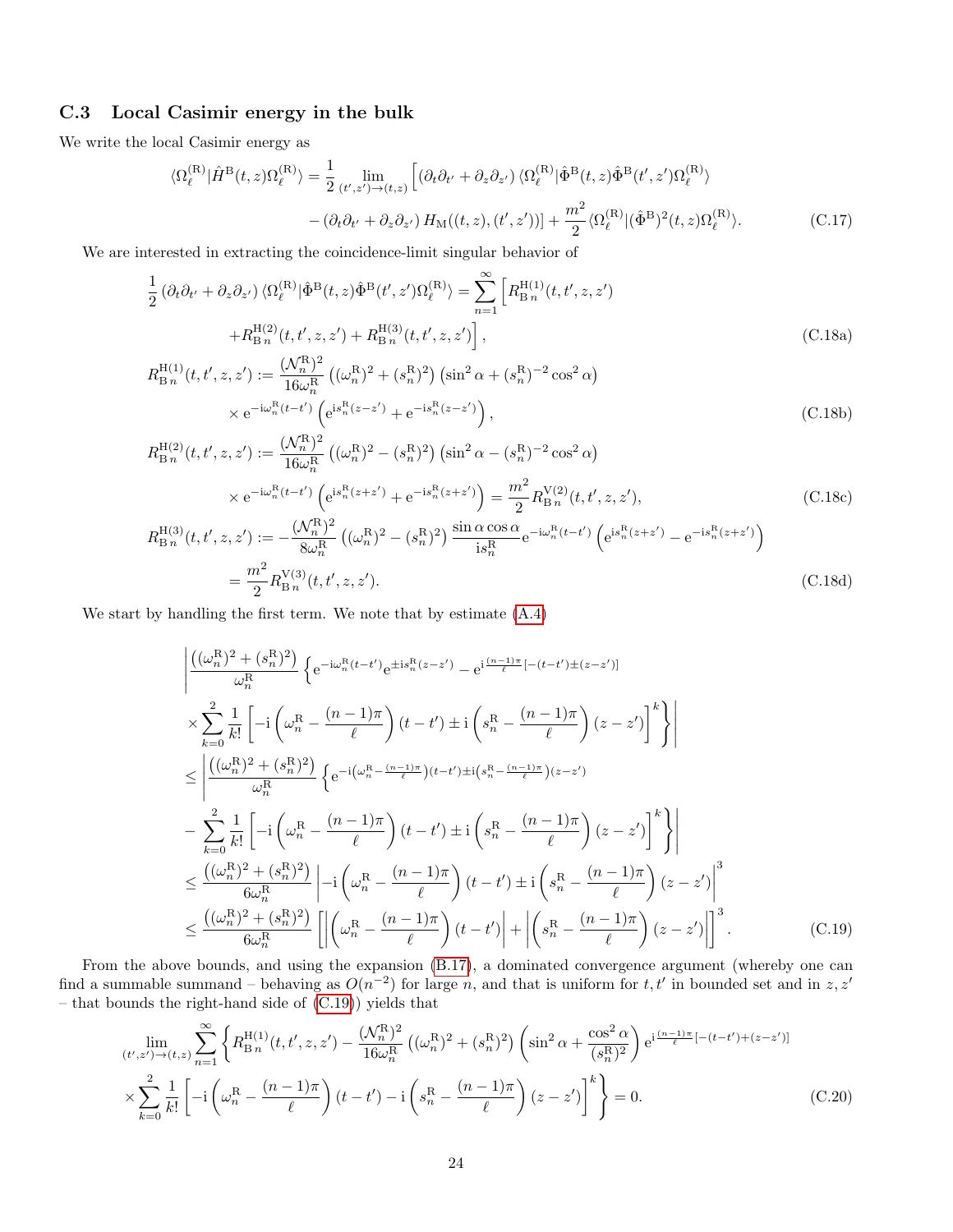#### <span id="page-23-0"></span>C.3 Local Casimir energy in the bulk

We write the local Casimir energy as

$$
\langle \Omega_{\ell}^{(\mathcal{R})} | \hat{H}^{\mathcal{B}}(t,z) \Omega_{\ell}^{(\mathcal{R})} \rangle = \frac{1}{2} \lim_{(t',z') \to (t,z)} \left[ (\partial_t \partial_{t'} + \partial_z \partial_{z'}) \langle \Omega_{\ell}^{(\mathcal{R})} | \hat{\Phi}^{\mathcal{B}}(t,z) \hat{\Phi}^{\mathcal{B}}(t',z') \Omega_{\ell}^{(\mathcal{R})} \rangle \right. \\
\left. - (\partial_t \partial_{t'} + \partial_z \partial_{z'}) H_{\mathcal{M}}((t,z), (t',z')) \right] + \frac{m^2}{2} \langle \Omega_{\ell}^{(\mathcal{R})} | (\hat{\Phi}^{\mathcal{B}})^2(t,z) \Omega_{\ell}^{(\mathcal{R})} \rangle. \tag{C.17}
$$

We are interested in extracting the coincidence-limit singular behavior of

$$
\frac{1}{2} \left( \partial_t \partial_{t'} + \partial_z \partial_{z'} \right) \langle \Omega_{\ell}^{(\mathcal{R})} | \hat{\Phi}^{\mathcal{B}}(t, z) \hat{\Phi}^{\mathcal{B}}(t', z') \Omega_{\ell}^{(\mathcal{R})} \rangle = \sum_{n=1}^{\infty} \left[ R_{\mathcal{B}n}^{\mathcal{H}(1)}(t, t', z, z') + R_{\mathcal{B}n}^{\mathcal{H}(2)}(t, t', z, z') + R_{\mathcal{B}n}^{\mathcal{H}(3)}(t, t', z, z') \right],
$$
\n(C.18a)

$$
R_{\rm B n}^{\rm H(1)}(t, t', z, z') := \frac{(\mathcal{N}_n^{\rm R})^2}{16\omega_n^{\rm R}} \left( (\omega_n^{\rm R})^2 + (s_n^{\rm R})^2 \right) \left( \sin^2 \alpha + (s_n^{\rm R})^{-2} \cos^2 \alpha \right) \\
\times e^{-i\omega_n^{\rm R}(t-t')} \left( e^{i s_n^{\rm R}(z-z')} + e^{-i s_n^{\rm R}(z-z')} \right),
$$
\n(C.18b)

$$
R_{\rm B\,n}^{\rm H(2)}(t, t', z, z') := \frac{(\mathcal{N}_n^{\rm R})^2}{16\omega_n^{\rm R}} \left( (\omega_n^{\rm R})^2 - (s_n^{\rm R})^2 \right) \left( \sin^2 \alpha - (s_n^{\rm R})^{-2} \cos^2 \alpha \right)
$$

$$
\times e^{-i\omega_n^{\rm R}(t-t')} \left( e^{i s_n^{\rm R}(z+z')} + e^{-i s_n^{\rm R}(z+z')} \right) = \frac{m^2}{2} R_{\rm B\,n}^{\rm V(2)}(t, t', z, z'), \tag{C.18c}
$$

$$
R_{\rm B\,n}^{\rm H(3)}(t, t', z, z') := -\frac{(\mathcal{N}_n^{\rm R})^2}{8\omega_n^{\rm R}} \left( (\omega_n^{\rm R})^2 - (s_n^{\rm R})^2 \right) \frac{\sin \alpha \cos \alpha}{\mathrm{i} s_n^{\rm R}} e^{-\mathrm{i} \omega_n^{\rm R}(t-t')} \left( e^{\mathrm{i} s_n^{\rm R}(z+z')} - e^{-\mathrm{i} s_n^{\rm R}(z+z')} \right)
$$

$$
= \frac{m^2}{2} R_{\rm B\,n}^{\rm V(3)}(t, t', z, z'). \tag{C.18d}
$$

We start by handling the first term. We note that by estimate [\(A.4\)](#page-18-2)

<span id="page-23-1"></span>
$$
\begin{split}\n&\left| \frac{\left( (\omega_n^{\mathrm{R}})^2 + (s_n^{\mathrm{R}})^2 \right)}{\omega_n^{\mathrm{R}}} \left\{ e^{-i\omega_n^{\mathrm{R}}(t-t')} e^{\pm i s_n^{\mathrm{R}}(z-z')} - e^{i \frac{(n-1)\pi}{\ell}[-(t-t')\pm(z-z')]}\n\right. \\
&\times \sum_{k=0}^2 \frac{1}{k!} \left[ -i \left( \omega_n^{\mathrm{R}} - \frac{(n-1)\pi}{\ell} \right) (t-t') \pm i \left( s_n^{\mathrm{R}} - \frac{(n-1)\pi}{\ell} \right) (z-z') \right]^k \right\} \\
&\leq \left| \frac{\left( (\omega_n^{\mathrm{R}})^2 + (s_n^{\mathrm{R}})^2 \right)}{\omega_n^{\mathrm{R}}} \left\{ e^{-i \left( \omega_n^{\mathrm{R}} - \frac{(n-1)\pi}{\ell} \right) (t-t') \pm i \left( s_n^{\mathrm{R}} - \frac{(n-1)\pi}{\ell} \right) (z-z')} \right. \\
&\left. - \sum_{k=0}^2 \frac{1}{k!} \left[ -i \left( \omega_n^{\mathrm{R}} - \frac{(n-1)\pi}{\ell} \right) (t-t') \pm i \left( s_n^{\mathrm{R}} - \frac{(n-1)\pi}{\ell} \right) (z-z') \right]^k \right\} \\
&\leq \frac{\left( (\omega_n^{\mathrm{R}})^2 + (s_n^{\mathrm{R}})^2 \right)}{6\omega_n^{\mathrm{R}}} \left| -i \left( \omega_n^{\mathrm{R}} - \frac{(n-1)\pi}{\ell} \right) (t-t') \pm i \left( s_n^{\mathrm{R}} - \frac{(n-1)\pi}{\ell} \right) (z-z') \right|^3 \\
&\leq \frac{\left( (\omega_n^{\mathrm{R}})^2 + (s_n^{\mathrm{R}})^2 \right)}{6\omega_n^{\mathrm{R}}} \left[ \left| \left( \omega_n^{\mathrm{R}} - \frac{(n-1)\pi}{\ell} \right) (t-t') \right| + \left| \left( s_n^{\mathrm{R}} - \frac{(n-1)\pi}{\ell} \right) (z-z') \right| \right]^3. \end{split} \tag{C.19}
$$

From the above bounds, and using the expansion [\(B.17\)](#page-20-1), a dominated convergence argument (whereby one can find a summable summand – behaving as  $O(n^{-2})$  for large n, and that is uniform for t, t' in bounded set and in z, z' – that bounds the right-hand side of [\(C.19\)](#page-23-1)) yields that

$$
\lim_{(t',z')\to(t,z)} \sum_{n=1}^{\infty} \left\{ R_{\text{B}}^{\text{H}(1)}(t,t',z,z') - \frac{(\mathcal{N}_n^{\text{R}})^2}{16\omega_n^{\text{R}}} \left( (\omega_n^{\text{R}})^2 + (s_n^{\text{R}})^2 \right) \left( \sin^2 \alpha + \frac{\cos^2 \alpha}{(s_n^{\text{R}})^2} \right) e^{i\frac{(n-1)\pi}{\ell} [-(t-t') + (z-z')]}\n\times \sum_{k=0}^2 \frac{1}{k!} \left[ -i \left( \omega_n^{\text{R}} - \frac{(n-1)\pi}{\ell} \right) (t-t') - i \left( s_n^{\text{R}} - \frac{(n-1)\pi}{\ell} \right) (z-z') \right]^k \right\} = 0.
$$
\n(C.20)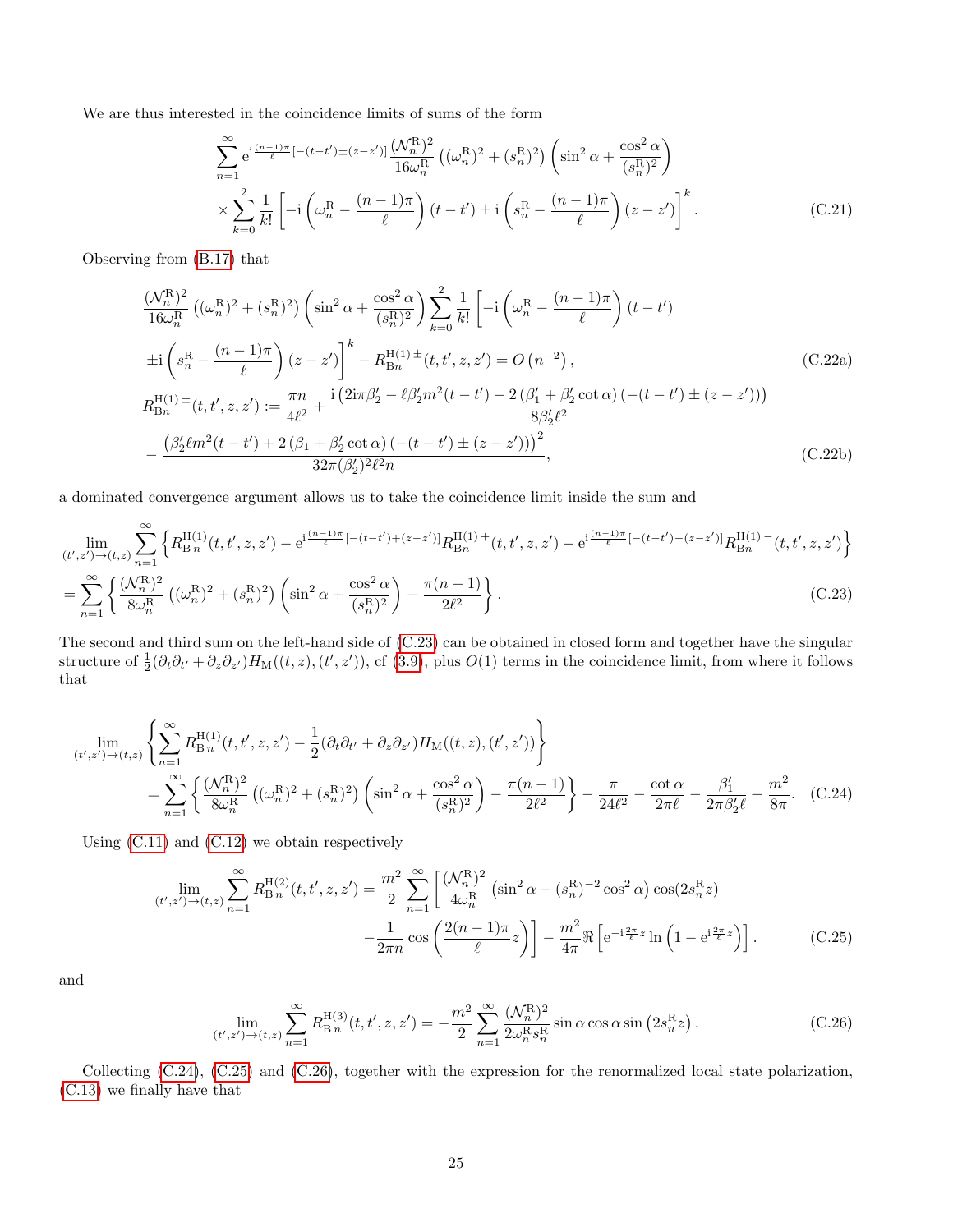We are thus interested in the coincidence limits of sums of the form

$$
\sum_{n=1}^{\infty} e^{i\frac{(n-1)\pi}{\ell}[-(t-t')\pm(z-z')]}\frac{(\mathcal{N}_n^{\mathcal{R}})^2}{16\omega_n^{\mathcal{R}}}((\omega_n^{\mathcal{R}})^2 + (s_n^{\mathcal{R}})^2) \left(\sin^2 \alpha + \frac{\cos^2 \alpha}{(s_n^{\mathcal{R}})^2}\right) \times \sum_{k=0}^2 \frac{1}{k!} \left[-i\left(\omega_n^{\mathcal{R}} - \frac{(n-1)\pi}{\ell}\right)(t-t')\pm i\left(s_n^{\mathcal{R}} - \frac{(n-1)\pi}{\ell}\right)(z-z')\right]^k.
$$
\n(C.21)

Observing from [\(B.17\)](#page-20-1) that

$$
\frac{(\mathcal{N}_n^{\rm R})^2}{16\omega_n^{\rm R}} \left( (\omega_n^{\rm R})^2 + (s_n^{\rm R})^2 \right) \left( \sin^2 \alpha + \frac{\cos^2 \alpha}{(s_n^{\rm R})^2} \right) \sum_{k=0}^2 \frac{1}{k!} \left[ -i \left( \omega_n^{\rm R} - \frac{(n-1)\pi}{\ell} \right) (t-t') \right]
$$
  
\n
$$
\pm i \left( s_n^{\rm R} - \frac{(n-1)\pi}{\ell} \right) (z-z') \Big|^k - R_{\rm Bn}^{\rm H(1)} \pm (t, t', z, z') = O \left( n^{-2} \right),
$$
  
\n
$$
R_{\rm Bn}^{\rm H(1)} \pm (t, t', z, z') := \frac{\pi n}{4\ell^2} + \frac{i \left( 2i\pi \beta_2' - \ell \beta_2' m^2 (t-t') - 2 \left( \beta_1' + \beta_2' \cot \alpha \right) \left( -(t-t') \pm (z-z') \right) \right)}{8\beta_2' \ell^2}
$$
  
\n
$$
- \frac{\left( \beta_2' \ell m^2 (t-t') + 2 \left( \beta_1 + \beta_2' \cot \alpha \right) \left( -(t-t') \pm (z-z') \right) \right)^2}{32\pi (\beta_2')^2 \ell^2 n},
$$
\n(C.22b)

a dominated convergence argument allows us to take the coincidence limit inside the sum and

$$
\lim_{(t',z') \to (t,z)} \sum_{n=1}^{\infty} \left\{ R_{\text{B}}^{\text{H}(1)}(t,t',z,z') - e^{i\frac{(n-1)\pi}{\ell}[-(t-t')+(z-z')]}\n R_{\text{B}n}^{\text{H}(1)} + (t,t',z,z') - e^{i\frac{(n-1)\pi}{\ell}[-(t-t')-(z-z')]}\n R_{\text{B}n}^{\text{H}(1)} - (t,t',z,z') \right\}
$$
\n
$$
= \sum_{n=1}^{\infty} \left\{ \frac{(\mathcal{N}_{n}^{\text{R}})^2}{8\omega_{n}^{\text{R}}} \left( (\omega_{n}^{\text{R}})^2 + (s_{n}^{\text{R}})^2 \right) \left( \sin^2\alpha + \frac{\cos^2\alpha}{(s_{n}^{\text{R}})^2} \right) - \frac{\pi(n-1)}{2\ell^2} \right\}.
$$
\n(C.23)

The second and third sum on the left-hand side of [\(C.23\)](#page-24-0) can be obtained in closed form and together have the singular structure of  $\frac{1}{2}(\partial_t\partial_{t'}+\partial_z\partial_{z'})H_M((t,z),(t',z'))$ , cf [\(3.9\)](#page-6-0), plus  $O(1)$  terms in the coincidence limit, from where it follows that

$$
\lim_{(t',z')\to(t,z)} \left\{ \sum_{n=1}^{\infty} R_{\text{B}}^{\text{H}(1)}(t,t',z,z') - \frac{1}{2} (\partial_t \partial_{t'} + \partial_z \partial_{z'}) H_{\text{M}}((t,z),(t',z')) \right\}
$$
\n
$$
= \sum_{n=1}^{\infty} \left\{ \frac{(\mathcal{N}_n^{\text{R}})^2}{8\omega_n^{\text{R}}} \left( (\omega_n^{\text{R}})^2 + (s_n^{\text{R}})^2 \right) \left( \sin^2 \alpha + \frac{\cos^2 \alpha}{(s_n^{\text{R}})^2} \right) - \frac{\pi (n-1)}{2\ell^2} \right\} - \frac{\pi}{24\ell^2} - \frac{\cot \alpha}{2\pi \ell} - \frac{\beta_1'}{2\pi \beta_2' \ell} + \frac{m^2}{8\pi}.
$$
 (C.24)

Using [\(C.11\)](#page-22-2) and [\(C.12\)](#page-22-3) we obtain respectively

<span id="page-24-0"></span>
$$
\lim_{(t',z') \to (t,z)} \sum_{n=1}^{\infty} R_{\text{B}}^{\text{H}(2)}(t,t',z,z') = \frac{m^2}{2} \sum_{n=1}^{\infty} \left[ \frac{(\mathcal{N}_n^{\text{R}})^2}{4\omega_n^{\text{R}}} \left( \sin^2 \alpha - (s_n^{\text{R}})^{-2} \cos^2 \alpha \right) \cos(2s_n^{\text{R}} z) - \frac{1}{2\pi n} \cos\left( \frac{2(n-1)\pi}{\ell} z \right) \right] - \frac{m^2}{4\pi} \Re\left[ e^{-i\frac{2\pi}{\ell} z} \ln\left(1 - e^{i\frac{2\pi}{\ell} z}\right) \right].
$$
 (C.25)

and

<span id="page-24-3"></span><span id="page-24-2"></span><span id="page-24-1"></span>
$$
\lim_{(t',z') \to (t,z)} \sum_{n=1}^{\infty} R_{\text{B}_n}^{\text{H}(3)}(t, t', z, z') = -\frac{m^2}{2} \sum_{n=1}^{\infty} \frac{(\mathcal{N}_n^{\text{R}})^2}{2\omega_n^{\text{R}} s_n^{\text{R}}} \sin \alpha \cos \alpha \sin (2s_n^{\text{R}} z) \,. \tag{C.26}
$$

Collecting [\(C.24\)](#page-24-1), [\(C.25\)](#page-24-2) and [\(C.26\)](#page-24-3), together with the expression for the renormalized local state polarization, [\(C.13\)](#page-22-4) we finally have that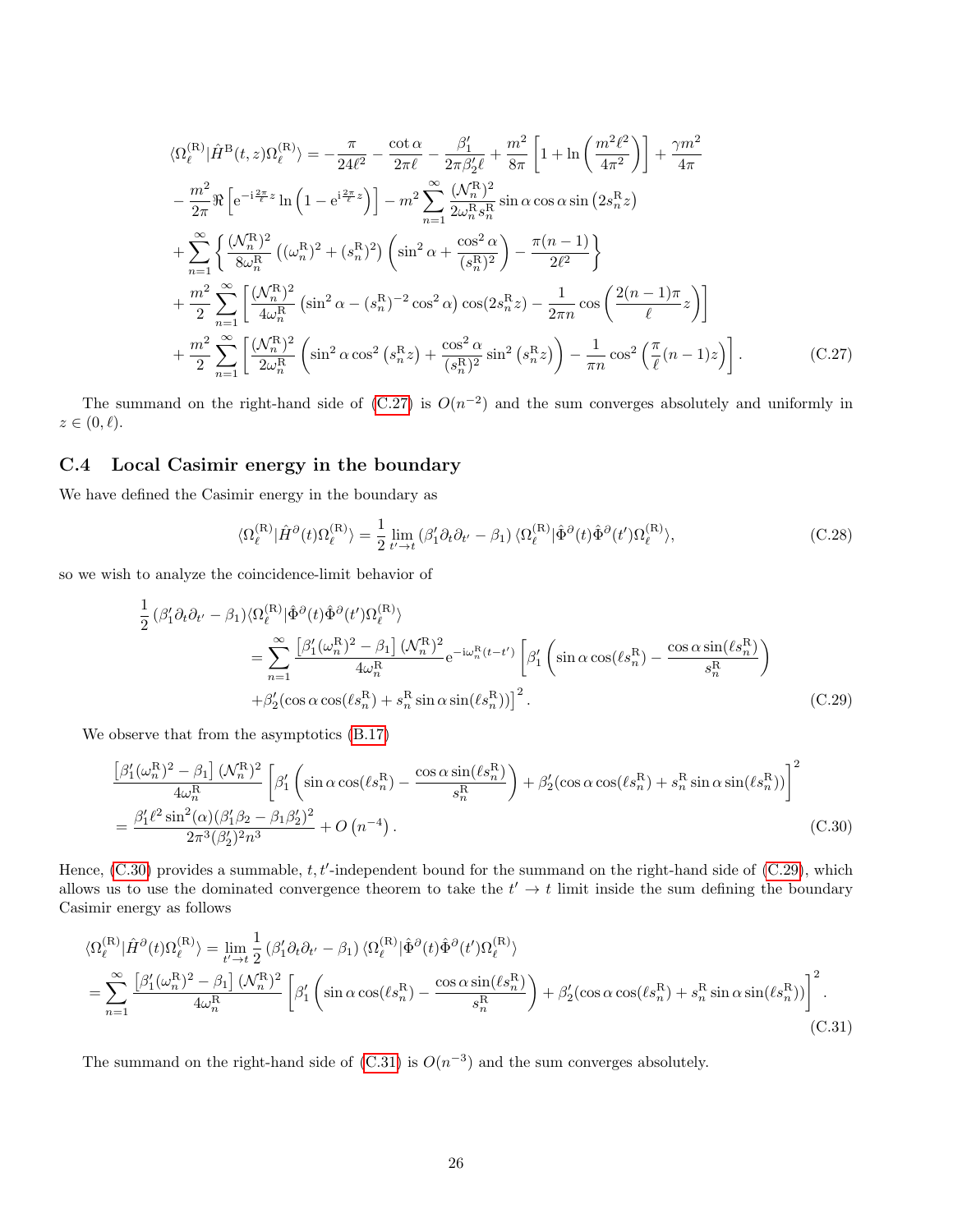$$
\langle \Omega_{\ell}^{(\mathbf{R})} | \hat{H}^{\mathbf{B}}(t, z) \Omega_{\ell}^{(\mathbf{R})} \rangle = -\frac{\pi}{24\ell^{2}} - \frac{\cot \alpha}{2\pi \ell} - \frac{\beta_{1}'}{2\pi \beta_{2}' \ell} + \frac{m^{2}}{8\pi} \left[ 1 + \ln \left( \frac{m^{2} \ell^{2}}{4\pi^{2}} \right) \right] + \frac{\gamma m^{2}}{4\pi}
$$

$$
- \frac{m^{2}}{2\pi} \Re \left[ e^{-i\frac{2\pi}{\ell}z} \ln \left( 1 - e^{i\frac{2\pi}{\ell}z} \right) \right] - m^{2} \sum_{n=1}^{\infty} \frac{(\mathcal{N}_{n}^{\mathbf{R}})^{2}}{2\omega_{n}^{(\mathbf{R}}s_{n}^{\mathbf{R}}} \sin \alpha \cos \alpha \sin \left( 2s_{n}^{\mathbf{R}} z \right)
$$

$$
+ \sum_{n=1}^{\infty} \left\{ \frac{(\mathcal{N}_{n}^{\mathbf{R}})^{2}}{8\omega_{n}^{(\mathbf{R})}} \left( (\omega_{n}^{\mathbf{R}})^{2} + (s_{n}^{\mathbf{R}})^{2} \right) \left( \sin^{2} \alpha + \frac{\cos^{2} \alpha}{(s_{n}^{\mathbf{R}})^{2}} \right) - \frac{\pi (n-1)}{2\ell^{2}} \right\}
$$

$$
+ \frac{m^{2}}{2} \sum_{n=1}^{\infty} \left[ \frac{(\mathcal{N}_{n}^{\mathbf{R}})^{2}}{4\omega_{n}^{(\mathbf{R})}} \left( \sin^{2} \alpha - (s_{n}^{\mathbf{R}})^{-2} \cos^{2} \alpha \right) \cos(2s_{n}^{\mathbf{R}} z) - \frac{1}{2\pi n} \cos \left( \frac{2(n-1)\pi}{\ell} z \right) \right]
$$

$$
+ \frac{m^{2}}{2} \sum_{n=1}^{\infty} \left[ \frac{(\mathcal{N}_{n}^{\mathbf{R}})^{2}}{2\omega_{n}^{(\mathbf{R})}} \left( \sin^{2} \alpha \cos^{2} \left( s_{n}^{\mathbf{R}} z \right) + \frac{\cos^{2} \alpha}{
$$

The summand on the right-hand side of  $(C.27)$  is  $O(n^{-2})$  and the sum converges absolutely and uniformly in  $z \in (0, \ell).$ 

#### <span id="page-25-0"></span>C.4 Local Casimir energy in the boundary

We have defined the Casimir energy in the boundary as

<span id="page-25-3"></span><span id="page-25-2"></span><span id="page-25-1"></span>
$$
\langle \Omega_{\ell}^{(\mathcal{R})} | \hat{H}^{\partial}(t) \Omega_{\ell}^{(\mathcal{R})} \rangle = \frac{1}{2} \lim_{t' \to t} \left( \beta_{1}' \partial_{t} \partial_{t'} - \beta_{1} \right) \langle \Omega_{\ell}^{(\mathcal{R})} | \hat{\Phi}^{\partial}(t) \hat{\Phi}^{\partial}(t') \Omega_{\ell}^{(\mathcal{R})} \rangle, \tag{C.28}
$$

so we wish to analyze the coincidence-limit behavior of

$$
\frac{1}{2} \left(\beta_1' \partial_t \partial_{t'} - \beta_1\right) \langle \Omega_{\ell}^{(\mathbf{R})} | \hat{\Phi}^{\partial}(t) \hat{\Phi}^{\partial}(t') \Omega_{\ell}^{(\mathbf{R})} \rangle \n= \sum_{n=1}^{\infty} \frac{\left[\beta_1'(\omega_n^{\mathbf{R}})^2 - \beta_1\right] \langle \mathcal{N}_n^{\mathbf{R}} \rangle^2}{4\omega_n^{\mathbf{R}}} e^{-i\omega_n^{\mathbf{R}}(t-t')} \left[\beta_1' \left(\sin \alpha \cos(\ell s_n^{\mathbf{R}}) - \frac{\cos \alpha \sin(\ell s_n^{\mathbf{R}})}{s_n^{\mathbf{R}}}\right) \right. \n+ \beta_2' (\cos \alpha \cos(\ell s_n^{\mathbf{R}}) + s_n^{\mathbf{R}} \sin \alpha \sin(\ell s_n^{\mathbf{R}}))]^2.
$$
\n(C.29)

We observe that from the asymptotics [\(B.17\)](#page-20-1)

$$
\frac{\left[\beta_{1}'(\omega_{n}^{\mathcal{R}})^{2} - \beta_{1}\right](\mathcal{N}_{n}^{\mathcal{R}})^{2}}{4\omega_{n}^{\mathcal{R}}}\left[\beta_{1}'\left(\sin\alpha\cos(\ell s_{n}^{\mathcal{R}}) - \frac{\cos\alpha\sin(\ell s_{n}^{\mathcal{R}})}{s_{n}^{\mathcal{R}}}\right) + \beta_{2}'(\cos\alpha\cos(\ell s_{n}^{\mathcal{R}}) + s_{n}^{\mathcal{R}}\sin\alpha\sin(\ell s_{n}^{\mathcal{R}}))\right]^{2}
$$
  
= 
$$
\frac{\beta_{1}'\ell^{2}\sin^{2}(\alpha)(\beta_{1}'\beta_{2} - \beta_{1}\beta_{2}')^{2}}{2\pi^{3}(\beta_{2}')^{2}n^{3}} + O\left(n^{-4}\right).
$$
 (C.30)

Hence,  $(C.30)$  provides a summable,  $t, t'$ -independent bound for the summand on the right-hand side of  $(C.29)$ , which allows us to use the dominated convergence theorem to take the  $t' \rightarrow t$  limit inside the sum defining the boundary Casimir energy as follows

$$
\langle \Omega_{\ell}^{(\mathcal{R})} | \hat{H}^{\partial}(t) \Omega_{\ell}^{(\mathcal{R})} \rangle = \lim_{t' \to t} \frac{1}{2} \left( \beta_{1}' \partial_{t} \partial_{t'} - \beta_{1} \right) \langle \Omega_{\ell}^{(\mathcal{R})} | \hat{\Phi}^{\partial}(t) \hat{\Phi}^{\partial}(t') \Omega_{\ell}^{(\mathcal{R})} \rangle \n= \sum_{n=1}^{\infty} \frac{\left[ \beta_{1}' (\omega_{n}^{\mathcal{R}})^{2} - \beta_{1} \right] (\mathcal{N}_{n}^{\mathcal{R}})^{2}}{4\omega_{n}^{\mathcal{R}}} \left[ \beta_{1}' \left( \sin \alpha \cos(\ell s_{n}^{\mathcal{R}}) - \frac{\cos \alpha \sin(\ell s_{n}^{\mathcal{R}})}{s_{n}^{\mathcal{R}}} \right) + \beta_{2}' (\cos \alpha \cos(\ell s_{n}^{\mathcal{R}}) + s_{n}^{\mathcal{R}} \sin \alpha \sin(\ell s_{n}^{\mathcal{R}})) \right]^{2}.
$$
\n(C.31)

<span id="page-25-4"></span>The summand on the right-hand side of  $(C.31)$  is  $O(n^{-3})$  and the sum converges absolutely.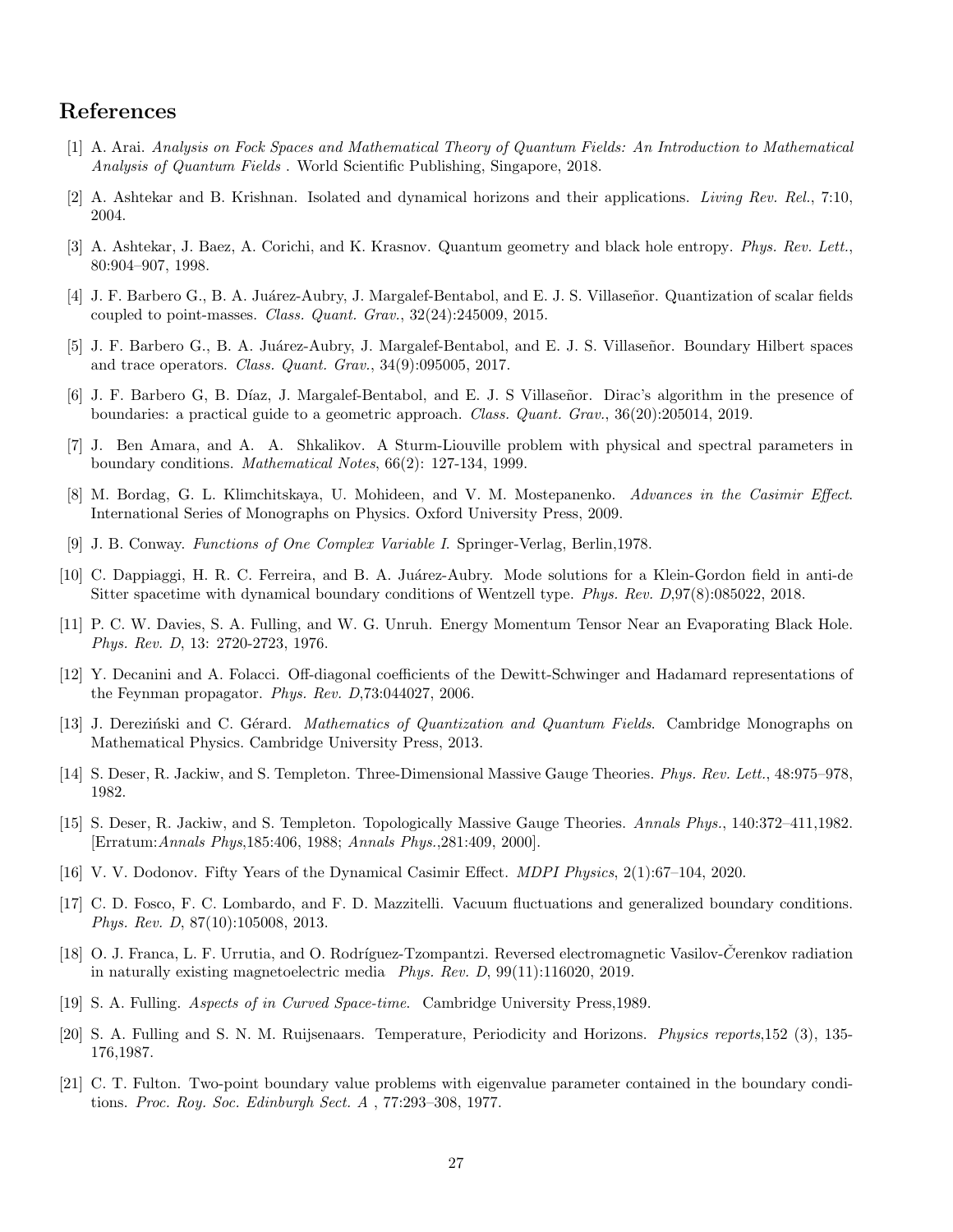## References

- <span id="page-26-14"></span>[1] A. Arai. Analysis on Fock Spaces and Mathematical Theory of Quantum Fields: An Introduction to Mathematical Analysis of Quantum Fields . World Scientific Publishing, Singapore, 2018.
- <span id="page-26-5"></span>[2] A. Ashtekar and B. Krishnan. Isolated and dynamical horizons and their applications. Living Rev. Rel., 7:10, 2004.
- <span id="page-26-6"></span>[3] A. Ashtekar, J. Baez, A. Corichi, and K. Krasnov. Quantum geometry and black hole entropy. Phys. Rev. Lett., 80:904–907, 1998.
- <span id="page-26-2"></span>[4] J. F. Barbero G., B. A. Juárez-Aubry, J. Margalef-Bentabol, and E. J. S. Villaseñor. Quantization of scalar fields coupled to point-masses. Class. Quant. Grav., 32(24):245009, 2015.
- <span id="page-26-3"></span>[5] J. F. Barbero G., B. A. Juárez-Aubry, J. Margalef-Bentabol, and E. J. S. Villaseñor. Boundary Hilbert spaces and trace operators. Class. Quant. Grav., 34(9):095005, 2017.
- <span id="page-26-16"></span>[6] J. F. Barbero G, B. Díaz, J. Margalef-Bentabol, and E. J. S Villaseñor. Dirac's algorithm in the presence of boundaries: a practical guide to a geometric approach. Class. Quant. Grav., 36(20):205014, 2019.
- <span id="page-26-1"></span>[7] J. Ben Amara, and A. A. Shkalikov. A Sturm-Liouville problem with physical and spectral parameters in boundary conditions. Mathematical Notes, 66(2): 127-134, 1999.
- <span id="page-26-10"></span>[8] M. Bordag, G. L. Klimchitskaya, U. Mohideen, and V. M. Mostepanenko. Advances in the Casimir Effect. International Series of Monographs on Physics. Oxford University Press, 2009.
- <span id="page-26-20"></span>[9] J. B. Conway. Functions of One Complex Variable I. Springer-Verlag, Berlin,1978.
- <span id="page-26-4"></span>[10] C. Dappiaggi, H. R. C. Ferreira, and B. A. Juárez-Aubry. Mode solutions for a Klein-Gordon field in anti-de Sitter spacetime with dynamical boundary conditions of Wentzell type. Phys. Rev. D,97(8):085022, 2018.
- <span id="page-26-19"></span>[11] P. C. W. Davies, S. A. Fulling, and W. G. Unruh. Energy Momentum Tensor Near an Evaporating Black Hole. Phys. Rev. D, 13: 2720-2723, 1976.
- <span id="page-26-18"></span>[12] Y. Decanini and A. Folacci. Off-diagonal coefficients of the Dewitt-Schwinger and Hadamard representations of the Feynman propagator. Phys. Rev. D,73:044027, 2006.
- <span id="page-26-15"></span>[13] J. Dereziński and C. Gérard. Mathematics of Quantization and Quantum Fields. Cambridge Monographs on Mathematical Physics. Cambridge University Press, 2013.
- <span id="page-26-7"></span>[14] S. Deser, R. Jackiw, and S. Templeton. Three-Dimensional Massive Gauge Theories. Phys. Rev. Lett., 48:975–978, 1982.
- <span id="page-26-8"></span>[15] S. Deser, R. Jackiw, and S. Templeton. Topologically Massive Gauge Theories. Annals Phys., 140:372–411,1982. [Erratum:Annals Phys,185:406, 1988; Annals Phys.,281:409, 2000].
- <span id="page-26-11"></span>[16] V. V. Dodonov. Fifty Years of the Dynamical Casimir Effect. MDPI Physics, 2(1):67–104, 2020.
- <span id="page-26-13"></span>[17] C. D. Fosco, F. C. Lombardo, and F. D. Mazzitelli. Vacuum fluctuations and generalized boundary conditions. Phys. Rev. D, 87(10):105008, 2013.
- <span id="page-26-9"></span>[18] O. J. Franca, L. F. Urrutia, and O. Rodríguez-Tzompantzi. Reversed electromagnetic Vasilov-Cerenkov radiation in naturally existing magnetoelectric media Phys. Rev. D, 99(11):116020, 2019.
- <span id="page-26-12"></span>[19] S. A. Fulling. Aspects of in Curved Space-time. Cambridge University Press,1989.
- <span id="page-26-17"></span>[20] S. A. Fulling and S. N. M. Ruijsenaars. Temperature, Periodicity and Horizons. Physics reports,152 (3), 135- 176,1987.
- <span id="page-26-0"></span>[21] C. T. Fulton. Two-point boundary value problems with eigenvalue parameter contained in the boundary conditions. Proc. Roy. Soc. Edinburgh Sect. A , 77:293–308, 1977.